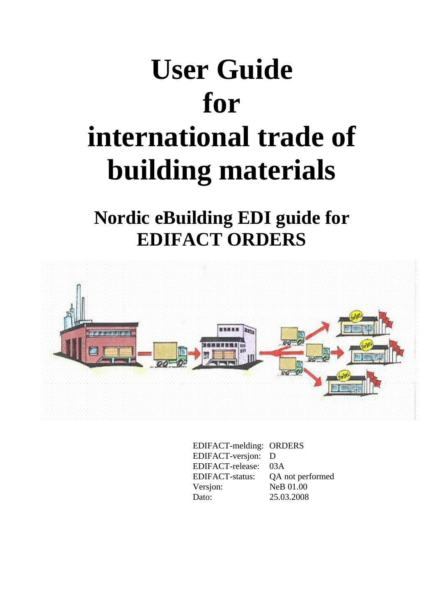# **User Guide for international trade of building materials**

**Nordic eBuilding EDI guide for EDIFACT ORDERS** 



EDIFACT-melding: ORDERS EDIFACT-versjon: D EDIFACT-release: 03A EDIFACT-status: QA not performed Versjon: NeB 01.00 Dato: 25.03.2008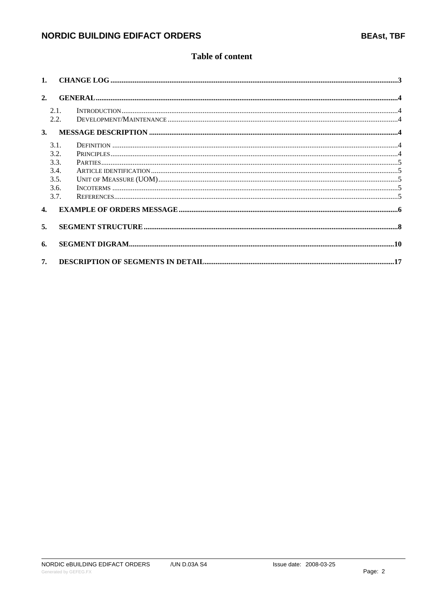### **Table of content**

| 2.             |      |                                                                                                                                                                                                                                                                                                                                                                                                                                              |  |
|----------------|------|----------------------------------------------------------------------------------------------------------------------------------------------------------------------------------------------------------------------------------------------------------------------------------------------------------------------------------------------------------------------------------------------------------------------------------------------|--|
|                | 2.1. | $\textbf{INTRODUCTION}.\textcolor{red}{\textbf{I} \textbf{N} \textbf{T} \textbf{R} \textbf{D} \textbf{U} \textbf{C} \textbf{T} \textbf{I} \textbf{O} \textbf{N}.\textcolor{red}{\textbf{I} \textbf{N} \textbf{I} \textbf{R} \textbf{D} \textbf{I}} \textbf{I} \textbf{I} \textbf{I} \textbf{I} \textbf{I} \textbf{I} \textbf{I} \textbf{I} \textbf{I} \textbf{I} \textbf{I} \textbf{I} \textbf{I} \textbf{I} \textbf{I} \textbf{I} \textbf{$ |  |
|                | 2.2. |                                                                                                                                                                                                                                                                                                                                                                                                                                              |  |
| $\mathbf{3}$ . |      |                                                                                                                                                                                                                                                                                                                                                                                                                                              |  |
|                | 3.1. |                                                                                                                                                                                                                                                                                                                                                                                                                                              |  |
|                | 3.2. |                                                                                                                                                                                                                                                                                                                                                                                                                                              |  |
|                | 3.3. |                                                                                                                                                                                                                                                                                                                                                                                                                                              |  |
|                | 3.4. |                                                                                                                                                                                                                                                                                                                                                                                                                                              |  |
|                | 3.5. |                                                                                                                                                                                                                                                                                                                                                                                                                                              |  |
|                | 3.6. |                                                                                                                                                                                                                                                                                                                                                                                                                                              |  |
|                | 3.7. |                                                                                                                                                                                                                                                                                                                                                                                                                                              |  |
| 4.             |      |                                                                                                                                                                                                                                                                                                                                                                                                                                              |  |
| 5 <sub>1</sub> |      |                                                                                                                                                                                                                                                                                                                                                                                                                                              |  |
|                |      |                                                                                                                                                                                                                                                                                                                                                                                                                                              |  |
| 6.             |      |                                                                                                                                                                                                                                                                                                                                                                                                                                              |  |
| 7.             |      |                                                                                                                                                                                                                                                                                                                                                                                                                                              |  |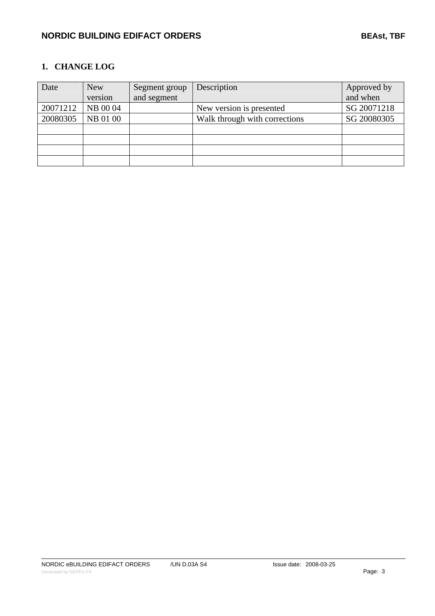### <span id="page-2-1"></span><span id="page-2-0"></span>**1. CHANGE LOG**

| Date     | <b>New</b> | Segment group | Description                   | Approved by |
|----------|------------|---------------|-------------------------------|-------------|
|          | version    | and segment   |                               | and when    |
| 20071212 | NB 00 04   |               | New version is presented      | SG 20071218 |
| 20080305 | NB 01 00   |               | Walk through with corrections | SG 20080305 |
|          |            |               |                               |             |
|          |            |               |                               |             |
|          |            |               |                               |             |
|          |            |               |                               |             |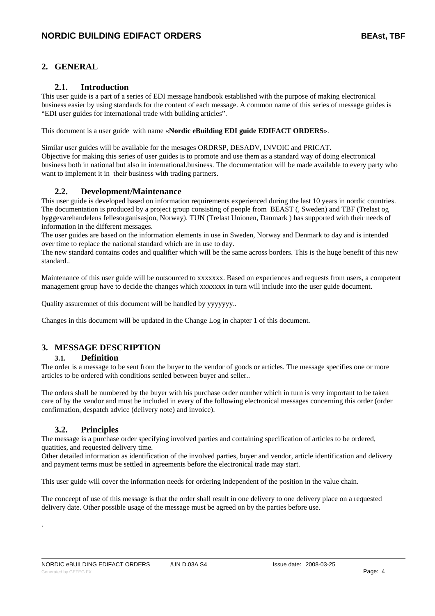### <span id="page-3-1"></span><span id="page-3-0"></span>**2. GENERAL**

### **2.1. Introduction**

<span id="page-3-2"></span>This user guide is a part of a series of EDI message handbook established with the purpose of making electronical business easier by using standards for the content of each message. A common name of this series of message guides is "EDI user guides for international trade with building articles".

This document is a user guide with name «**Nordic eBuilding EDI guide EDIFACT ORDERS**».

Similar user guides will be available for the mesages ORDRSP, DESADV, INVOIC and PRICAT. Objective for making this series of user guides is to promote and use them as a standard way of doing electronical business both in national but also in international.business. The documentation will be made available to every party who want to implement it in their business with trading partners.

### **2.2. Development/Maintenance**

<span id="page-3-3"></span>This user guide is developed based on information requirements experienced during the last 10 years in nordic countries. The documentation is produced by a project group consisting of people from BEAST (, Sweden) and TBF (Trelast og byggevarehandelens fellesorganisasjon, Norway). TUN (Trelast Unionen, Danmark ) has supported with their needs of information in the different messages.

The user guides are based on the information elements in use in Sweden, Norway and Denmark to day and is intended over time to replace the national standard which are in use to day.

The new standard contains codes and qualifier which will be the same across borders. This is the huge benefit of this new standard..

Maintenance of this user guide will be outsourced to xxxxxxx. Based on experiences and requests from users, a competent management group have to decide the changes which xxxxxxx in turn will include into the user guide document.

Quality assuremnet of this document will be handled by yyyyyyy..

Changes in this document will be updated in the Change Log in chapter 1 of this document.

### <span id="page-3-4"></span>**3. MESSAGE DESCRIPTION**

### **3.1. Definition**

<span id="page-3-5"></span>The order is a message to be sent from the buyer to the vendor of goods or articles. The message specifies one or more articles to be ordered with conditions settled between buyer and seller..

The orders shall be numbered by the buyer with his purchase order number which in turn is very important to be taken care of by the vendor and must be included in every of the following electronical messages concerning this order (order confirmation, despatch advice (delivery note) and invoice).

### **3.2. Principles**

.

<span id="page-3-6"></span>The message is a purchase order specifying involved parties and containing specification of articles to be ordered, quatities, and requested delivery time.

Other detailed information as identification of the involved parties, buyer and vendor, article identification and delivery and payment terms must be settled in agreements before the electronical trade may start.

This user guide will cover the information needs for ordering independent of the position in the value chain.

The conceept of use of this message is that the order shall result in one delivery to one delivery place on a requested delivery date. Other possible usage of the message must be agreed on by the parties before use.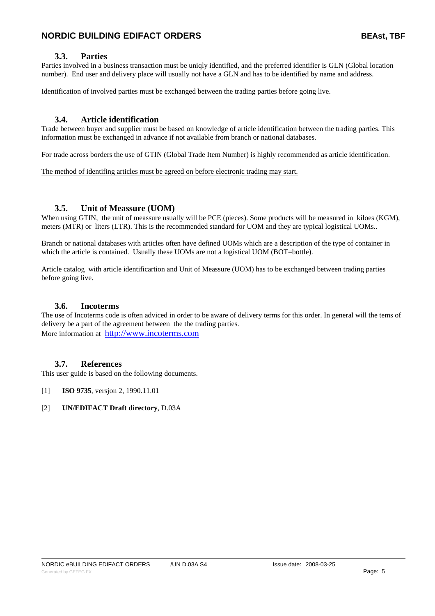### **3.3. Parties**

<span id="page-4-1"></span><span id="page-4-0"></span>Parties involved in a business transaction must be uniqly identified, and the preferred identifier is GLN (Global location number). End user and delivery place will usually not have a GLN and has to be identified by name and address.

Identification of involved parties must be exchanged between the trading parties before going live.

### **3.4. Article identification**

<span id="page-4-2"></span>Trade between buyer and supplier must be based on knowledge of article identification between the trading parties. This information must be exchanged in advance if not available from branch or national databases.

For trade across borders the use of GTIN (Global Trade Item Number) is highly recommended as article identification.

The method of identifing articles must be agreed on before electronic trading may start.

### **3.5. Unit of Meassure (UOM)**

<span id="page-4-3"></span>When using GTIN, the unit of meassure usually will be PCE (pieces). Some products will be measured in kiloes (KGM), meters (MTR) or liters (LTR). This is the recommended standard for UOM and they are typical logistical UOMs..

Branch or national databases with articles often have defined UOMs which are a description of the type of container in which the article is contained. Usually these UOMs are not a logistical UOM (BOT=bottle).

Article catalog with article identificartion and Unit of Meassure (UOM) has to be exchanged between trading parties before going live.

### **3.6. Incoterms**

<span id="page-4-4"></span>The use of Incoterms code is often adviced in order to be aware of delivery terms for this order. In general will the tems of delivery be a part of the agreement between the the trading parties. More information at http://www.incoterms.com

### **3.7. References**

<span id="page-4-5"></span>This user guide is based on the following documents.

- [1] **ISO 9735**, versjon 2, 1990.11.01
- [2] **UN/EDIFACT Draft directory**, D.03A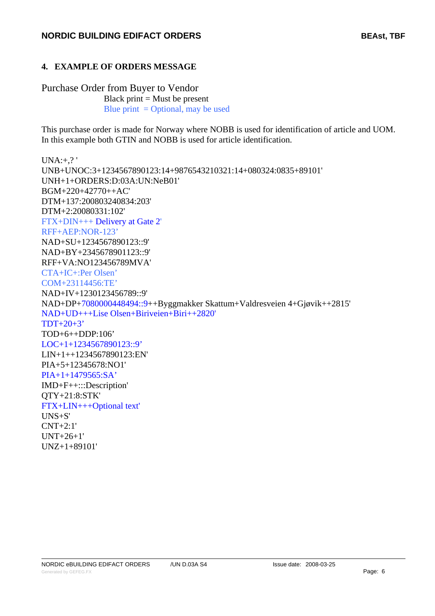### <span id="page-5-1"></span><span id="page-5-0"></span>**4. EXAMPLE OF ORDERS MESSAGE**

### Purchase Order from Buyer to Vendor

Black print  $=$  Must be present Blue print  $=$  Optional, may be used

This purchase order is made for Norway where NOBB is used for identification of article and UOM. In this example both GTIN and NOBB is used for article identification.

 $UNA:+,?$ UNB+UNOC:3+1234567890123:14+9876543210321:14+080324:0835+89101' UNH+1+ORDERS:D:03A:UN:NeB01' BGM+220+42770++AC' DTM+137:200803240834:203' DTM+2:20080331:102' FTX+DIN+++ Delivery at Gate 2' RFF+AEP:NOR-123' NAD+SU+1234567890123::9' NAD+BY+2345678901123::9' RFF+VA:NO123456789MVA' CTA+IC+:Per Olsen' COM+23114456:TE' NAD+IV+1230123456789::9' NAD+DP+7080000448494::9++Byggmakker Skattum+Valdresveien 4+Gjøvik++2815' NAD+UD+++Lise Olsen+Biriveien+Biri++2820' TDT+20+3' TOD+6++DDP:106' LOC+1+1234567890123::9' LIN+1++1234567890123:EN' PIA+5+12345678:NO1' PIA+1+1479565:SA' IMD+F++:::Description' QTY+21:8:STK' FTX+LIN+++Optional text' UNS+S' CNT+2:1' UNT+26+1' UNZ+1+89101'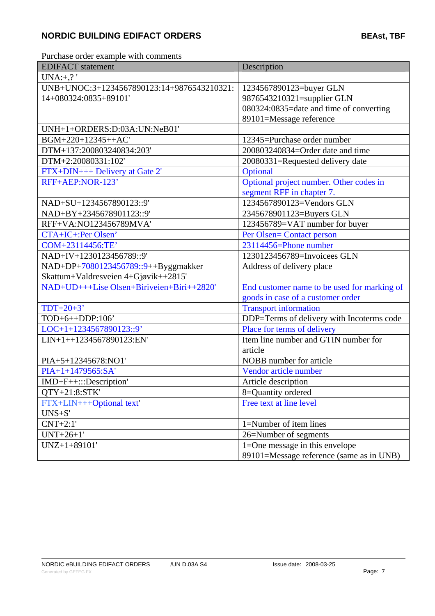Purchase order example with comments

| <b>EDIFACT</b> statement                   | Description                                 |
|--------------------------------------------|---------------------------------------------|
| $UNA:+,?$                                  |                                             |
| UNB+UNOC:3+1234567890123:14+9876543210321: | 1234567890123=buyer GLN                     |
| 14+080324:0835+89101'                      | 9876543210321=supplier GLN                  |
|                                            | 080324:0835=date and time of converting     |
|                                            | 89101=Message reference                     |
| UNH+1+ORDERS:D:03A:UN:NeB01'               |                                             |
| BGM+220+12345++AC'                         | 12345=Purchase order number                 |
| DTM+137:200803240834:203'                  | 200803240834=Order date and time            |
| DTM+2:20080331:102'                        | 20080331=Requested delivery date            |
| FTX+DIN+++ Delivery at Gate 2'             | Optional                                    |
| RFF+AEP:NOR-123'                           | Optional project number. Other codes in     |
|                                            | segment RFF in chapter 7.                   |
| NAD+SU+1234567890123::9'                   | 1234567890123=Vendors GLN                   |
| NAD+BY+2345678901123::9'                   | 2345678901123=Buyers GLN                    |
| RFF+VA:NO123456789MVA'                     | 123456789=VAT number for buyer              |
| CTA+IC+:Per Olsen'                         | Per Olsen= Contact person                   |
| COM+23114456:TE'                           | 23114456=Phone number                       |
| NAD+IV+1230123456789::9'                   | 1230123456789=Invoicees GLN                 |
| NAD+DP+7080123456789::9++Byggmakker        | Address of delivery place                   |
| Skattum+Valdresveien 4+Gjøvik++2815'       |                                             |
| NAD+UD+++Lise Olsen+Biriveien+Biri++2820'  | End customer name to be used for marking of |
|                                            | goods in case of a customer order           |
| $TDT+20+3'$                                | <b>Transport information</b>                |
| TOD+6++DDP:106'                            | DDP=Terms of delivery with Incoterms code   |
| LOC+1+1234567890123::9'                    | Place for terms of delivery                 |
| LIN+1++1234567890123:EN'                   | Item line number and GTIN number for        |
|                                            | article                                     |
| PIA+5+12345678:NO1'                        | NOBB number for article                     |
| PIA+1+1479565:SA'                          | Vendor article number                       |
| IMD+F++:::Description'                     | Article description                         |
| <b>QTY+21:8:STK'</b>                       | 8=Quantity ordered                          |
| FTX+LIN+++Optional text'                   | Free text at line level                     |
| $UNS + S'$                                 |                                             |
| $CNT+2:1'$                                 | 1=Number of item lines                      |
| $UNT+26+1'$                                | 26=Number of segments                       |
| UNZ+1+89101'                               | 1=One message in this envelope              |
|                                            | 89101=Message reference (same as in UNB)    |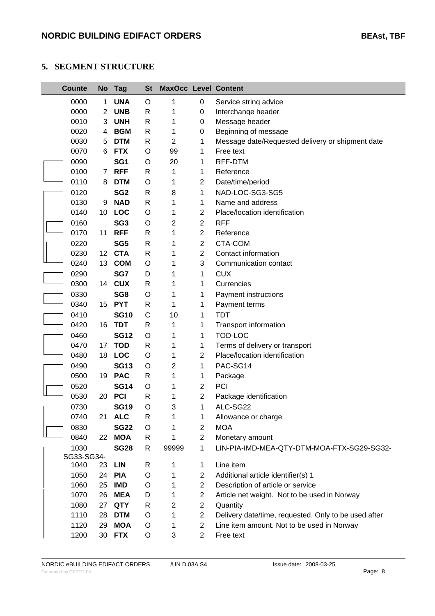### <span id="page-7-1"></span><span id="page-7-0"></span>**5. SEGMENT STRUCTURE**

| <b>Counte</b> |              | No Tag          | <b>St</b> | <b>MaxOcc Level Content</b> |                |                                                      |
|---------------|--------------|-----------------|-----------|-----------------------------|----------------|------------------------------------------------------|
| 0000          | $\mathbf{1}$ | <b>UNA</b>      | O         | 1                           | 0              | Service string advice                                |
| 0000          | 2            | <b>UNB</b>      | R         | 1                           | 0              | Interchange header                                   |
| 0010          | 3            | <b>UNH</b>      | R         | 1                           | 0              | Message header                                       |
| 0020          | 4            | <b>BGM</b>      | R         | 1                           | 0              | Beginning of message                                 |
| 0030          | 5            | <b>DTM</b>      | R         | 2                           | 1              | Message date/Requested delivery or shipment date     |
| 0070          | 6            | <b>FTX</b>      | O         | 99                          | 1              | Free text                                            |
| 0090          |              | SG <sub>1</sub> | O         | 20                          | 1              | RFF-DTM                                              |
| 0100          | $7^{\circ}$  | <b>RFF</b>      | R         | 1                           | 1              | Reference                                            |
| 0110          | 8            | <b>DTM</b>      | O         | 1                           | 2              | Date/time/period                                     |
| 0120          |              | SG <sub>2</sub> | R         | 8                           | 1              | NAD-LOC-SG3-SG5                                      |
| 0130          | 9            | <b>NAD</b>      | R         | 1                           | 1              | Name and address                                     |
| 0140          | 10           | LOC             | O         | 1                           | 2              | Place/location identification                        |
| 0160          |              | SG <sub>3</sub> | O         | 2                           | $\overline{2}$ | <b>RFF</b>                                           |
| 0170          | 11           | <b>RFF</b>      | R         | 1                           | $\overline{2}$ | Reference                                            |
| 0220          |              | SG <sub>5</sub> | R         | 1                           | $\overline{2}$ | CTA-COM                                              |
| 0230          |              | 12 CTA          | R         | 1                           | 2              | Contact information                                  |
| 0240          | 13           | <b>COM</b>      | O         | 1                           | 3              | Communication contact                                |
| 0290          |              | SG7             | D         | 1                           | 1              | <b>CUX</b>                                           |
| 0300          |              | 14 CUX          | R         | 1                           | 1              | Currencies                                           |
| 0330          |              | SG8             | O         | 1                           | 1              | <b>Payment instructions</b>                          |
| 0340          | 15           | <b>PYT</b>      | R         | 1                           | 1              | Payment terms                                        |
| 0410          |              | <b>SG10</b>     | C         | 10                          | 1              | <b>TDT</b>                                           |
| 0420          | 16           | <b>TDT</b>      | R         | 1                           | 1              | <b>Transport information</b>                         |
| 0460          |              | <b>SG12</b>     | O         | 1                           | 1              | TOD-LOC                                              |
| 0470          | 17           | <b>TOD</b>      | R         | 1                           | 1              | Terms of delivery or transport                       |
| 0480          |              | 18 LOC          | O         | 1                           | 2              | Place/location identification                        |
| 0490          |              | <b>SG13</b>     | O         | 2                           | 1              | PAC-SG14                                             |
| 0500          | 19           | <b>PAC</b>      | R         | 1                           | 1              | Package                                              |
| 0520          |              | <b>SG14</b>     | O         | 1                           | 2              | <b>PCI</b>                                           |
| 0530          | 20           | <b>PCI</b>      | R         | 1                           | $\overline{2}$ | Package identification                               |
| 0730          |              | <b>SG19</b>     | $\circ$   | 3                           | $\mathbf 1$    | ALC-SG22                                             |
| 0740          |              | 21 ALC          | R         | 1                           | 1              | Allowance or charge                                  |
| 0830          |              | <b>SG22</b>     | O         | 1                           | 2              | <b>MOA</b>                                           |
| 0840          | 22           | <b>MOA</b>      | R         | 1                           | 2              | Monetary amount                                      |
| 1030          |              | <b>SG28</b>     | R         | 99999                       | 1              | LIN-PIA-IMD-MEA-QTY-DTM-MOA-FTX-SG29-SG32-           |
| SG33-SG34-    |              |                 |           |                             |                |                                                      |
| 1040          |              | 23 LIN          | R         | 1                           | 1              | Line item                                            |
| 1050          |              | 24 PIA          | O         | 1                           | 2              | Additional article identifier(s) 1                   |
| 1060          | 25           | <b>IMD</b>      | O         | 1                           | 2              | Description of article or service                    |
| 1070          | 26           | <b>MEA</b>      | D         | 1                           | 2              | Article net weight. Not to be used in Norway         |
| 1080          |              | 27 QTY          | R         | 2                           | 2              | Quantity                                             |
| 1110          | 28           | <b>DTM</b>      | O         | 1                           | 2              | Delivery date/time, requested. Only to be used after |
| 1120          | 29           | <b>MOA</b>      | O         | 1                           | 2              | Line item amount. Not to be used in Norway           |
| 1200          | 30           | <b>FTX</b>      | O         | 3                           | $\overline{2}$ | Free text                                            |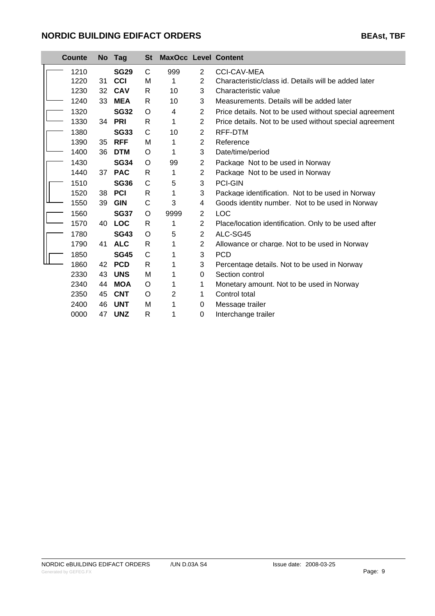|  | Counte |    | No Tag      | St           | <b>MaxOcc Level Content</b> |                |                                                         |
|--|--------|----|-------------|--------------|-----------------------------|----------------|---------------------------------------------------------|
|  | 1210   |    | <b>SG29</b> | C            | 999                         | $\overline{2}$ | <b>CCI-CAV-MEA</b>                                      |
|  | 1220   | 31 | CCI         | M            | 1                           | $\overline{2}$ | Characteristic/class id. Details will be added later    |
|  | 1230   | 32 | <b>CAV</b>  | R            | 10                          | 3              | Characteristic value                                    |
|  | 1240   | 33 | MEA         | R            | 10                          | 3              | Measurements. Details will be added later               |
|  | 1320   |    | <b>SG32</b> | O            | 4                           | $\overline{2}$ | Price details. Not to be used without special agreement |
|  | 1330   |    | 34 PRI      | R            | 1                           | $\overline{2}$ | Price details. Not to be used without special agreement |
|  | 1380   |    | <b>SG33</b> | C            | 10                          | 2              | RFF-DTM                                                 |
|  | 1390   | 35 | <b>RFF</b>  | M            | 1                           | $\overline{2}$ | Reference                                               |
|  | 1400   | 36 | <b>DTM</b>  | O            | 1                           | 3              | Date/time/period                                        |
|  | 1430   |    | <b>SG34</b> | O            | 99                          | $\overline{2}$ | Package Not to be used in Norway                        |
|  | 1440   | 37 | <b>PAC</b>  | R            | 1                           | $\overline{2}$ | Package Not to be used in Norway                        |
|  | 1510   |    | <b>SG36</b> | C            | 5                           | 3              | PCI-GIN                                                 |
|  | 1520   | 38 | PCI         | R            | 1                           | 3              | Package identification. Not to be used in Norway        |
|  | 1550   | 39 | <b>GIN</b>  | C            | 3                           | 4              | Goods identity number. Not to be used in Norway         |
|  | 1560   |    | <b>SG37</b> | O            | 9999                        | $\overline{2}$ | <b>LOC</b>                                              |
|  | 1570   | 40 | <b>LOC</b>  | R            | 1                           | $\overline{2}$ | Place/location identification. Only to be used after    |
|  | 1780   |    | <b>SG43</b> | O            | 5                           | $\overline{2}$ | ALC-SG45                                                |
|  | 1790   | 41 | <b>ALC</b>  | R            | 1                           | $\overline{2}$ | Allowance or charge. Not to be used in Norway           |
|  | 1850   |    | <b>SG45</b> | $\mathsf{C}$ | 1                           | 3              | <b>PCD</b>                                              |
|  | 1860   | 42 | <b>PCD</b>  | R            | 1                           | 3              | Percentage details. Not to be used in Norway            |
|  | 2330   | 43 | <b>UNS</b>  | M            | 1                           | $\Omega$       | Section control                                         |
|  | 2340   | 44 | <b>MOA</b>  | O            | 1                           | 1              | Monetary amount. Not to be used in Norway               |
|  | 2350   | 45 | <b>CNT</b>  | O            | 2                           | 1              | Control total                                           |
|  | 2400   | 46 | <b>UNT</b>  | Μ            | 1                           | 0              | Message trailer                                         |
|  | 0000   | 47 | <b>UNZ</b>  | R            | 1                           | $\Omega$       | Interchange trailer                                     |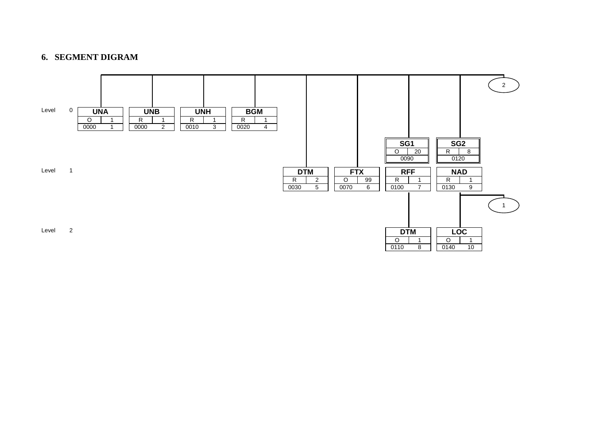### **6. SEGMENT DIGRAM**

<span id="page-9-1"></span><span id="page-9-0"></span>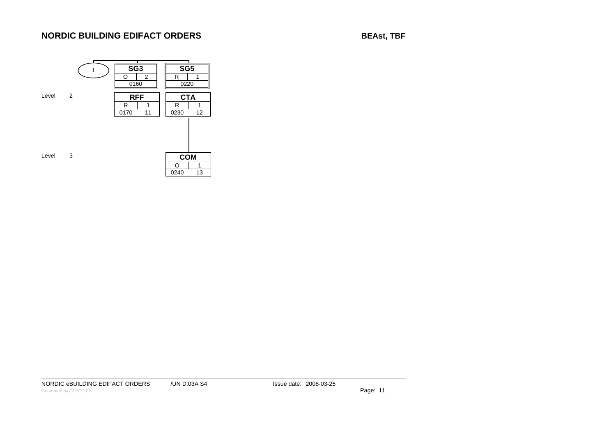**BEAst, TBF**



NORDIC eBUILDING EDIFACT ORDERS / / UN D.03A S4

Issue date: 2008-03-25

Generated by GEFEG.FX **Page: 11**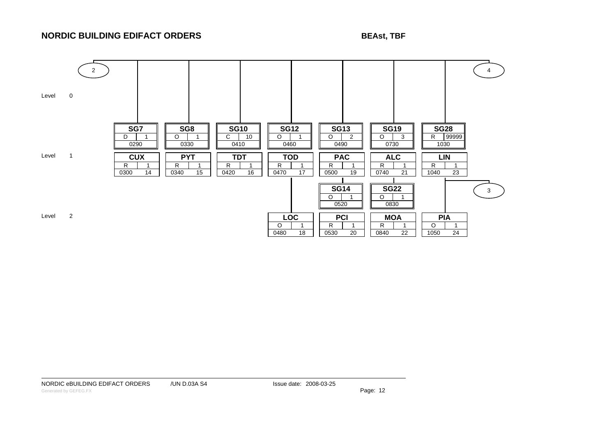### **BEAst, TBF**



NORDIC eBUILDING EDIFACT ORDERS /UN D.03A S4 / Issue date: 2008-03-25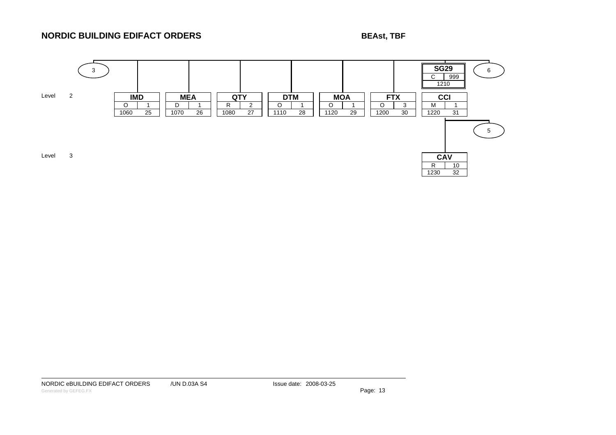**BEAst, TBF**



NORDIC eBUILDING EDIFACT ORDERS /UN D.03A S4 / Issue date: 2008-03-25

Generated by GEFEG.FX **Page: 13**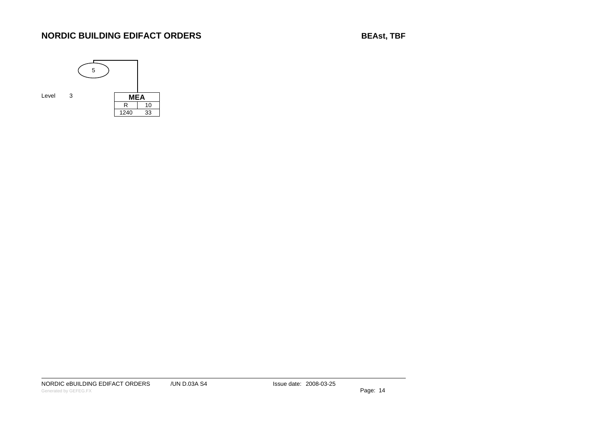**BEAst, TBF**



NORDIC eBUILDING EDIFACT ORDERS / / UN D.03A S4

Issue date: 2008-03-25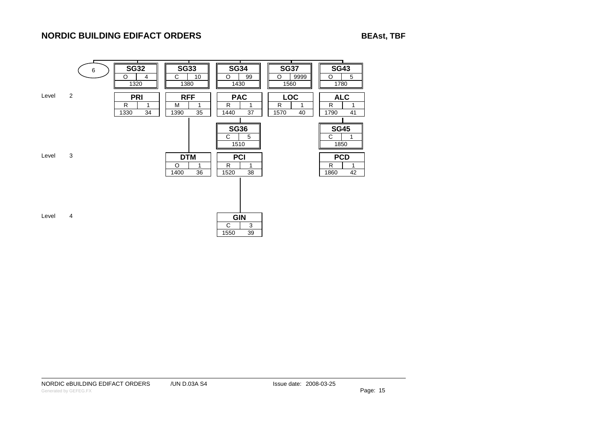**BEAst, TBF**



NORDIC eBUILDING EDIFACT ORDERS /UN D.03A S4 / Issue date: 2008-03-25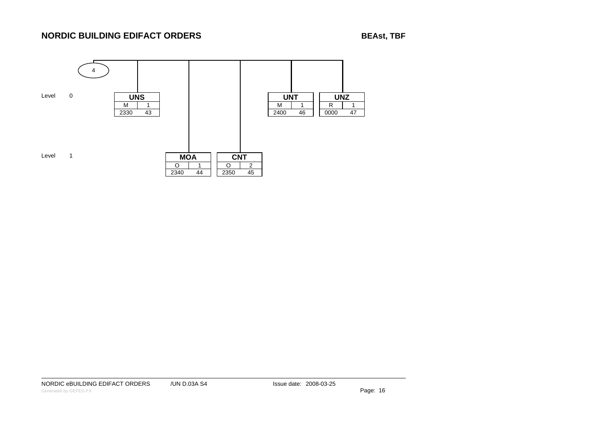**BEAst, TBF**



NORDIC eBUILDING EDIFACT ORDERS / / UN D.03A S4

Issue date: 2008-03-25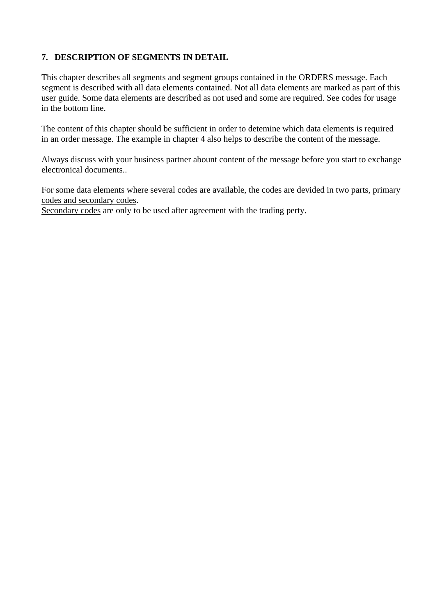### <span id="page-16-1"></span><span id="page-16-0"></span>**7. DESCRIPTION OF SEGMENTS IN DETAIL**

This chapter describes all segments and segment groups contained in the ORDERS message. Each segment is described with all data elements contained. Not all data elements are marked as part of this user guide. Some data elements are described as not used and some are required. See codes for usage in the bottom line.

The content of this chapter should be sufficient in order to detemine which data elements is required in an order message. The example in chapter 4 also helps to describe the content of the message.

Always discuss with your business partner abount content of the message before you start to exchange electronical documents..

For some data elements where several codes are available, the codes are devided in two parts, primary codes and secondary codes.

Secondary codes are only to be used after agreement with the trading perty.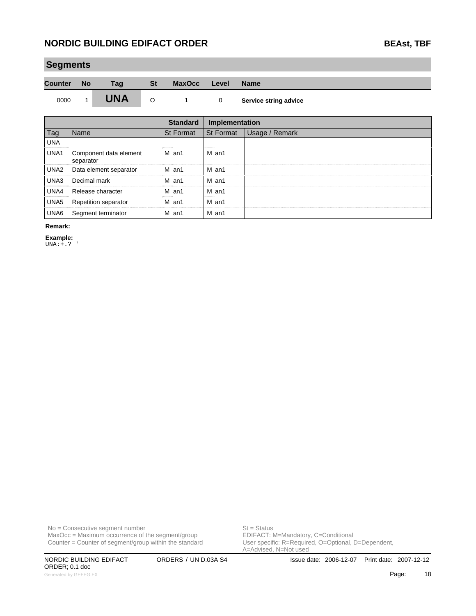## **Segments Counter No Tag St MaxOcc Level Name** 0000 1 **UNA** O 1 0 Service string advice

|      |                                     | <b>Standard</b> | Implementation |                |
|------|-------------------------------------|-----------------|----------------|----------------|
| Tag  | Name                                | St Format       | St Format      | Usage / Remark |
| UNA  |                                     |                 |                |                |
| UNA1 | Component data element<br>separator | M an1           | M an1          |                |
| UNA2 | Data element separator              | M an1           | M an1          |                |
| UNA3 | Decimal mark                        | M an1           | M an1          |                |
| UNA4 | Release character                   | M an1           | M an1          |                |
| UNA5 | <b>Repetition separator</b>         | M an1           | M an1          |                |
| UNA6 | Segment terminator                  | M an1           | M an1          |                |

#### **Remark:**

**Example:**

UNA:+.? '

No = Consecutive segment number<br>
MaxOcc = Maximum occurrence of the segment/group<br>
EDIFACT: M=Mandatory, C=Conditional  $MaxOcc = Maximum occurrence of the segment/group$ Counter = Counter of segment/group within the standard

ORDER; 0.1 doc Generated by GEFEG.FX **Page:** 18

User specific: R=Required, O=Optional, D=Dependent,<br>A=Advised, N=Not used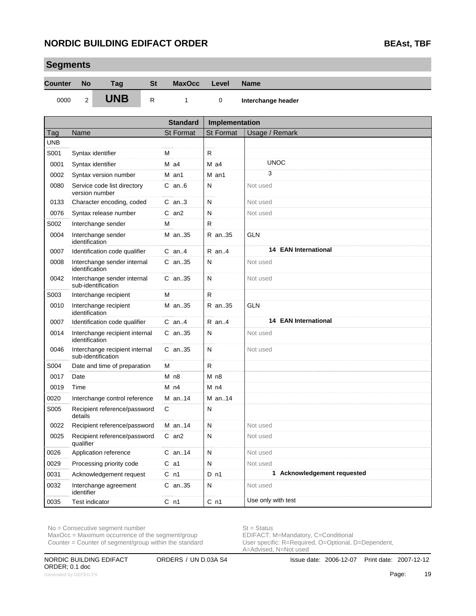**Segments**

| oeginenis      |                |                                                      |              |                  |                  |                             |
|----------------|----------------|------------------------------------------------------|--------------|------------------|------------------|-----------------------------|
| <b>Counter</b> | <b>No</b>      | Tag                                                  | <b>St</b>    | <b>MaxOcc</b>    | Level            | <b>Name</b>                 |
| 0000           | $\overline{2}$ | <b>UNB</b>                                           | $\mathsf{R}$ | 1                | 0                | Interchange header          |
|                |                |                                                      |              | <b>Standard</b>  | Implementation   |                             |
| Tag            | Name           |                                                      |              | <b>St Format</b> | <b>St Format</b> | Usage / Remark              |
| <b>UNB</b>     |                |                                                      |              |                  |                  |                             |
| S001           |                | Syntax identifier                                    |              | м                | $\mathsf{R}$     |                             |
| 0001           |                | Syntax identifier                                    |              | $M$ a4           | $M$ a4           | <b>UNOC</b>                 |
| 0002           |                | Syntax version number                                |              | M an1            | M an1            | 3                           |
| 0080           |                | Service code list directory<br>version number        |              | $C$ an $6$       | N                | Not used                    |
| 0133           |                | Character encoding, coded                            |              | $C$ an3          | N                | Not used                    |
| 0076           |                | Syntax release number                                |              | $C$ an $2$       | N                | Not used                    |
| S002           |                | Interchange sender                                   |              | M                | R                |                             |
| 0004           | identification | Interchange sender                                   |              | M an35           | R an35           | <b>GLN</b>                  |
| 0007           |                | Identification code qualifier                        |              | $C$ an4          | $R$ an4          | <b>14 EAN International</b> |
| 0008           | identification | Interchange sender internal                          |              | $C$ an. 35       | N                | Not used                    |
| 0042           |                | Interchange sender internal<br>sub-identification    |              | $C$ an. 35       | N                | Not used                    |
| S003           |                | Interchange recipient                                |              | м                | R                |                             |
| 0010           | identification | Interchange recipient                                |              | M an35           | R an35           | <b>GLN</b>                  |
| 0007           |                | Identification code qualifier                        |              | $C$ an4          | $R$ an4          | <b>14 EAN International</b> |
| 0014           | identification | Interchange recipient internal                       |              | $C$ an. 35       | N                | Not used                    |
| 0046           |                | Interchange recipient internal<br>sub-identification |              | $C$ an. 35       | N                | Not used                    |
| S004           |                | Date and time of preparation                         |              | M                | R.               |                             |
| 0017           | Date           |                                                      |              | M <sub>n8</sub>  | M <sub>n8</sub>  |                             |
| 0019           | Time           |                                                      |              | $M$ n4           | M <sub>n4</sub>  |                             |
| 0020           |                | Interchange control reference                        |              | M an14           | M an14           |                             |
| S005           | details        | Recipient reference/password                         |              | C                | N                |                             |
| 0022           |                | Recipient reference/password                         |              | M an14           | N                | Not used                    |
| 0025           | qualifier      | Recipient reference/password                         |              | C an2            | N                | Not used                    |
| 0026           |                | Application reference                                |              | $C$ an14         | N                | Not used                    |
| 0029           |                | Processing priority code                             |              | $C$ a1           | N                | Not used                    |
| 0031           |                | Acknowledgement request                              |              | C <sub>n1</sub>  | $D$ n1           | 1 Acknowledgement requested |
| 0032           | identifier     | Interchange agreement                                |              | C an35           | N                | Not used                    |
| 0035           | Test indicator |                                                      |              | C <sub>n1</sub>  | C <sub>n1</sub>  | Use only with test          |

 $MaxOcc = Maximum occurrence of the segment/group$ 

Counter = Counter of segment/group within the standard

No = Consecutive segment number<br>
MaxOcc = Maximum occurrence of the segment/group<br>
EDIFACT: M=Mandatory, C=Conditional User specific: R=Required, O=Optional, D=Dependent,<br>A=Advised, N=Not used

ORDER; 0.1 doc Generated by GEFEG.FX **Page:** 19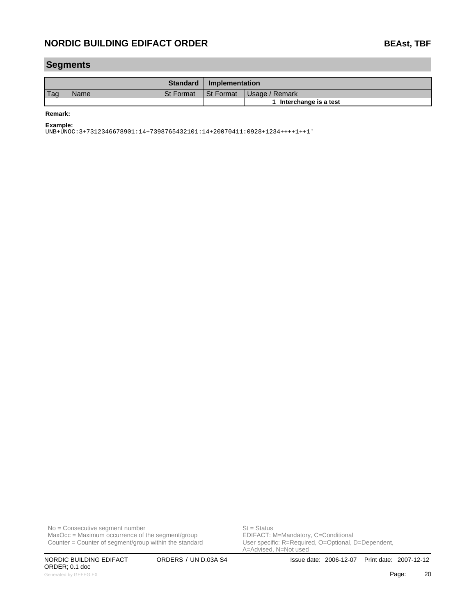### **Segments**

|     |      | <b>Standard</b>  | Implementation   |                       |
|-----|------|------------------|------------------|-----------------------|
| Tag | Name | <b>St Format</b> | <b>St Format</b> | Usage / Remark        |
|     |      |                  |                  | Interchange is a test |

**Remark:**

**Example:**

UNB+UNOC:3+7312346678901:14+7398765432101:14+20070411:0928+1234++++1++1'

No = Consecutive segment number<br>
MaxOcc = Maximum occurrence of the segment/group<br>
EDIFACT: M=Mandatory, C=Conditional  $MaxOcc = Maximum$  occurrence of the segment/group Counter = Counter of segment/group within the standard

ORDER; 0.1 doc Generated by GEFEG.FX **Page:** 20

User specific: R=Required, O=Optional, D=Dependent,<br>A=Advised, N=Not used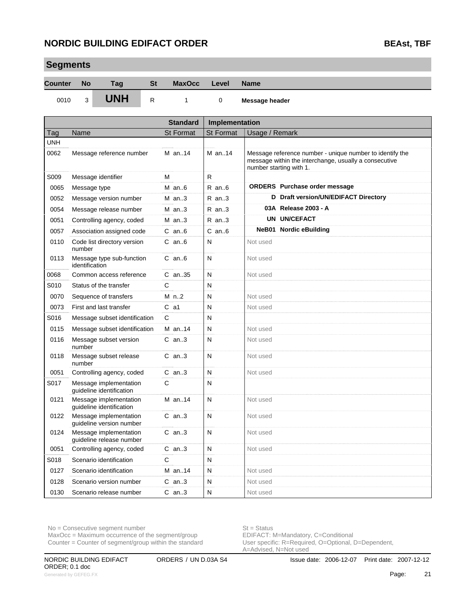**Segments**

| əegmenis       |                                             |                                                    |              |                  |                  |                                                                                                                                              |  |  |
|----------------|---------------------------------------------|----------------------------------------------------|--------------|------------------|------------------|----------------------------------------------------------------------------------------------------------------------------------------------|--|--|
| <b>Counter</b> | <b>No</b>                                   | Tag                                                | <b>St</b>    | <b>MaxOcc</b>    | Level            | <b>Name</b>                                                                                                                                  |  |  |
| 0010           | 3                                           | <b>UNH</b>                                         | $\mathsf{R}$ | 1                | 0                | Message header                                                                                                                               |  |  |
|                |                                             |                                                    |              | <b>Standard</b>  | Implementation   |                                                                                                                                              |  |  |
| Tag            | Name                                        |                                                    |              | <b>St Format</b> | <b>St Format</b> | Usage / Remark                                                                                                                               |  |  |
| <b>UNH</b>     |                                             |                                                    |              |                  |                  |                                                                                                                                              |  |  |
| 0062           |                                             | Message reference number                           |              | M an14           | M an. $14$       | Message reference number - unique number to identify the<br>message within the interchange, usually a consecutive<br>number starting with 1. |  |  |
| S009           |                                             | Message identifier                                 |              | M                | R.               |                                                                                                                                              |  |  |
| 0065           | Message type                                |                                                    |              | $M$ an6          | $R$ an $6$       | <b>ORDERS</b> Purchase order message                                                                                                         |  |  |
| 0052           |                                             | Message version number                             |              | $M$ an3          | $R$ an3          | D Draft version/UN/EDIFACT Directory                                                                                                         |  |  |
| 0054           |                                             | Message release number                             |              | $M$ an3          | $R$ an3          | 03A Release 2003 - A                                                                                                                         |  |  |
| 0051           |                                             | Controlling agency, coded                          |              | $M$ an3          | $R$ an3          | UN UN/CEFACT                                                                                                                                 |  |  |
| 0057           |                                             | Association assigned code                          |              | $C$ an $6$       | $C$ an $6$       | NeB01 Nordic eBuilding                                                                                                                       |  |  |
| 0110           | number                                      | Code list directory version                        |              | $C$ an $6$       | N                | Not used                                                                                                                                     |  |  |
| 0113           | Message type sub-function<br>identification |                                                    |              | $C$ an $6$       | N                | Not used                                                                                                                                     |  |  |
| 0068           |                                             | Common access reference                            |              | $C$ an35         | N                | Not used                                                                                                                                     |  |  |
| S010           |                                             | Status of the transfer                             |              | C                | N                |                                                                                                                                              |  |  |
| 0070           |                                             | Sequence of transfers                              |              | $M$ n2           | N                | Not used                                                                                                                                     |  |  |
| 0073           |                                             | First and last transfer                            |              | $C$ a1           | N                | Not used                                                                                                                                     |  |  |
| S016           |                                             | Message subset identification                      |              | C                | N                |                                                                                                                                              |  |  |
| 0115           |                                             | Message subset identification                      |              | M an14           | N                | Not used                                                                                                                                     |  |  |
| 0116           | number                                      | Message subset version                             |              | $C$ an3          | N                | Not used                                                                                                                                     |  |  |
| 0118           | number                                      | Message subset release                             |              | $C$ an3          | N                | Not used                                                                                                                                     |  |  |
| 0051           |                                             | Controlling agency, coded                          |              | $C$ an3          | N                | Not used                                                                                                                                     |  |  |
| S017           |                                             | Message implementation<br>guideline identification |              | C                | N                |                                                                                                                                              |  |  |
| 0121           |                                             | Message implementation<br>quideline identification |              | M an14           | N                | Not used                                                                                                                                     |  |  |
| 0122           |                                             | Message implementation<br>guideline version number |              | $C$ an3          | N                | Not used                                                                                                                                     |  |  |
| 0124           |                                             | Message implementation<br>guideline release number |              | $C$ an3          | ${\sf N}$        | Not used                                                                                                                                     |  |  |
| 0051           |                                             | Controlling agency, coded                          |              | $C$ an3          | N                | Not used                                                                                                                                     |  |  |
| S018           |                                             | Scenario identification                            |              | C                | N                |                                                                                                                                              |  |  |
| 0127           |                                             | Scenario identification                            |              | M an14           | N                | Not used                                                                                                                                     |  |  |
| 0128           |                                             | Scenario version number                            |              | $C$ an3          | N                | Not used                                                                                                                                     |  |  |
| 0130           |                                             | Scenario release number                            |              | $C$ an3          | ${\sf N}$        | Not used                                                                                                                                     |  |  |

No = Consecutive segment number<br>
MaxOcc = Maximum occurrence of the segment/group<br>
EDIFACT: M=Mandatory, C=Conditional  $MaxOcc = Maximum occurrence of the segment/group$ 

Counter = Counter of segment/group within the standard

User specific: R=Required, O=Optional, D=Dependent,<br>A=Advised, N=Not used

ORDER; 0.1 doc Generated by GEFEG.FX **Page:** 21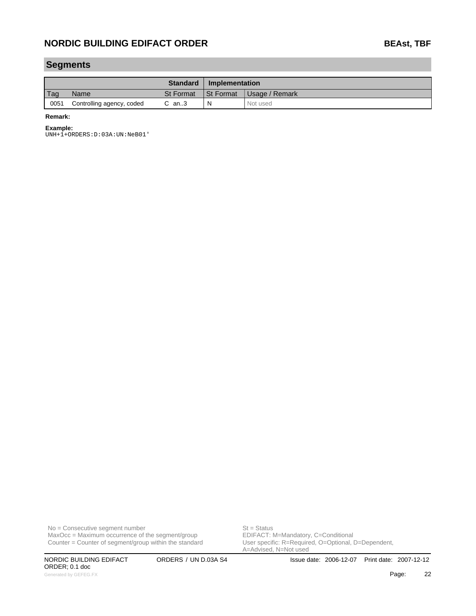### **Segments**

|      |                           | <b>Standard</b>  | Implementation |                |
|------|---------------------------|------------------|----------------|----------------|
| Tag  | Name                      | <b>St Format</b> | St Format      | Usage / Remark |
| 0051 | Controlling agency, coded | $C$ an3          | N              | Not used       |

#### **Remark:**

#### **Example:**

UNH+1+ORDERS:D:03A:UN:NeB01'

No = Consecutive segment number<br>
MaxOcc = Maximum occurrence of the segment/group<br>
EDIFACT: M=Mandatory, C=Conditional  $MaxOcc = Maximum$  occurrence of the segment/group Counter = Counter of segment/group within the standard

ORDER; 0.1 doc Generated by GEFEG.FX **Page:** 22 and the control of the control of the control of the control of the control of the control of the control of the control of the control of the control of the control of the control of the c

User specific: R=Required, O=Optional, D=Dependent,<br>A=Advised, N=Not used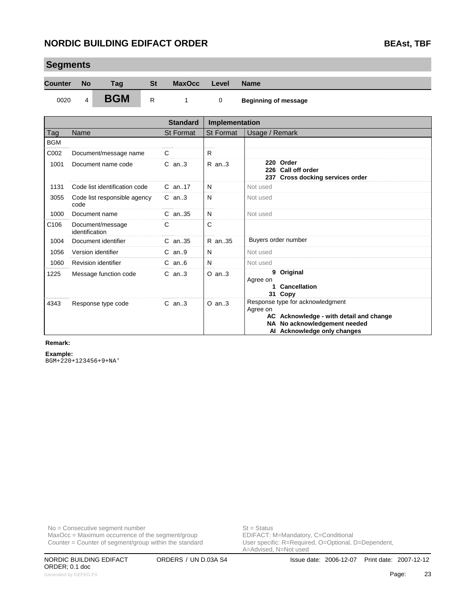| Segments       |                       |                                    |           |                  |                  |                                                                                                                                                        |
|----------------|-----------------------|------------------------------------|-----------|------------------|------------------|--------------------------------------------------------------------------------------------------------------------------------------------------------|
| <b>Counter</b> | <b>No</b>             | Tag                                | <b>St</b> | <b>MaxOcc</b>    | Level            | <b>Name</b>                                                                                                                                            |
| 0020           | 4                     | <b>BGM</b>                         | R         | 1                | 0                | <b>Beginning of message</b>                                                                                                                            |
|                |                       |                                    |           | <b>Standard</b>  | Implementation   |                                                                                                                                                        |
| Tag            | Name                  |                                    |           | <b>St Format</b> | <b>St Format</b> | Usage / Remark                                                                                                                                         |
| <b>BGM</b>     |                       |                                    |           |                  |                  |                                                                                                                                                        |
| C002           |                       | Document/message name              |           | C                | R.               |                                                                                                                                                        |
| 1001           | Document name code    |                                    |           | $C$ an3          | $R$ an. $3$      | 220 Order<br>226 Call off order<br>237 Cross docking services order                                                                                    |
| 1131           |                       | Code list identification code      |           | C an17           | N                | Not used                                                                                                                                               |
| 3055           | code                  | Code list responsible agency       |           | $C$ an3          | N                | Not used                                                                                                                                               |
| 1000           |                       | Document name                      |           | C an35           | N                | Not used                                                                                                                                               |
| C106           |                       | Document/message<br>identification |           | C                | $\mathsf{C}$     |                                                                                                                                                        |
| 1004           |                       | Document identifier                |           | $C$ an. 35       | R an35           | Buyers order number                                                                                                                                    |
| 1056           |                       | Version identifier                 |           | $C$ an9          | N                | Not used                                                                                                                                               |
| 1060           |                       | <b>Revision identifier</b>         |           | $C$ an $6$       | N                | Not used                                                                                                                                               |
| 1225           | Message function code |                                    |           | $C$ an3          | $O$ an3          | 9 Original<br>Agree on<br>1 Cancellation<br>31 Copy                                                                                                    |
| 4343           |                       | Response type code                 |           | $C$ an3          | $O$ an3          | Response type for acknowledgment<br>Agree on<br>AC Acknowledge - with detail and change<br>NA No acknowledgement needed<br>Al Acknowledge only changes |

#### **Remark:**

**Segments**

**Example:** BGM+220+123456+9+NA'

 $MaxOcc = Maximum occurrence of the segment/group$ Counter = Counter of segment/group within the standard

No = Consecutive segment number<br>
MaxOcc = Maximum occurrence of the segment/group<br>
EDIFACT: M=Mandatory, C=Conditional User specific: R=Required, O=Optional, D=Dependent,<br>A=Advised, N=Not used

ORDER; 0.1 doc Generated by GEFEG.FX **23 Page:** 23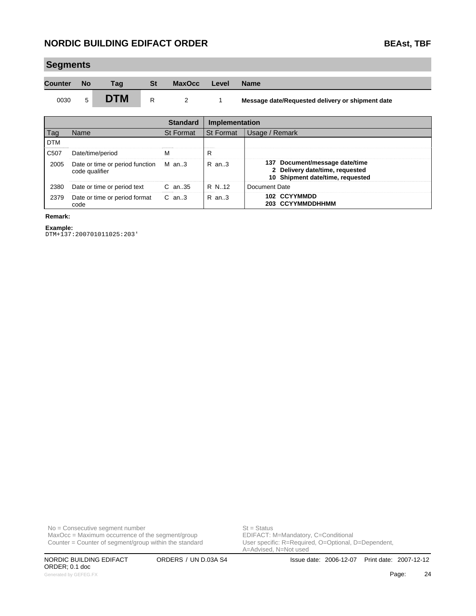| <b>Segments</b> |           |            |           |                 |                |                                                  |  |  |  |
|-----------------|-----------|------------|-----------|-----------------|----------------|--------------------------------------------------|--|--|--|
| <b>Counter</b>  | <b>No</b> | Tag        | <b>St</b> | <b>MaxOcc</b>   | Level          | <b>Name</b>                                      |  |  |  |
| 0030            | 5         | <b>DTM</b> | R         | 2               |                | Message date/Requested delivery or shipment date |  |  |  |
|                 |           |            |           | <b>Standard</b> | Implementation |                                                  |  |  |  |

|                  |                                                         | vianuaru         | <b>IIIIDICIIICIIIAIIUII</b> |                                                                                                       |
|------------------|---------------------------------------------------------|------------------|-----------------------------|-------------------------------------------------------------------------------------------------------|
| Tag              | Name                                                    | <b>St Format</b> | <b>St Format</b>            | Usage / Remark                                                                                        |
| <b>DTM</b>       |                                                         |                  |                             |                                                                                                       |
| C <sub>507</sub> | Date/time/period                                        |                  |                             |                                                                                                       |
| 2005             | Date or time or period function M an3<br>code qualifier |                  | $R$ an. $3$                 | 137 Document/message date/time<br>2 Delivery date/time, requested<br>10 Shipment date/time, requested |
| 2380             | Date or time or period text                             | $C$ an. 35       | R N.12                      | Document Date                                                                                         |
| 2379             | Date or time or period format<br>code                   | C an3            | $R$ an. $3$                 | 102 CCYYMMDD<br>203 CCYYMMDDHHMM                                                                      |

#### **Remark:**

**Example:** DTM+137:200701011025:203'

No = Consecutive segment number<br>
MaxOcc = Maximum occurrence of the segment/group<br>
EDIFACT: M=Mandatory, C=Conditional  $MaxOcc = Maximum$  occurrence of the segment/group

Counter = Counter of segment/group within the standard

ORDER; 0.1 doc

User specific: R=Required, O=Optional, D=Dependent,<br>A=Advised, N=Not used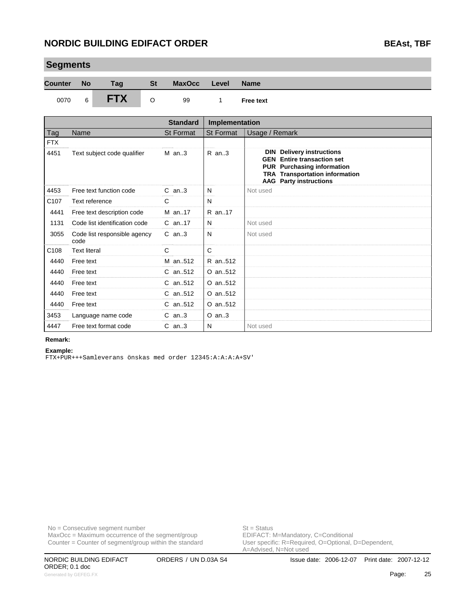| <b>Counter</b>   | <b>No</b>           | Tag                           | <b>St</b> | <b>MaxOcc</b>    | Level            | <b>Name</b>                                                                                                                                                                                              |
|------------------|---------------------|-------------------------------|-----------|------------------|------------------|----------------------------------------------------------------------------------------------------------------------------------------------------------------------------------------------------------|
| 0070             | 6                   | <b>FTX</b>                    | O         | 99               | 1                | <b>Free text</b>                                                                                                                                                                                         |
|                  |                     |                               |           | <b>Standard</b>  | Implementation   |                                                                                                                                                                                                          |
| Tag              | Name                |                               |           | <b>St Format</b> | <b>St Format</b> | Usage / Remark                                                                                                                                                                                           |
| <b>FTX</b>       |                     |                               |           |                  |                  |                                                                                                                                                                                                          |
| 4451             |                     | Text subject code qualifier   |           | $M$ an3          | $R$ an3          | <b>Delivery instructions</b><br><b>DIN</b><br><b>GEN</b><br><b>Entire transaction set</b><br><b>PUR</b> Purchasing information<br><b>TRA Transportation information</b><br><b>AAG</b> Party instructions |
| 4453             |                     | Free text function code       |           | $C$ an3          | N                | Not used                                                                                                                                                                                                 |
| C <sub>107</sub> | Text reference      |                               |           | $\mathsf{C}$     | N                |                                                                                                                                                                                                          |
| 4441             |                     | Free text description code    |           | M an17           | R an17           |                                                                                                                                                                                                          |
| 1131             |                     | Code list identification code |           | $C$ an. 17       | N                | Not used                                                                                                                                                                                                 |
| 3055             | code                | Code list responsible agency  |           | $C$ an3          | N                | Not used                                                                                                                                                                                                 |
| C108             | <b>Text literal</b> |                               |           | C                | C                |                                                                                                                                                                                                          |
| 4440             | Free text           |                               |           | M an512          | R an512          |                                                                                                                                                                                                          |
| 4440             | Free text           |                               |           | C an., 512       | O an512          |                                                                                                                                                                                                          |
| 4440             | Free text           |                               |           | $C$ an512        | O an512          |                                                                                                                                                                                                          |
| 4440             | Free text           |                               |           | C an512          | O an512          |                                                                                                                                                                                                          |

### **Segments**

| Remark: |
|---------|

### **Example:**

FTX+PUR+++Samleverans önskas med order 12345:A:A:A:A+SV'

4447 Free text format code C an..3 N

4440 Free text C an..512 O an..512 3453 Language name code C an..3 | O an..3

No = Consecutive segment number<br>
MaxOcc = Maximum occurrence of the segment/group<br>
EDIFACT: M=Mandatory, C=Conditional  $MaxOcc = Maximum occurrence of the segment/group$ Counter = Counter of segment/group within the standard

User specific: R=Required, O=Optional, D=Dependent,<br>A=Advised, N=Not used

ORDER; 0.1 doc Generated by GEFEG.FX **Page:** 25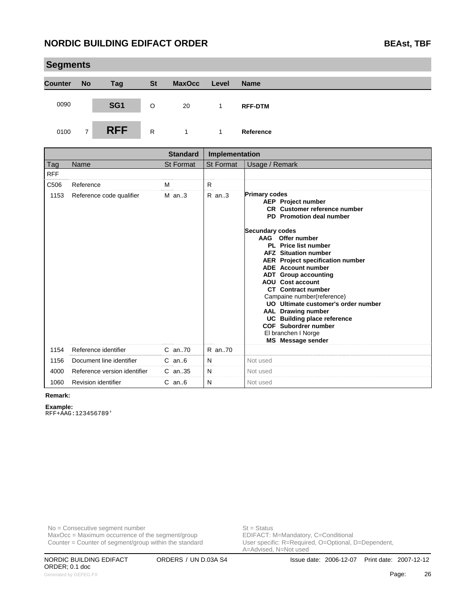|                | <b>Segments</b> |                 |           |               |       |                |  |  |  |
|----------------|-----------------|-----------------|-----------|---------------|-------|----------------|--|--|--|
| <b>Counter</b> | <b>No</b>       | <b>Tag</b>      | <b>St</b> | <b>MaxOcc</b> | Level | <b>Name</b>    |  |  |  |
| 0090           |                 | SG <sub>1</sub> | $\circ$   | 20            |       | <b>RFF-DTM</b> |  |  |  |
| 0100           | $\overline{7}$  | <b>RFF</b>      | R         |               | 1     | Reference      |  |  |  |

|            |                              | <b>Standard</b>  | Implementation   |                                                                                                                                                                                                                                                                                                                                                                                                                                                                                                                                                                                                                |
|------------|------------------------------|------------------|------------------|----------------------------------------------------------------------------------------------------------------------------------------------------------------------------------------------------------------------------------------------------------------------------------------------------------------------------------------------------------------------------------------------------------------------------------------------------------------------------------------------------------------------------------------------------------------------------------------------------------------|
| <b>Tag</b> | Name                         | <b>St Format</b> | <b>St Format</b> | Usage / Remark                                                                                                                                                                                                                                                                                                                                                                                                                                                                                                                                                                                                 |
| <b>RFF</b> |                              |                  |                  |                                                                                                                                                                                                                                                                                                                                                                                                                                                                                                                                                                                                                |
| C506       | Reference                    | M                | R                |                                                                                                                                                                                                                                                                                                                                                                                                                                                                                                                                                                                                                |
| 1153       | Reference code qualifier     | $M$ an3          | R an3            | <b>Primary codes</b><br><b>AEP</b> Project number<br><b>CR</b> Customer reference number<br>PD Promotion deal number<br><b>Secundary codes</b><br>AAG<br>Offer number<br>PL Price list number<br><b>AFZ</b> Situation number<br><b>AER</b> Project specification number<br><b>ADE</b> Account number<br><b>ADT</b> Group accounting<br><b>AOU</b> Cost account<br><b>CT</b> Contract number<br>Campaine number(reference)<br>UO Ultimate customer's order number<br><b>AAL</b> Drawing number<br><b>UC</b> Building place reference<br>COF Subordrer number<br>El branchen I Norge<br><b>MS</b> Message sender |
| 1154       | Reference identifier         | $C$ an. $70$     | R an70           |                                                                                                                                                                                                                                                                                                                                                                                                                                                                                                                                                                                                                |
| 1156       | Document line identifier     | $C$ an $6$       | N                | Not used                                                                                                                                                                                                                                                                                                                                                                                                                                                                                                                                                                                                       |
| 4000       | Reference version identifier | $C$ an. 35       | N                | Not used                                                                                                                                                                                                                                                                                                                                                                                                                                                                                                                                                                                                       |
| 1060       | Revision identifier          | $C$ an $6$       | N                | Not used                                                                                                                                                                                                                                                                                                                                                                                                                                                                                                                                                                                                       |

#### **Remark:**

**Example:** RFF+AAG:123456789'

No = Consecutive segment number<br>
MaxOcc = Maximum occurrence of the segment/group<br>
EDIFACT: M=Mandatory, C=Conditional  $MaxOcc = Maximum$  occurrence of the segment/group Counter = Counter of segment/group within the standard

User specific: R=Required, O=Optional, D=Dependent,<br>A=Advised, N=Not used

ORDER; 0.1 doc Generated by GEFEG.FX **Page:** 26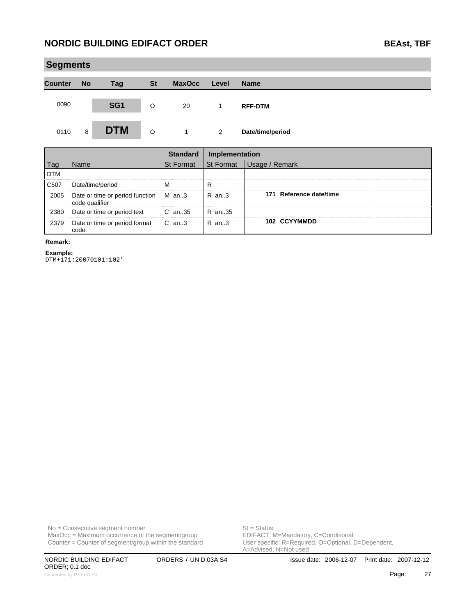|                | <b>Segments</b> |                 |           |               |       |                  |  |  |  |
|----------------|-----------------|-----------------|-----------|---------------|-------|------------------|--|--|--|
| <b>Counter</b> | <b>No</b>       | <b>Tag</b>      | <b>St</b> | <b>MaxOcc</b> | Level | <b>Name</b>      |  |  |  |
| 0090           |                 | SG <sub>1</sub> | $\circ$   | 20            | 1.    | <b>RFF-DTM</b>   |  |  |  |
| 0110           | 8               | <b>DTM</b>      | $\circ$   | 1             | 2     | Date/time/period |  |  |  |

|            |                                                         | Standard         | Implementation |                         |
|------------|---------------------------------------------------------|------------------|----------------|-------------------------|
|            | Name                                                    | <b>St Format</b> | l St Format    | Usage / Remark          |
| <b>DTM</b> |                                                         |                  |                |                         |
| C507       | Date/time/period                                        |                  |                |                         |
| 2005       | Date or time or period function M an3<br>code qualifier |                  | $R$ an. $3$    | 171 Reference date/time |
| 2380       | Date or time or period text                             | $C$ an. 35       | $R$ an. 35     |                         |
| 2379       | Date or time or period format<br>code                   | C an3            | $R$ an. 3      | 102 CCYYMMDD            |

#### **Remark:**

**Example:**

DTM+171:20070101:102'

 $MaxOcc = Maximum$  occurrence of the segment/group Counter = Counter of segment/group within the standard

No = Consecutive segment number<br>
MaxOcc = Maximum occurrence of the segment/group<br>
EDIFACT: M=Mandatory, C=Conditional User specific: R=Required, O=Optional, D=Dependent,<br>A=Advised, N=Not used

ORDER; 0.1 doc Generated by GEFEG.FX **Page:** 27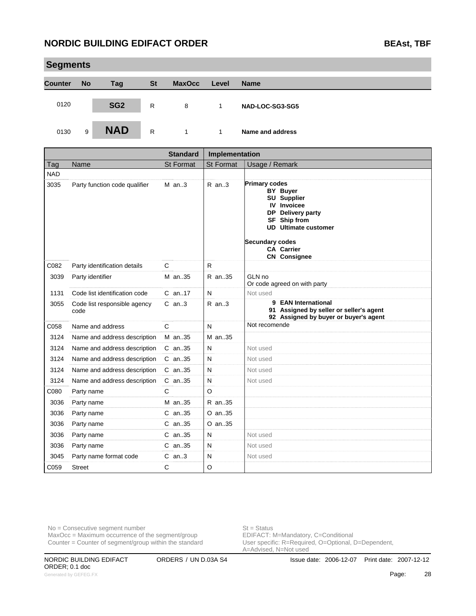|                | <b>Segments</b> |                 |           |               |       |                  |  |  |  |  |
|----------------|-----------------|-----------------|-----------|---------------|-------|------------------|--|--|--|--|
| <b>Counter</b> | <b>No</b>       | <b>Tag</b>      | <b>St</b> | <b>MaxOcc</b> | Level | <b>Name</b>      |  |  |  |  |
| 0120           |                 | SG <sub>2</sub> | R         | 8             | 1     | NAD-LOC-SG3-SG5  |  |  |  |  |
| 0130           | 9               | <b>NAD</b>      | R         | 1             | 1     | Name and address |  |  |  |  |

|            |                                      | <b>Standard</b>  | Implementation |                                                                                                                                                                                                                        |  |
|------------|--------------------------------------|------------------|----------------|------------------------------------------------------------------------------------------------------------------------------------------------------------------------------------------------------------------------|--|
| Tag        | Name                                 | <b>St Format</b> | St Format      | Usage / Remark                                                                                                                                                                                                         |  |
| <b>NAD</b> |                                      |                  |                |                                                                                                                                                                                                                        |  |
| 3035       | Party function code qualifier        | $M$ an3          | R an3          | <b>Primary codes</b><br><b>BY Buyer</b><br><b>SU Supplier</b><br><b>IV</b> Invoicee<br>DP Delivery party<br>SF Ship from<br><b>UD</b> Ultimate customer<br>Secundary codes<br><b>CA Carrier</b><br><b>CN</b> Consignee |  |
| C082       | Party identification details         | C                | $\mathsf{R}$   |                                                                                                                                                                                                                        |  |
| 3039       | Party identifier                     | M an35           | R an35         | GLN no<br>Or code agreed on with party                                                                                                                                                                                 |  |
| 1131       | Code list identification code        | $C$ an. 17       | N              | Not used                                                                                                                                                                                                               |  |
| 3055       | Code list responsible agency<br>code | $C$ an3          | $R$ an3        | 9 EAN International<br>91 Assigned by seller or seller's agent<br>92 Assigned by buyer or buyer's agent                                                                                                                |  |
| C058       | Name and address                     | C                | N              | Not recomende                                                                                                                                                                                                          |  |
| 3124       | Name and address description         | M an35           | M an35         |                                                                                                                                                                                                                        |  |
| 3124       | Name and address description         | C an35           | N              | Not used                                                                                                                                                                                                               |  |
| 3124       | Name and address description         | C an35           | N              | Not used                                                                                                                                                                                                               |  |
| 3124       | Name and address description         | C an35           | N              | Not used                                                                                                                                                                                                               |  |
| 3124       | Name and address description         | C an35           | N              | Not used                                                                                                                                                                                                               |  |
| C080       | Party name                           | C                | $\circ$        |                                                                                                                                                                                                                        |  |
| 3036       | Party name                           | M an35           | R an35         |                                                                                                                                                                                                                        |  |
| 3036       | Party name                           | C an35           | O an35         |                                                                                                                                                                                                                        |  |
| 3036       | Party name                           | C an35           | O an35         |                                                                                                                                                                                                                        |  |
| 3036       | Party name                           | C an35           | N              | Not used                                                                                                                                                                                                               |  |
| 3036       | Party name                           | C an35           | N              | Not used                                                                                                                                                                                                               |  |
| 3045       | Party name format code               | $C$ an3          | N              | Not used                                                                                                                                                                                                               |  |
| C059       | <b>Street</b>                        | C                | $\circ$        |                                                                                                                                                                                                                        |  |

No = Consecutive segment number<br>
MaxOcc = Maximum occurrence of the segment/group<br>
EDIFACT: M=Mandatory, C=Conditional  $MaxOcc = Maximum occurrence of the segment/group$ Counter = Counter of segment/group within the standard

User specific: R=Required, O=Optional, D=Dependent,<br>A=Advised, N=Not used

ORDER; 0.1 doc Generated by GEFEG.FX **28**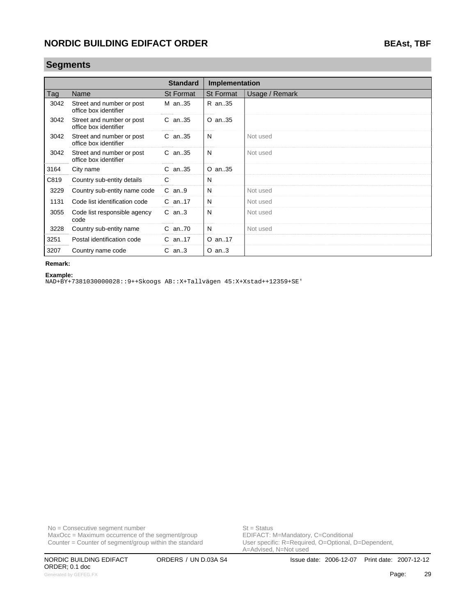### **Segments**

|      |                                                    | <b>Standard</b> | Implementation   |                |
|------|----------------------------------------------------|-----------------|------------------|----------------|
| Tag  | Name                                               | St Format       | <b>St Format</b> | Usage / Remark |
| 3042 | Street and number or post<br>office box identifier | M an35          | R an35           |                |
| 3042 | Street and number or post<br>office box identifier | $C$ an. 35      | O an35           |                |
| 3042 | Street and number or post<br>office box identifier | $C$ an. 35      | N                | Not used       |
| 3042 | Street and number or post<br>office box identifier | $C$ an. 35      | N                | Not used       |
| 3164 | City name                                          | $C$ an. 35      | O an35           |                |
| C819 | Country sub-entity details                         | C               | N                |                |
| 3229 | Country sub-entity name code                       | $C$ an9         | N                | Not used       |
| 1131 | Code list identification code                      | $C$ an. 17      | N                | Not used       |
| 3055 | Code list responsible agency<br>code               | $C$ an3         | N                | Not used       |
| 3228 | Country sub-entity name                            | C an70          | N                | Not used       |
| 3251 | Postal identification code                         | $C$ an17        | O an17           |                |
| 3207 | Country name code                                  | $C$ an3         | $O$ an3          |                |

#### **Remark:**

**Example:**

NAD+BY+7381030000028::9++Skoogs AB::X+Tallvägen 45:X+Xstad++12359+SE'

 $MaxOcc = Maximum$  occurrence of the segment/group Counter = Counter of segment/group within the standard

No = Consecutive segment number<br>
MaxOcc = Maximum occurrence of the segment/group<br>
EDIFACT: M=Mandatory, C=Conditional

ORDER; 0.1 doc Generated by GEFEG.FX **Page:** 29

User specific: R=Required, O=Optional, D=Dependent,<br>A=Advised, N=Not used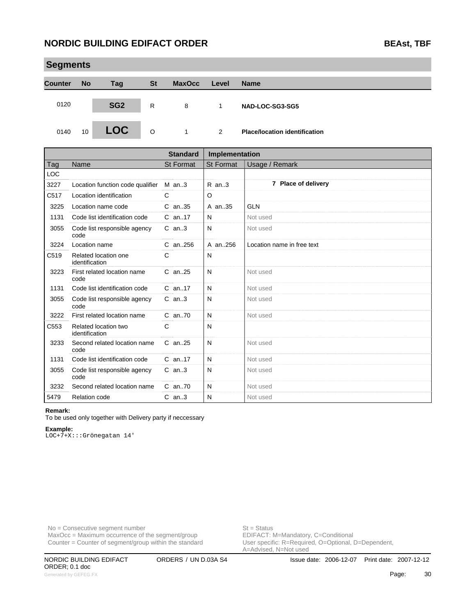|                | <b>Segments</b> |                 |           |               |       |                                      |  |  |  |  |
|----------------|-----------------|-----------------|-----------|---------------|-------|--------------------------------------|--|--|--|--|
| <b>Counter</b> | <b>No</b>       | Tag             | <b>St</b> | <b>MaxOcc</b> | Level | <b>Name</b>                          |  |  |  |  |
| 0120           |                 | SG <sub>2</sub> | R         | 8             |       | NAD-LOC-SG3-SG5                      |  |  |  |  |
| 0140           | 10              | <b>LOC</b>      | $\circ$   | $\mathbf{1}$  | 2     | <b>Place/location identification</b> |  |  |  |  |

|            |                                        | <b>Standard</b>  | Implementation |                            |
|------------|----------------------------------------|------------------|----------------|----------------------------|
| Tag        | Name                                   | <b>St Format</b> | St Format      | Usage / Remark             |
| <b>LOC</b> |                                        |                  |                |                            |
| 3227       | Location function code qualifier       | $M$ an3          | $R$ an3        | 7 Place of delivery        |
| C517       | Location identification                | C                | O              |                            |
| 3225       | Location name code                     | C an. 35         | A an. 35       | <b>GLN</b>                 |
| 1131       | Code list identification code          | C an17           | N              | Not used                   |
| 3055       | Code list responsible agency<br>code   | $C$ an3          | N              | Not used                   |
| 3224       | Location name                          | $C$ an. 256      | A an.,256      | Location name in free text |
| C519       | Related location one<br>identification | C                | N              |                            |
| 3223       | First related location name<br>code    | $C$ an. 25       | N              | Not used                   |
| 1131       | Code list identification code          | $C$ an. 17       | N              | Not used                   |
| 3055       | Code list responsible agency<br>code   | $C$ an3          | N              | Not used                   |
| 3222       | First related location name            | C an70           | N              | Not used                   |
| C553       | Related location two<br>identification | $\mathsf{C}$     | N              |                            |
| 3233       | Second related location name<br>code   | C an25           | N              | Not used                   |
| 1131       | Code list identification code          | $C$ an. 17       | N              | Not used                   |
| 3055       | Code list responsible agency<br>code   | $C$ an3          | N              | Not used                   |
| 3232       | Second related location name           | $C$ an70         | N              | Not used                   |
| 5479       | <b>Relation code</b>                   | $C$ an3          | N              | Not used                   |

#### **Remark:**

To be used only together with Delivery party if neccessary

#### **Example:**

LOC+7+X:::Grönegatan 14'

No = Consecutive segment number<br>
MaxOcc = Maximum occurrence of the segment/group<br>
EDIFACT: M=Mandatory, C=Conditional  $MaxOcc = Maximum$  occurrence of the segment/group Counter = Counter of segment/group within the standard

User specific: R=Required, O=Optional, D=Dependent,<br>A=Advised, N=Not used

ORDER; 0.1 doc Generated by GEFEG.FX **Page:** 20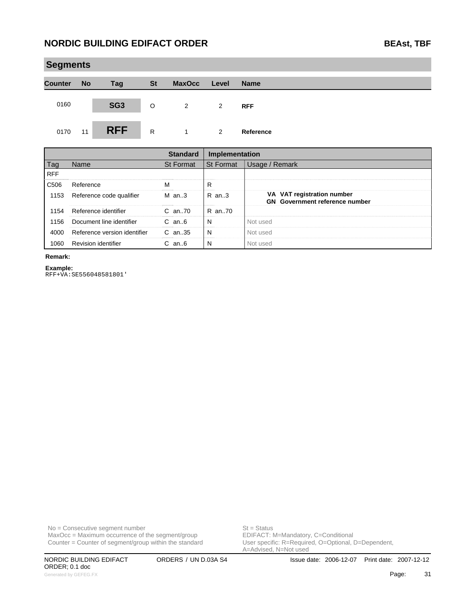|                | <b>Segments</b> |                 |           |               |       |             |  |  |  |  |
|----------------|-----------------|-----------------|-----------|---------------|-------|-------------|--|--|--|--|
| <b>Counter</b> | <b>No</b>       | Tag             | <b>St</b> | <b>MaxOcc</b> | Level | <b>Name</b> |  |  |  |  |
| 0160           |                 | SG <sub>3</sub> | O         | 2             | 2     | <b>RFF</b>  |  |  |  |  |
| 0170           | 11              | <b>RFF</b>      | R         | $\mathbf{1}$  | 2     | Reference   |  |  |  |  |

|            |                              | <b>Standard</b> | Implementation |                                                                     |
|------------|------------------------------|-----------------|----------------|---------------------------------------------------------------------|
| Tag        | <b>Name</b>                  | St Format       | l St Format    | Usage / Remark                                                      |
| <b>RFF</b> |                              |                 |                |                                                                     |
| C506       | Reference                    | м               | R              |                                                                     |
| 1153       | Reference code qualifier     | $M$ an3         | R an3          | VA VAT registration number<br><b>GN</b> Government reference number |
| 1154       | Reference identifier         | $C$ an. $70$    | R an70         |                                                                     |
| 1156       | Document line identifier     | $C$ an $6$      | N              | Not used                                                            |
| 4000       | Reference version identifier | $C$ an. 35      | N              | Not used                                                            |
| 1060       | Revision identifier          | $C$ an $6$      | N              | Not used                                                            |

### **Remark:**

**Example:** RFF+VA:SE556048581801'

 $MaxOcc = Maximum$  occurrence of the segment/group Counter = Counter of segment/group within the standard

No = Consecutive segment number<br>
MaxOcc = Maximum occurrence of the segment/group<br>
EDIFACT: M=Mandatory, C=Conditional

ORDER; 0.1 doc Generated by GEFEG.FX **Page:** 31

User specific: R=Required, O=Optional, D=Dependent,<br>A=Advised, N=Not used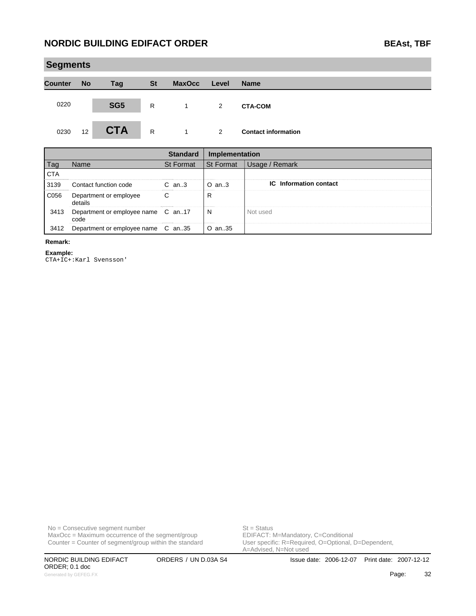|                | <b>Segments</b> |                 |              |                |       |                            |  |  |  |  |  |  |
|----------------|-----------------|-----------------|--------------|----------------|-------|----------------------------|--|--|--|--|--|--|
| <b>Counter</b> | <b>No</b>       | Tag             | <b>St</b>    | <b>MaxOcc</b>  | Level | <b>Name</b>                |  |  |  |  |  |  |
| 0220           |                 | SG <sub>5</sub> | R            | -1             | 2     | <b>CTA-COM</b>             |  |  |  |  |  |  |
| 0230           | 12              | <b>CTA</b>      | $\mathsf{R}$ | $\overline{1}$ | 2     | <b>Contact information</b> |  |  |  |  |  |  |

|      |                                            |                  | Implementation   |                               |
|------|--------------------------------------------|------------------|------------------|-------------------------------|
|      | Aame.                                      | <b>St Format</b> | <b>St Format</b> | Remark                        |
| CTA  |                                            |                  |                  |                               |
| 3139 | Contact function code                      | $C$ an. $3$      | $O$ an3          | <b>IC</b> Information contact |
| C056 | Department or employee<br>details          |                  |                  |                               |
| 3413 | Department or employee name C an17<br>code |                  | N<br>            | Not used                      |
|      | Department or employee name                | C an35           | O an35           |                               |

#### **Remark:**

**Example:**

CTA+IC+:Karl Svensson'

 $MaxOcc = Maximum$  occurrence of the segment/group Counter = Counter of segment/group within the standard

No = Consecutive segment number<br>
MaxOcc = Maximum occurrence of the segment/group<br>
EDIFACT: M=Mandatory, C=Conditional

ORDER; 0.1 doc Generated by GEFEG.FX **22 Page:** 32

User specific: R=Required, O=Optional, D=Dependent,<br>A=Advised, N=Not used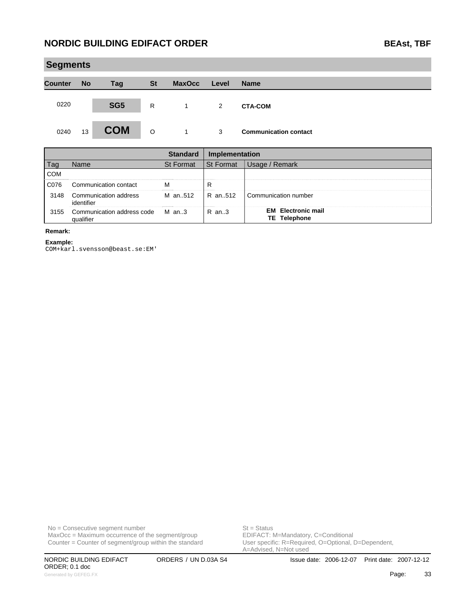|                | <b>Segments</b> |                 |           |                |                |                              |  |  |  |  |  |
|----------------|-----------------|-----------------|-----------|----------------|----------------|------------------------------|--|--|--|--|--|
| <b>Counter</b> | <b>No</b>       | <b>Tag</b>      | <b>St</b> | <b>MaxOcc</b>  | Level          | <b>Name</b>                  |  |  |  |  |  |
| 0220           |                 | SG <sub>5</sub> | R         | $\overline{1}$ | $\overline{2}$ | <b>CTA-COM</b>               |  |  |  |  |  |
| 0240           | 13              | <b>COM</b>      | O         | $\overline{1}$ | 3              | <b>Communication contact</b> |  |  |  |  |  |

|            |                                               | standard         | Implementation   |                                                  |
|------------|-----------------------------------------------|------------------|------------------|--------------------------------------------------|
| Tag        | lame                                          | <b>St Format</b> | <b>St Format</b> | ′ Remark<br>Jsage /                              |
| <b>COM</b> |                                               |                  |                  |                                                  |
| C076       | Communication contact                         |                  |                  |                                                  |
| 3148       | Communication address<br>identifier           | M an512 IR an512 |                  | Communication number                             |
| 3155       | Communication address code M an3<br>qualifier |                  | R an3            | <b>EM</b> Electronic mail<br><b>TE</b> Telephone |

### **Remark:**

**Example:**

COM+karl.svensson@beast.se:EM'

No = Consecutive segment number<br>
MaxOcc = Maximum occurrence of the segment/group<br>
EDIFACT: M=Mandatory, C=Conditional  $MaxOcc = Maximum$  occurrence of the segment/group Counter = Counter of segment/group within the standard

User specific: R=Required, O=Optional, D=Dependent,<br>A=Advised, N=Not used

ORDER; 0.1 doc Generated by GEFEG.FX **23 Page:** 23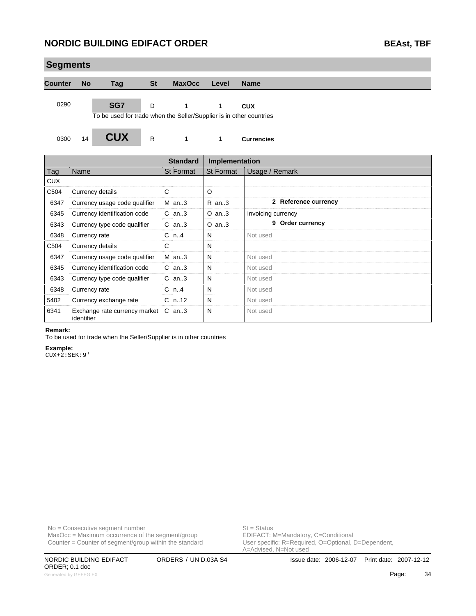| <b>Segments</b> |               |                                                                            |              |                  |                       |                      |
|-----------------|---------------|----------------------------------------------------------------------------|--------------|------------------|-----------------------|----------------------|
| <b>Counter</b>  | <b>No</b>     | Tag                                                                        | <b>St</b>    | <b>MaxOcc</b>    | Level                 | <b>Name</b>          |
| 0290            |               | SG7<br>To be used for trade when the Seller/Supplier is in other countries | D            | 1                | 1                     | <b>CUX</b>           |
| 0300            | 14            | <b>CUX</b>                                                                 | $\mathsf{R}$ | 1                | $\mathbf{1}$          | <b>Currencies</b>    |
|                 |               |                                                                            |              | <b>Standard</b>  | <b>Implementation</b> |                      |
| Tag             | Name          |                                                                            |              | <b>St Format</b> | <b>St Format</b>      | Usage / Remark       |
| <b>CUX</b>      |               |                                                                            |              |                  |                       |                      |
| C504            |               | Currency details                                                           |              | C                | O                     |                      |
| 6347            |               | Currency usage code qualifier                                              |              | $M$ an3          | $R$ an3               | 2 Reference currency |
| 6345            |               | Currency identification code                                               |              | $C$ an3          | $O$ an3               | Invoicing currency   |
| 6343            |               | Currency type code qualifier                                               |              | $C$ an3          | $O$ an3               | 9 Order currency     |
| 6348            | Currency rate |                                                                            |              | $C_n$ .4         | N                     | Not used             |
| C504            |               | Currency details                                                           |              | C                | N                     |                      |
| 6347            |               | Currency usage code qualifier                                              |              | $M$ an3          | N                     | Not used             |
| 6345            |               | Currency identification code                                               |              | $C$ an3          | N                     | Not used             |
| 6343            |               | Currency type code qualifier                                               |              | $C$ an3          | N                     | Not used             |
| 6348            | Currency rate |                                                                            |              | $C_n$ n4         | N                     | Not used             |
| 5402            |               | Currency exchange rate                                                     |              | $C_n$ .12        | N                     | Not used             |
| 6341            | identifier    | Exchange rate currency market C an3                                        |              |                  | N                     | Not used             |

#### **Remark:**

To be used for trade when the Seller/Supplier is in other countries

#### **Example:**

CUX+2:SEK:9'

 $MaxOcc = Maximum occurrence of the segment/group$ Counter = Counter of segment/group within the standard

No = Consecutive segment number<br>
MaxOcc = Maximum occurrence of the segment/group<br>
EDIFACT: M=Mandatory, C=Conditional User specific: R=Required, O=Optional, D=Dependent,<br>A=Advised, N=Not used

ORDER; 0.1 doc Generated by GEFEG.FX **Page:** 34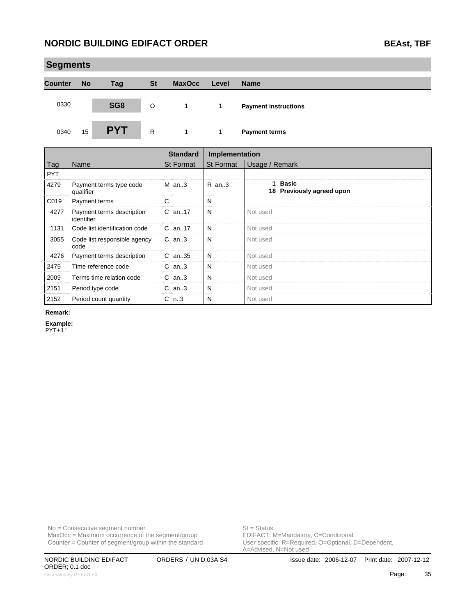|                | <b>Segments</b> |            |              |               |       |                             |  |  |  |  |  |
|----------------|-----------------|------------|--------------|---------------|-------|-----------------------------|--|--|--|--|--|
| <b>Counter</b> | <b>No</b>       | <b>Tag</b> | <b>St</b>    | <b>MaxOcc</b> | Level | <b>Name</b>                 |  |  |  |  |  |
| 0330           |                 | SG8        | $\circ$      | 1             | 1     | <b>Payment instructions</b> |  |  |  |  |  |
| 0340           | 15              | <b>PYT</b> | $\mathsf{R}$ | $\mathbf{1}$  | 1     | <b>Payment terms</b>        |  |  |  |  |  |

|            |                                         | <b>Standard</b>  | Implementation   |                                      |
|------------|-----------------------------------------|------------------|------------------|--------------------------------------|
| Tag        | Name                                    | <b>St Format</b> | <b>St Format</b> | Usage / Remark                       |
| <b>PYT</b> |                                         |                  |                  |                                      |
| 4279       | Payment terms type code<br>qualifier    | $M$ an3          | R an3            | 1 Basic<br>18 Previously agreed upon |
| C019       | Payment terms                           | С                | N                |                                      |
| 4277       | Payment terms description<br>identifier | $C$ an. 17       | N                | Not used                             |
| 1131       | Code list identification code           | $C$ an17         | N                | Not used                             |
| 3055       | Code list responsible agency<br>code    | $C$ an3          | N                | Not used                             |
| 4276       | Payment terms description               | $C$ an. 35       | N                | Not used                             |
| 2475       | Time reference code                     | $C$ an3          | N                | Not used                             |
| 2009       | Terms time relation code                | $C$ an3          | N                | Not used                             |
| 2151       | Period type code                        | $C$ an3          | N                | Not used                             |
| 2152       | Period count quantity                   | $C_{n.3}$        | N                | Not used                             |

#### **Remark:**

**Example:**

PYT+1'

No = Consecutive segment number<br>
MaxOcc = Maximum occurrence of the segment/group<br>
EDIFACT: M=Mandatory, C=Conditional  $MaxOcc = Maximum$  occurrence of the segment/group Counter = Counter of segment/group within the standard

User specific: R=Required, O=Optional, D=Dependent,<br>A=Advised, N=Not used

ORDER; 0.1 doc Generated by GEFEG.FX **Page:** 35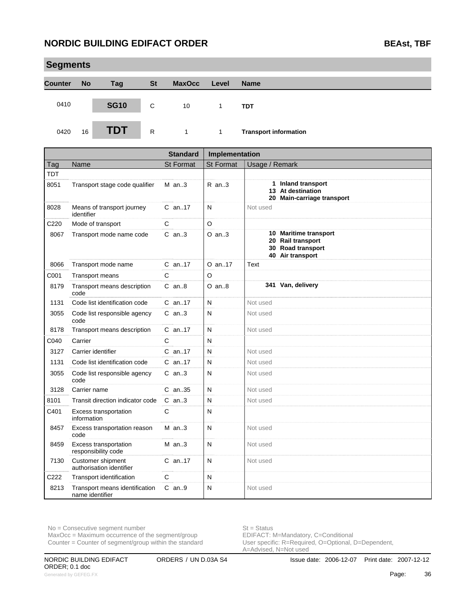|                | <b>Segments</b> |             |              |               |       |                              |  |  |  |  |  |  |
|----------------|-----------------|-------------|--------------|---------------|-------|------------------------------|--|--|--|--|--|--|
| <b>Counter</b> | <b>No</b>       | <b>Tag</b>  | <b>St</b>    | <b>MaxOcc</b> | Level | <b>Name</b>                  |  |  |  |  |  |  |
| 0410           |                 | <b>SG10</b> | C            | 10            |       | <b>TDT</b>                   |  |  |  |  |  |  |
| 0420           | 16              | TDT         | $\mathsf{R}$ | $\mathbf{1}$  | 1     | <b>Transport information</b> |  |  |  |  |  |  |

|      |                                                     | <b>Standard</b>  | Implementation   |                                                                                     |
|------|-----------------------------------------------------|------------------|------------------|-------------------------------------------------------------------------------------|
| Tag  | Name                                                | <b>St Format</b> | <b>St Format</b> | Usage / Remark                                                                      |
| TDT  |                                                     |                  |                  |                                                                                     |
| 8051 | Transport stage code qualifier                      | $M$ an3          | R an3            | 1 Inland transport<br>13 At destination<br>20 Main-carriage transport               |
| 8028 | Means of transport journey<br>identifier            | $C$ an. 17       | N                | Not used                                                                            |
| C220 | Mode of transport                                   | C                | O                |                                                                                     |
| 8067 | Transport mode name code                            | $C$ an3          | $O$ an3          | 10 Maritime transport<br>20 Rail transport<br>30 Road transport<br>40 Air transport |
| 8066 | Transport mode name                                 | $C$ an. 17       | $O$ an. 17       | Text                                                                                |
| C001 | Transport means                                     | C                | O                |                                                                                     |
| 8179 | Transport means description<br>code                 | $C$ an $8$       | $O$ an $8$       | 341 Van, delivery                                                                   |
| 1131 | Code list identification code                       | $C$ an. 17       | N                | Not used                                                                            |
| 3055 | Code list responsible agency<br>code                | $C$ an. $3$      | N                | Not used                                                                            |
| 8178 | Transport means description                         | $C$ an. 17       | N                | Not used                                                                            |
| C040 | Carrier                                             | C                | N                |                                                                                     |
| 3127 | Carrier identifier                                  | $C$ an17         | N                | Not used                                                                            |
| 1131 | Code list identification code                       | $C$ an17         | N                | Not used                                                                            |
| 3055 | Code list responsible agency<br>code                | $C$ an3          | N                | Not used                                                                            |
| 3128 | Carrier name                                        | $C$ an. 35       | N                | Not used                                                                            |
| 8101 | Transit direction indicator code                    | $C$ an3          | N                | Not used                                                                            |
| C401 | Excess transportation<br>information                | $\mathsf{C}$     | N                |                                                                                     |
| 8457 | Excess transportation reason<br>code                | $M$ an3          | N                | Not used                                                                            |
| 8459 | <b>Excess transportation</b><br>responsibility code | $M$ an3          | N                | Not used                                                                            |
| 7130 | Customer shipment<br>authorisation identifier       | $C$ an17         | N                | Not used                                                                            |
| C222 | Transport identification                            | $\mathsf{C}$     | N                |                                                                                     |
| 8213 | Transport means identification<br>name identifier   | $C$ an. 9        | N                | Not used                                                                            |

 $MaxOcc = Maximum occurrence of the segment/group$ 

Counter = Counter of segment/group within the standard

No = Consecutive segment number<br>
MaxOcc = Maximum occurrence of the segment/group<br>
EDIFACT: M=Mandatory, C=Conditional User specific: R=Required, O=Optional, D=Dependent,<br>A=Advised, N=Not used

ORDER; 0.1 doc Generated by GEFEG.FX **Page:** 36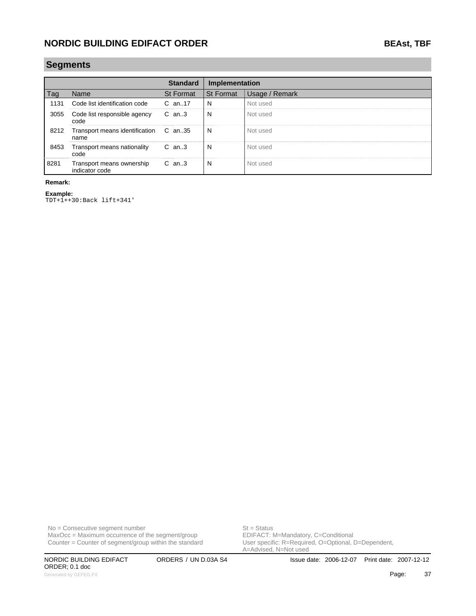### **Segments**

|      |                                               | <b>Standard</b>  | Implementation   |                |
|------|-----------------------------------------------|------------------|------------------|----------------|
| l ag | Name                                          | <b>St Format</b> | <b>St Format</b> | Usage / Remark |
| 1131 | Code list identification code                 | C an17           | N                | Not used       |
|      | 3055 Code list responsible agency<br>code     | $C$ an. 3        | N                | Not used       |
| 8212 | Transport means identification C an35<br>name |                  | N                | Not used       |
| 8453 | Transport means nationality<br>code           | C an3            | N                | Not used       |
| 8281 | Transport means ownership<br>indicator code   | $C$ an3          | N                | Not used       |

### **Remark:**

**Example:** TDT+1++30:Back lift+341'

No = Consecutive segment number<br>
MaxOcc = Maximum occurrence of the segment/group<br>
EDIFACT: M=Mandatory, C=Conditional  $MaxOcc = Maximum$  occurrence of the segment/group

Counter = Counter of segment/group within the standard

ORDER; 0.1 doc Generated by GEFEG.FX **Page:** 37

User specific: R=Required, O=Optional, D=Dependent,<br>A=Advised, N=Not used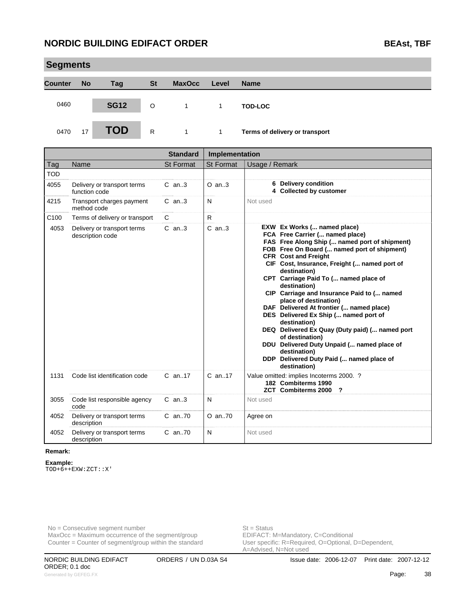| <b>Segments</b> |           |             |           |               |       |                                |  |  |  |  |  |
|-----------------|-----------|-------------|-----------|---------------|-------|--------------------------------|--|--|--|--|--|
| <b>Counter</b>  | <b>No</b> | Tag         | <b>St</b> | <b>MaxOcc</b> | Level | <b>Name</b>                    |  |  |  |  |  |
| 0460            |           | <b>SG12</b> | $\circ$   |               | 1.    | <b>TOD-LOC</b>                 |  |  |  |  |  |
| 0470            | 17        | TOD         | R         |               | 1     | Terms of delivery or transport |  |  |  |  |  |

|                  |                                                 | <b>Standard</b>  | Implementation   |                                                                                                                                                                                                                                                                                                                                                                                                                                                                                                                                                                                                                                                                                                   |
|------------------|-------------------------------------------------|------------------|------------------|---------------------------------------------------------------------------------------------------------------------------------------------------------------------------------------------------------------------------------------------------------------------------------------------------------------------------------------------------------------------------------------------------------------------------------------------------------------------------------------------------------------------------------------------------------------------------------------------------------------------------------------------------------------------------------------------------|
| Tag              | Name                                            | <b>St Format</b> | <b>St Format</b> | Usage / Remark                                                                                                                                                                                                                                                                                                                                                                                                                                                                                                                                                                                                                                                                                    |
| <b>TOD</b>       |                                                 |                  |                  |                                                                                                                                                                                                                                                                                                                                                                                                                                                                                                                                                                                                                                                                                                   |
| 4055             | Delivery or transport terms<br>function code    | $C$ an3          | $O$ an. $3$      | 6 Delivery condition<br>4 Collected by customer                                                                                                                                                                                                                                                                                                                                                                                                                                                                                                                                                                                                                                                   |
| 4215             | Transport charges payment<br>method code        | $C$ an3          | N                | Not used                                                                                                                                                                                                                                                                                                                                                                                                                                                                                                                                                                                                                                                                                          |
| C <sub>100</sub> | Terms of delivery or transport                  | C                | $\mathsf{R}$     |                                                                                                                                                                                                                                                                                                                                                                                                                                                                                                                                                                                                                                                                                                   |
| 4053             | Delivery or transport terms<br>description code | $C$ an3          | $C$ an. $3$      | EXW Ex Works ( named place)<br>FCA Free Carrier ( named place)<br>FAS Free Along Ship ( named port of shipment)<br>FOB Free On Board ( named port of shipment)<br><b>CFR</b> Cost and Freight<br>CIF Cost, Insurance, Freight ( named port of<br>destination)<br>CPT Carriage Paid To ( named place of<br>destination)<br>CIP Carriage and Insurance Paid to ( named<br>place of destination)<br>DAF Delivered At frontier ( named place)<br>DES Delivered Ex Ship ( named port of<br>destination)<br>DEQ Delivered Ex Quay (Duty paid) ( named port<br>of destination)<br>DDU Delivered Duty Unpaid ( named place of<br>destination)<br>DDP Delivered Duty Paid ( named place of<br>destination) |
| 1131             | Code list identification code                   | $C$ an. 17       | $C$ an. 17       | Value omitted: implies Incoterms 2000. ?<br>182 Combiterms 1990<br><b>ZCT</b> Combiterms 2000<br>?                                                                                                                                                                                                                                                                                                                                                                                                                                                                                                                                                                                                |
| 3055             | Code list responsible agency<br>code            | $C$ an3          | N                | Not used                                                                                                                                                                                                                                                                                                                                                                                                                                                                                                                                                                                                                                                                                          |
| 4052             | Delivery or transport terms<br>description      | C an70           | $O$ an. $70$     | Agree on                                                                                                                                                                                                                                                                                                                                                                                                                                                                                                                                                                                                                                                                                          |
| 4052             | Delivery or transport terms<br>description      | C an70           | N                | Not used                                                                                                                                                                                                                                                                                                                                                                                                                                                                                                                                                                                                                                                                                          |

#### **Remark:**

**Example:**

TOD+6++EXW:ZCT::X'

No = Consecutive segment number<br>
MaxOcc = Maximum occurrence of the segment/group<br>
EDIFACT: M=Mandatory, C=Conditional  $MaxOcc = Maximum$  occurrence of the segment/group Counter = Counter of segment/group within the standard

User specific: R=Required, O=Optional, D=Dependent,<br>A=Advised, N=Not used

ORDER; 0.1 doc Generated by GEFEG.FX **28**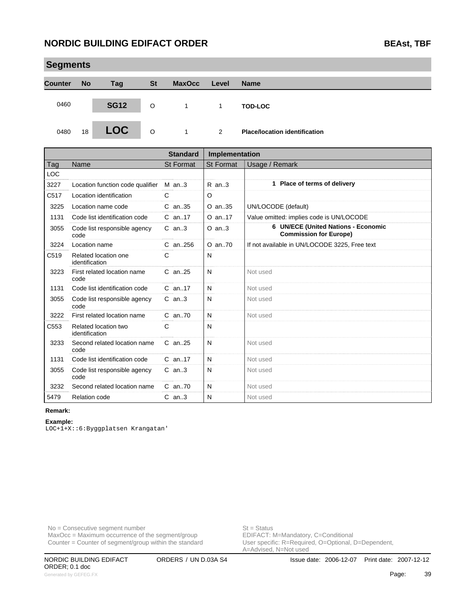|                | <b>Segments</b> |             |           |               |              |                                      |  |  |  |  |  |  |
|----------------|-----------------|-------------|-----------|---------------|--------------|--------------------------------------|--|--|--|--|--|--|
| <b>Counter</b> | <b>No</b>       | Tag         | <b>St</b> | <b>MaxOcc</b> | Level        | <b>Name</b>                          |  |  |  |  |  |  |
| 0460           |                 | <b>SG12</b> | O         | $\mathbf{1}$  | $\mathbf{1}$ | <b>TOD-LOC</b>                       |  |  |  |  |  |  |
| 0480           | 18              | <b>LOC</b>  | $\circ$   | $\mathbf{1}$  | 2            | <b>Place/location identification</b> |  |  |  |  |  |  |

|            |                                        | <b>Standard</b>  | Implementation   |                                                                      |
|------------|----------------------------------------|------------------|------------------|----------------------------------------------------------------------|
| Tag        | Name                                   | <b>St Format</b> | <b>St Format</b> | Usage / Remark                                                       |
| <b>LOC</b> |                                        |                  |                  |                                                                      |
| 3227       | Location function code qualifier       | $M$ an3          | $R$ an3          | 1 Place of terms of delivery                                         |
| C517       | Location identification                | C                | O                |                                                                      |
| 3225       | Location name code                     | C an. 35         | O an. 35         | UN/LOCODE (default)                                                  |
| 1131       | Code list identification code          | $C$ an. 17       | O an17           | Value omitted: implies code is UN/LOCODE                             |
| 3055       | Code list responsible agency<br>code   | $C$ an. $3$      | $O$ an3          | 6 UN/ECE (United Nations - Economic<br><b>Commission for Europe)</b> |
| 3224       | Location name                          | $C$ an. 256      | $O$ an. $70$     | If not available in UN/LOCODE 3225, Free text                        |
| C519       | Related location one<br>identification | C                | N                |                                                                      |
| 3223       | First related location name<br>code    | C an25           | N                | Not used                                                             |
| 1131       | Code list identification code          | $C$ an. 17       | N                | Not used                                                             |
| 3055       | Code list responsible agency<br>code   | $C$ an. $3$      | N                | Not used                                                             |
| 3222       | First related location name            | $C$ an. $70$     | N                | Not used                                                             |
| C553       | Related location two<br>identification | C                | N                |                                                                      |
| 3233       | Second related location name<br>code   | $C$ an. 25       | N                | Not used                                                             |
| 1131       | Code list identification code          | $C$ an. 17       | N                | Not used                                                             |
| 3055       | Code list responsible agency<br>code   | $C$ an. $3$      | N                | Not used                                                             |
| 3232       | Second related location name           | $C$ an. $70$     | N                | Not used                                                             |
| 5479       | <b>Relation code</b>                   | $C$ an3          | N                | Not used                                                             |

### **Remark:**

**Example:** LOC+1+X::6:Byggplatsen Krangatan'

No = Consecutive segment number<br>
MaxOcc = Maximum occurrence of the segment/group<br>
EDIFACT: M=Mandatory, C=Conditional  $MaxOcc = Maximum$  occurrence of the segment/group Counter = Counter of segment/group within the standard

User specific: R=Required, O=Optional, D=Dependent,<br>A=Advised, N=Not used

ORDER; 0.1 doc Generated by GEFEG.FX **Page:** 39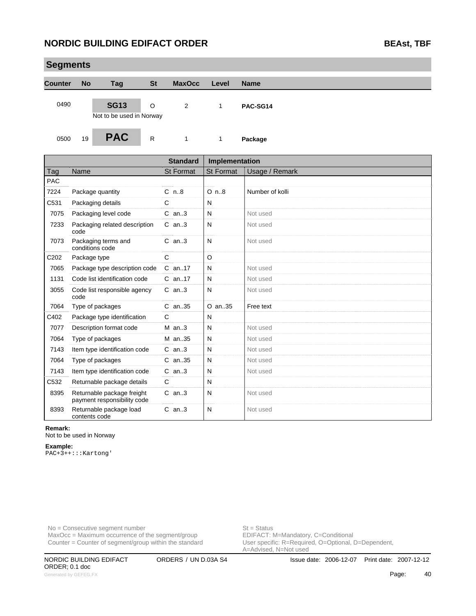### **NORDIC BUILDING EDIFACT ORDER BEAST AND REAST BEAST**, TBF

| <b>Segments</b> |           |                                         |           |               |       |             |  |  |  |  |
|-----------------|-----------|-----------------------------------------|-----------|---------------|-------|-------------|--|--|--|--|
| <b>Counter</b>  | <b>No</b> | Tag                                     | <b>St</b> | <b>MaxOcc</b> | Level | <b>Name</b> |  |  |  |  |
| 0490            |           | <b>SG13</b><br>Not to be used in Norway | O         | 2             | 1     | PAC-SG14    |  |  |  |  |
| 0500            | 19        | <b>PAC</b>                              | R         | $\mathbf{1}$  | 1     | Package     |  |  |  |  |

|                  |                                                           | <b>Standard</b>  | Implementation   |                 |
|------------------|-----------------------------------------------------------|------------------|------------------|-----------------|
| Tag              | Name                                                      | <b>St Format</b> | <b>St Format</b> | Usage / Remark  |
| <b>PAC</b>       |                                                           |                  |                  |                 |
| 7224             | Package quantity                                          | $C_n.8$          | $O$ n. $8$       | Number of kolli |
| C531             | Packaging details                                         | C                | N                |                 |
| 7075             | Packaging level code                                      | $C$ an. $3$      | N                | Not used        |
| 7233             | Packaging related description<br>code                     | $C$ an3          | N                | Not used        |
| 7073             | Packaging terms and<br>conditions code                    | $C$ an3          | N                | Not used        |
| C <sub>202</sub> | Package type                                              | C                | O                |                 |
| 7065             | Package type description code                             | C an17           | N                | Not used        |
| 1131             | Code list identification code                             | $C$ an. 17       | N                | Not used        |
| 3055             | Code list responsible agency<br>code                      | $C$ an3          | N                | Not used        |
| 7064             | Type of packages                                          | $C$ an. 35       | $O$ an. 35       | Free text       |
| C402             | Package type identification                               | C                | N                |                 |
| 7077             | Description format code                                   | $M$ an. 3        | N                | Not used        |
| 7064             | Type of packages                                          | M an35           | N                | Not used        |
| 7143             | Item type identification code                             | $C$ an3          | N                | Not used        |
| 7064             | Type of packages                                          | $C$ an. 35       | N                | Not used        |
| 7143             | Item type identification code                             | $C$ an3          | N                | Not used        |
| C532             | Returnable package details                                | C                | N                |                 |
| 8395             | Returnable package freight<br>payment responsibility code | $C$ an3          | N                | Not used        |
| 8393             | Returnable package load<br>contents code                  | $C$ an3          | N                | Not used        |

#### **Remark:**

Not to be used in Norway

#### **Example:**

PAC+3++:::Kartong'

No = Consecutive segment number<br>
MaxOcc = Maximum occurrence of the segment/group<br>
EDIFACT: M=Mandatory, C=Conditional  $MaxOcc = Maximum$  occurrence of the segment/group Counter = Counter of segment/group within the standard

User specific: R=Required, O=Optional, D=Dependent,<br>A=Advised, N=Not used

ORDER; 0.1 doc Generated by GEFEG.FX **ADVERSION CONTROL** CONTROLLER CONTROLLER CONTROLLER CONTROLLER CONTROLLER CONTROLLER CONTROLLER CONTROLLER CONTROLLER CONTROLLER CONTROLLER CONTROLLER CONTROLLER CONTROLLER CONTROLLER CONTROLLER CONT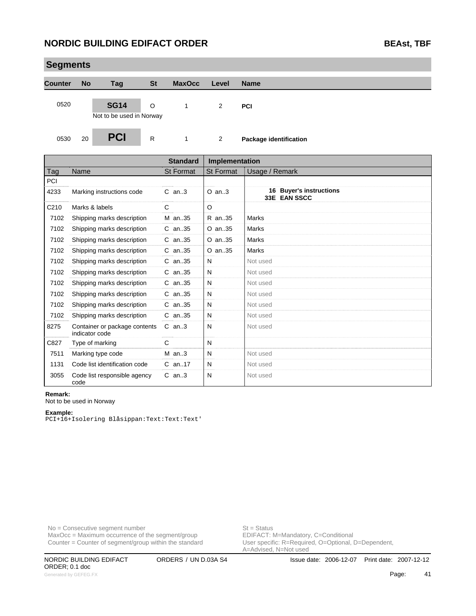| <b>Segments</b> |           |                                         |              |               |                      |                        |  |  |  |  |
|-----------------|-----------|-----------------------------------------|--------------|---------------|----------------------|------------------------|--|--|--|--|
| <b>Counter</b>  | <b>No</b> | <b>Tag</b>                              | <b>St</b>    | <b>MaxOcc</b> | Level                | <b>Name</b>            |  |  |  |  |
| 0520            |           | <b>SG14</b><br>Not to be used in Norway | $\circ$      | 1             | 2                    | <b>PCI</b>             |  |  |  |  |
| 0530            | 20        | <b>PCI</b>                              | $\mathsf{R}$ | 1             | $\mathbf{2}^{\circ}$ | Package identification |  |  |  |  |

|      |                                                 | <b>Standard</b>  | Implementation |                                         |
|------|-------------------------------------------------|------------------|----------------|-----------------------------------------|
| Tag  | Name                                            | <b>St Format</b> | St Format      | Usage / Remark                          |
| PCI  |                                                 |                  |                |                                         |
| 4233 | Marking instructions code                       | $C$ an3          | $O$ an. $3$    | 16 Buyer's instructions<br>33E EAN SSCC |
| C210 | Marks & labels                                  | C                | O              |                                         |
| 7102 | Shipping marks description                      | M an35           | R an35         | Marks                                   |
| 7102 | Shipping marks description                      | C an35           | O an35         | Marks                                   |
| 7102 | Shipping marks description                      | $C$ an. 35       | O an35         | Marks                                   |
| 7102 | Shipping marks description                      | C an35           | O an35         | Marks                                   |
| 7102 | Shipping marks description                      | $C$ an. 35       | N              | Not used                                |
| 7102 | Shipping marks description                      | C an35           | N              | Not used                                |
| 7102 | Shipping marks description                      | C an35           | N              | Not used                                |
| 7102 | Shipping marks description                      | C an35           | N              | Not used                                |
| 7102 | Shipping marks description                      | $C$ an35         | N              | Not used                                |
| 7102 | Shipping marks description                      | C an35           | N              | Not used                                |
| 8275 | Container or package contents<br>indicator code | $C$ an3          | N              | Not used                                |
| C827 | Type of marking                                 | C                | N              |                                         |
| 7511 | Marking type code                               | $M$ an3          | N              | Not used                                |
| 1131 | Code list identification code                   | $C$ an. 17       | N              | Not used                                |
| 3055 | Code list responsible agency<br>code            | $C$ an. $3$      | N              | Not used                                |

#### **Remark:**

Not to be used in Norway

#### **Example:**

PCI+16+Isolering Blåsippan:Text:Text:Text'

No = Consecutive segment number<br>
MaxOcc = Maximum occurrence of the segment/group<br>
EDIFACT: M=Mandatory, C=Conditional  $MaxOcc = Maximum$  occurrence of the segment/group Counter = Counter of segment/group within the standard

User specific: R=Required, O=Optional, D=Dependent,<br>A=Advised, N=Not used

ORDER; 0.1 doc Generated by GEFEG.FX **And Alternative Control of the Case of the Case of the Case of the Case of the Case of the Case of the Case of the Case of the Case of the Case of the Case of the Case of the Case of the Case of the**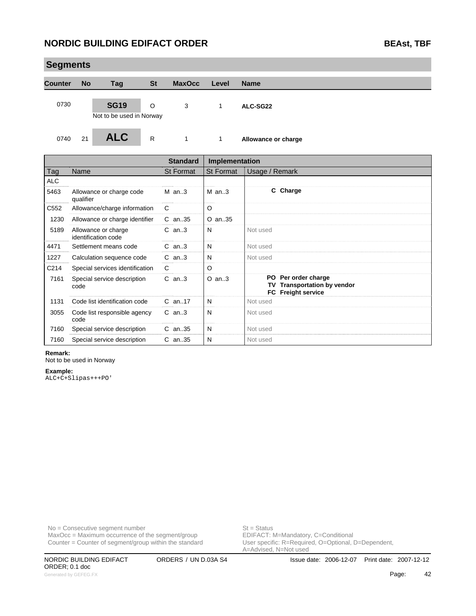### **NORDIC BUILDING EDIFACT ORDER BEAST ON BEAST BEAST**

| <b>Segments</b>   |           |                                         |           |                 |                  |                     |
|-------------------|-----------|-----------------------------------------|-----------|-----------------|------------------|---------------------|
| <b>Counter</b>    | <b>No</b> | Tag                                     | <b>St</b> | <b>MaxOcc</b>   | Level            | <b>Name</b>         |
| 0730              |           | <b>SG19</b><br>Not to be used in Norway | O         | 3               | $\mathbf{1}$     | ALC-SG22            |
| 0740              | 21        | <b>ALC</b>                              | R         | $\mathbf{1}$    | 1                | Allowance or charge |
|                   |           |                                         |           | <b>Standard</b> | Implementation   |                     |
| Tag               | Name      |                                         |           | St Format       | <b>St Format</b> | Usage / Remark      |
| $\Delta$ $\Gamma$ |           |                                         |           |                 |                  |                     |

| Allowance or charge code<br>qualifier      | $M$ an3    | $M$ an3    | C Charge                                                                        |
|--------------------------------------------|------------|------------|---------------------------------------------------------------------------------|
| Allowance/charge information               | C          | $\circ$    |                                                                                 |
| Allowance or charge identifier             | $C$ an. 35 | $O$ an. 35 |                                                                                 |
| Allowance or charge<br>identification code | $C$ an3    | N          | Not used                                                                        |
| Settlement means code                      | $C$ an3    | N          | Not used                                                                        |
| Calculation sequence code                  | $C$ an3    | N          | Not used                                                                        |
| Special services identification            | C          | $\circ$    |                                                                                 |
| Special service description<br>code        | $C$ an3    | $O$ an3    | PO Per order charge<br>TV Transportation by vendor<br><b>FC</b> Freight service |
| Code list identification code              | $C$ an. 17 | N          | Not used                                                                        |
| Code list responsible agency<br>code       | $C$ an3    | N          | Not used                                                                        |
| Special service description                | $C$ an. 35 | N          | Not used                                                                        |
| Special service description                | $C$ an35   | N          | Not used                                                                        |
|                                            |            |            |                                                                                 |

#### **Remark:**

Not to be used in Norway

#### **Example:**

ALC+C+Slipas+++PO'

No = Consecutive segment number<br>
MaxOcc = Maximum occurrence of the segment/group<br>
EDIFACT: M=Mandatory, C=Conditional  $MaxOcc = Maximum$  occurrence of the segment/group Counter = Counter of segment/group within the standard

User specific: R=Required, O=Optional, D=Dependent,<br>A=Advised, N=Not used

ORDER; 0.1 doc Generated by GEFEG.FX **42**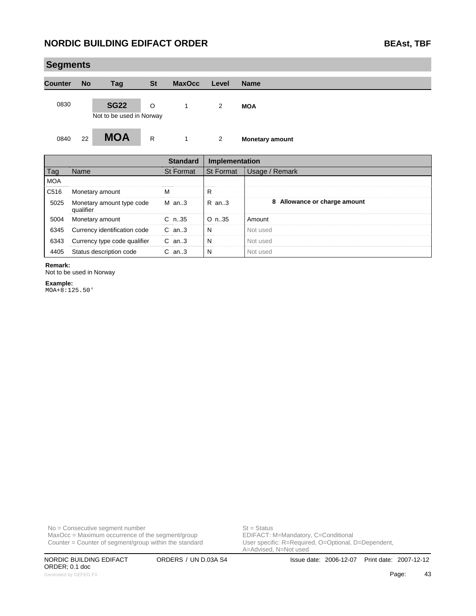# **Segments Counter No Tag St MaxOcc Level Name** 0830 **SG22** O 1 2 **MOA** Not to be used in Norway 0840 22 **MOA** R 1 2 **Monetary amount**

|                  |                                        | <b>Standard</b> | Implementation   |                              |  |
|------------------|----------------------------------------|-----------------|------------------|------------------------------|--|
| Tag              | Name                                   | St Format       | <b>St Format</b> | Usage / Remark               |  |
| <b>MOA</b>       |                                        |                 |                  |                              |  |
| C <sub>516</sub> | Monetary amount                        |                 | R                |                              |  |
| 5025             | Monetary amount type code<br>qualifier | M an3           | $R$ an. 3        | 8 Allowance or charge amount |  |
| 5004             | Monetary amount                        | $C_{n.35}$      | $O_n.35$         | Amount                       |  |
| 6345             | Currency identification code           | $C$ an3         | N                | Not used                     |  |
| 6343             | Currency type code qualifier           | $C$ an3         | N                | Not used                     |  |
| 4405             | Status description code                | $C$ an3         |                  | Not used                     |  |

#### **Remark:**

Not to be used in Norway

**Example:** MOA+8:125.50'

 $MaxOcc = Maximum occurrence of the segment/group$ Counter = Counter of segment/group within the standard

No = Consecutive segment number<br>
MaxOcc = Maximum occurrence of the segment/group<br>
EDIFACT: M=Mandatory, C=Conditional

ORDER; 0.1 doc Generated by GEFEG.FX **43** 

User specific: R=Required, O=Optional, D=Dependent,<br>A=Advised, N=Not used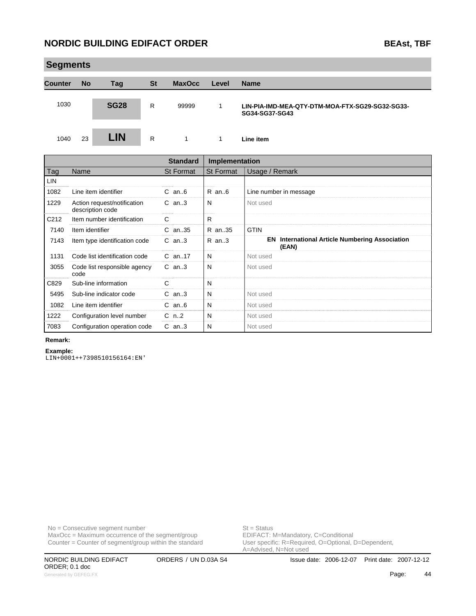|                | <b>Segments</b> |             |              |               |                                                                                                                                                                                                                                       |                                                                   |  |  |  |  |
|----------------|-----------------|-------------|--------------|---------------|---------------------------------------------------------------------------------------------------------------------------------------------------------------------------------------------------------------------------------------|-------------------------------------------------------------------|--|--|--|--|
| <b>Counter</b> | <b>No</b>       | Tag         | <b>St</b>    | <b>MaxOcc</b> | Level                                                                                                                                                                                                                                 | <b>Name</b>                                                       |  |  |  |  |
| 1030           |                 | <b>SG28</b> | $\mathsf{R}$ | 99999         | 1                                                                                                                                                                                                                                     | LIN-PIA-IMD-MEA-QTY-DTM-MOA-FTX-SG29-SG32-SG33-<br>SG34-SG37-SG43 |  |  |  |  |
| 1040           | 23              | <b>LIN</b>  | R            | 1             | 1                                                                                                                                                                                                                                     | Line item                                                         |  |  |  |  |
|                |                 |             |              | .<br>$\sim$   | . .<br>and the contract of the contract of the contract of the contract of the contract of the contract of the contract of the contract of the contract of the contract of the contract of the contract of the contract of the contra |                                                                   |  |  |  |  |

|                   |                                                 | <b>Standard</b>  | <b>Implementation</b> |                                                                |
|-------------------|-------------------------------------------------|------------------|-----------------------|----------------------------------------------------------------|
| Tag               | Name                                            | <b>St Format</b> | <b>St Format</b>      | Usage / Remark                                                 |
| LIN               |                                                 |                  |                       |                                                                |
| 1082              | Line item identifier                            | $C$ an $6$       | R an6                 | Line number in message                                         |
| 1229              | Action request/notification<br>description code | $C$ an3          | N                     | Not used                                                       |
| C <sub>2</sub> 12 | Item number identification                      | C                | R.                    |                                                                |
| 7140              | Item identifier                                 | $C$ an. 35       | R an35                | <b>GTIN</b>                                                    |
| 7143              | Item type identification code                   | $C$ an3          | R an3                 | <b>EN</b> International Article Numbering Association<br>(EAN) |
| 1131              | Code list identification code                   | $C$ an. 17       | N                     | Not used                                                       |
| 3055              | Code list responsible agency<br>code            | $C$ an3          | N                     | Not used                                                       |
| C829              | Sub-line information                            | C.               | N                     |                                                                |
| 5495              | Sub-line indicator code                         | $C$ an3          | N                     | Not used                                                       |
| 1082              | Line item identifier                            | $C$ an $6$       | N                     | Not used                                                       |
| 1222              | Configuration level number                      | $C_n$ .2         | N                     | Not used                                                       |
| 7083              | Configuration operation code                    | $C$ an3          | N                     | Not used                                                       |

#### **Remark:**

**Example:** LIN+0001++7398510156164:EN'

No = Consecutive segment number<br>
MaxOcc = Maximum occurrence of the segment/group<br>
EDIFACT: M=Mandatory, C=Conditional  $MaxOcc = Maximum$  occurrence of the segment/group Counter = Counter of segment/group within the standard

User specific: R=Required, O=Optional, D=Dependent,<br>A=Advised, N=Not used

ORDER; 0.1 doc Generated by GEFEG.FX **Advertised by Accord Accord Accord Page:** Advertised by GEFEG.FX **Advertised by GEFEG.FX**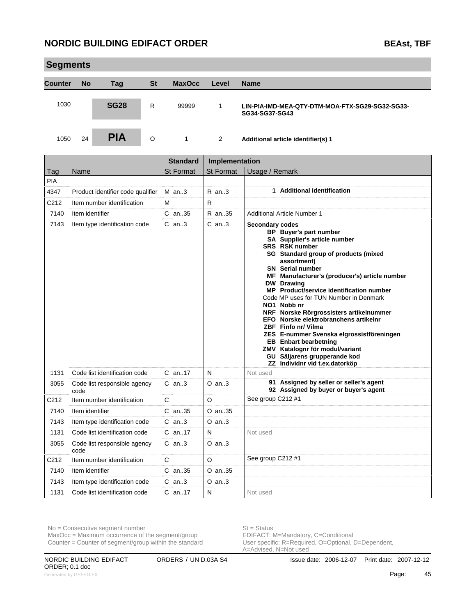|                | <b>Segments</b> |             |           |               |       |                                                                   |  |
|----------------|-----------------|-------------|-----------|---------------|-------|-------------------------------------------------------------------|--|
| <b>Counter</b> | <b>No</b>       | Tag         | <b>St</b> | <b>MaxOcc</b> | Level | <b>Name</b>                                                       |  |
| 1030           |                 | <b>SG28</b> | R         | 99999         |       | LIN-PIA-IMD-MEA-QTY-DTM-MOA-FTX-SG29-SG32-SG33-<br>SG34-SG37-SG43 |  |
| 1050           | 24              | <b>PIA</b>  | O         |               | 2     | Additional article identifier(s) 1                                |  |

|            |                                      | <b>Standard</b>  | Implementation   |                                                                                                                                                                                                                                                                                                                                                                                                                                                                                                                                                                                                                                                              |  |
|------------|--------------------------------------|------------------|------------------|--------------------------------------------------------------------------------------------------------------------------------------------------------------------------------------------------------------------------------------------------------------------------------------------------------------------------------------------------------------------------------------------------------------------------------------------------------------------------------------------------------------------------------------------------------------------------------------------------------------------------------------------------------------|--|
| Tag        | Name                                 | <b>St Format</b> | <b>St Format</b> | Usage / Remark                                                                                                                                                                                                                                                                                                                                                                                                                                                                                                                                                                                                                                               |  |
| <b>PIA</b> |                                      |                  |                  |                                                                                                                                                                                                                                                                                                                                                                                                                                                                                                                                                                                                                                                              |  |
| 4347       | Product identifier code qualifier    | $M$ an3          | $R$ an3          | 1 Additional identification                                                                                                                                                                                                                                                                                                                                                                                                                                                                                                                                                                                                                                  |  |
| C212       | Item number identification           | м                | R.               |                                                                                                                                                                                                                                                                                                                                                                                                                                                                                                                                                                                                                                                              |  |
| 7140       | Item identifier                      | $C$ an. 35       | R an35           | Additional Article Number 1                                                                                                                                                                                                                                                                                                                                                                                                                                                                                                                                                                                                                                  |  |
| 7143       | Item type identification code        | $C$ an. $3$      | $C$ an3          | <b>Secondary codes</b><br>BP Buyer's part number<br>SA Supplier's article number<br><b>SRS</b> RSK number<br>SG Standard group of products (mixed<br>assortment)<br><b>SN</b> Serial number<br>MF Manufacturer's (producer's) article number<br>DW Drawing<br>MP Product/service identification number<br>Code MP uses for TUN Number in Denmark<br>NO1 Nobb nr<br>NRF Norske Rörgrossisters artikelnummer<br>EFO Norske elektrobranchens artikelnr<br>ZBF Finfo nr/ Vilma<br>ZES E-nummer Svenska elgrossistföreningen<br><b>EB</b> Enbart bearbetning<br>ZMV Katalognr för modul/variant<br>GU Säljarens grupperande kod<br>ZZ Individnr vid t.ex.datorköp |  |
| 1131       | Code list identification code        | $C$ an17         | N                | Not used                                                                                                                                                                                                                                                                                                                                                                                                                                                                                                                                                                                                                                                     |  |
| 3055       | Code list responsible agency<br>code | $C$ an3          | $O$ an3          | 91 Assigned by seller or seller's agent<br>92 Assigned by buyer or buyer's agent                                                                                                                                                                                                                                                                                                                                                                                                                                                                                                                                                                             |  |
| C212       | Item number identification           | C.               | $\circ$          | See group C212 #1                                                                                                                                                                                                                                                                                                                                                                                                                                                                                                                                                                                                                                            |  |
| 7140       | Item identifier                      | $C$ an. 35       | $O$ an. $35$     |                                                                                                                                                                                                                                                                                                                                                                                                                                                                                                                                                                                                                                                              |  |
| 7143       | Item type identification code        | $C$ an3          | $O$ an3          |                                                                                                                                                                                                                                                                                                                                                                                                                                                                                                                                                                                                                                                              |  |
| 1131       | Code list identification code        | C an17           | N                | Not used                                                                                                                                                                                                                                                                                                                                                                                                                                                                                                                                                                                                                                                     |  |
| 3055       | Code list responsible agency<br>code | $C$ an3          | $O$ an3          |                                                                                                                                                                                                                                                                                                                                                                                                                                                                                                                                                                                                                                                              |  |
| C212       | Item number identification           | C                | $\circ$          | See group C212 #1                                                                                                                                                                                                                                                                                                                                                                                                                                                                                                                                                                                                                                            |  |
| 7140       | Item identifier                      | C an35           | O an35           |                                                                                                                                                                                                                                                                                                                                                                                                                                                                                                                                                                                                                                                              |  |
| 7143       | Item type identification code        | $C$ an3          | $O$ an3          |                                                                                                                                                                                                                                                                                                                                                                                                                                                                                                                                                                                                                                                              |  |
| 1131       | Code list identification code        | $C$ an17         | N                | Not used                                                                                                                                                                                                                                                                                                                                                                                                                                                                                                                                                                                                                                                     |  |

 $MaxOcc = Maximum occurrence of the segment/group$ 

Counter = Counter of segment/group within the standard

No = Consecutive segment number<br>
MaxOcc = Maximum occurrence of the segment/group<br>
EDIFACT: M=Mandatory, C=Conditional User specific: R=Required, O=Optional, D=Dependent,<br>A=Advised, N=Not used

ORDER; 0.1 doc Generated by GEFEG.FX **Absolute Absolute Absolute Absolute Absolute Absolute Absolute Absolute Absolute Absolute Absolute Absolute Absolute Absolute Absolute Absolute Absolute Absolute Absolute Absolute Absolute Absolute A**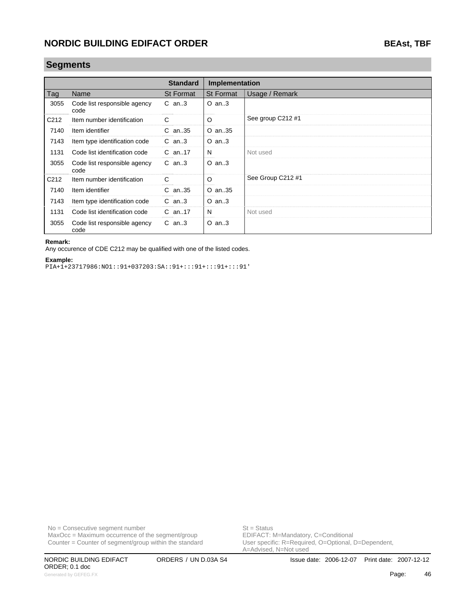### **Segments**

|      |                                      | <b>Standard</b>  | <b>Implementation</b> |                   |
|------|--------------------------------------|------------------|-----------------------|-------------------|
| Tag  | Name                                 | <b>St Format</b> | <b>St Format</b>      | Usage / Remark    |
| 3055 | Code list responsible agency<br>code | $C$ an3          | $O$ an3               |                   |
| C212 | Item number identification           | C                | $\circ$               | See group C212 #1 |
| 7140 | Item identifier                      | $C$ an. 35       | O an35                |                   |
| 7143 | Item type identification code        | $C$ an3          | $O$ an3               |                   |
| 1131 | Code list identification code        | $C$ an. 17       | N                     | Not used          |
| 3055 | Code list responsible agency<br>code | $C$ an3          | $O$ an3               |                   |
| C212 | Item number identification           | C                | $\circ$               | See Group C212 #1 |
| 7140 | Item identifier                      | $C$ an. 35       | O an35                |                   |
| 7143 | Item type identification code        | $C$ an3          | $O$ an3               |                   |
| 1131 | Code list identification code        | $C$ an. 17       | N                     | Not used          |
| 3055 | Code list responsible agency<br>code | $C$ an3          | $O$ an3               |                   |

#### **Remark:**

Any occurence of CDE C212 may be qualified with one of the listed codes.

#### **Example:**

PIA+1+23717986:NO1::91+037203:SA::91+:::91+:::91+:::91'

 $MaxOcc = Maximum occurrence of the segment/group$ Counter = Counter of segment/group within the standard

No = Consecutive segment number<br>
MaxOcc = Maximum occurrence of the segment/group<br>
EDIFACT: M=Mandatory, C=Conditional User specific: R=Required, O=Optional, D=Dependent,<br>A=Advised, N=Not used

ORDER; 0.1 doc Generated by GEFEG.FX **Additional Page:** Additional Page: 46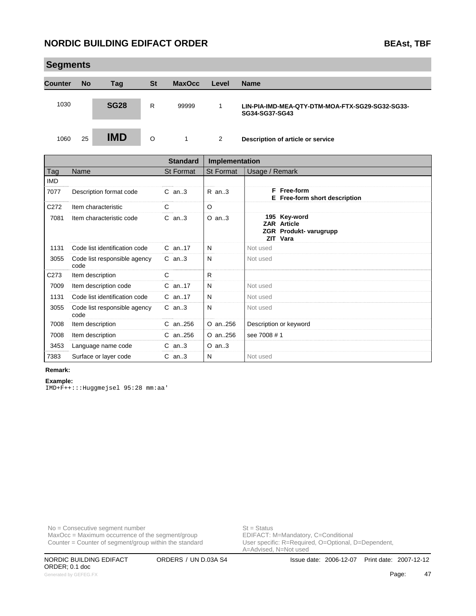|                   | <b>Segments</b> |             |           |                  |                  |                                                                   |  |
|-------------------|-----------------|-------------|-----------|------------------|------------------|-------------------------------------------------------------------|--|
| <b>Counter</b>    | <b>No</b>       | Tag         | <b>St</b> | <b>MaxOcc</b>    | Level            | <b>Name</b>                                                       |  |
| 1030              |                 | <b>SG28</b> | R         | 99999            | 1                | LIN-PIA-IMD-MEA-QTY-DTM-MOA-FTX-SG29-SG32-SG33-<br>SG34-SG37-SG43 |  |
| 1060              | 25              | <b>IMD</b>  | $\circ$   | $\mathbf{1}$     | 2                | Description of article or service                                 |  |
| <b>Standard</b>   |                 |             |           |                  | Implementation   |                                                                   |  |
| Tag               | Name            |             |           | <b>St Format</b> | <b>St Format</b> | Usage / Remark                                                    |  |
| $\cdots$ $\cdots$ |                 |             |           |                  |                  |                                                                   |  |

| l ag             | name                                 | St Format   | St Format | Usage / Remark                                                                  |  |
|------------------|--------------------------------------|-------------|-----------|---------------------------------------------------------------------------------|--|
| <b>IMD</b>       |                                      |             |           |                                                                                 |  |
| 7077             | Description format code              | $C$ an3     | R an3     | F Free-form<br>E Free-form short description                                    |  |
| C <sub>272</sub> | Item characteristic                  | C           | $\circ$   |                                                                                 |  |
| 7081             | Item characteristic code             | $C$ an3     | $O$ an3   | 195 Key-word<br><b>ZAR Article</b><br><b>ZGR</b> Produkt- varugrupp<br>ZIT Vara |  |
| 1131             | Code list identification code        | $C$ an. 17  | N         | Not used                                                                        |  |
| 3055             | Code list responsible agency<br>code | $C$ an3     | N         | Not used                                                                        |  |
| C <sub>273</sub> | Item description                     | C           | R.        |                                                                                 |  |
| 7009             | Item description code                | $C$ an17    | N         | Not used                                                                        |  |
| 1131             | Code list identification code        | C an17      | N         | Not used                                                                        |  |
| 3055             | Code list responsible agency<br>code | $C$ an3     | N         | Not used                                                                        |  |
| 7008             | Item description                     | $C$ an. 256 | O an256   | Description or keyword                                                          |  |
| 7008             | Item description                     | $C$ an. 256 | O an256   | see 7008 # 1                                                                    |  |
| 3453             | Language name code                   | $C$ an3     | $O$ an3   |                                                                                 |  |
| 7383             | Surface or layer code                | $C$ an3     | N         | Not used                                                                        |  |

#### **Remark:**

**Example:** IMD+F++:::Huggmejsel 95:28 mm:aa'

No = Consecutive segment number<br>
MaxOcc = Maximum occurrence of the segment/group<br>
EDIFACT: M=Mandatory, C=Conditional  $MaxOcc = Maximum$  occurrence of the segment/group Counter = Counter of segment/group within the standard

User specific: R=Required, O=Optional, D=Dependent,<br>A=Advised, N=Not used

ORDER; 0.1 doc Generated by GEFEG.FX **And Account 2009 Contract and Account 2009 Page: 47**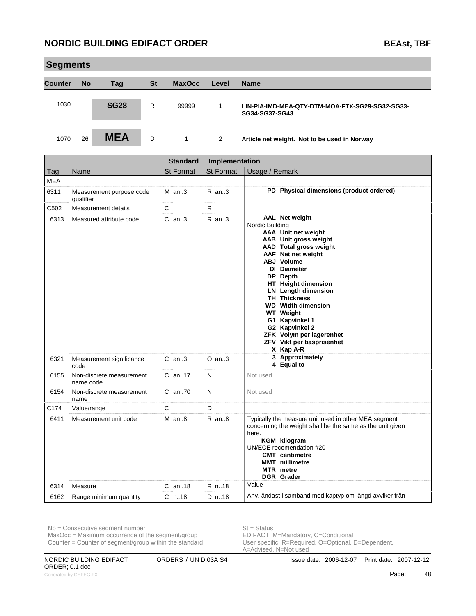|                | <b>Segments</b> |             |           |               |       |                                                                   |  |  |
|----------------|-----------------|-------------|-----------|---------------|-------|-------------------------------------------------------------------|--|--|
| <b>Counter</b> | <b>No</b>       | Tag         | <b>St</b> | <b>MaxOcc</b> | Level | <b>Name</b>                                                       |  |  |
| 1030           |                 | <b>SG28</b> | R         | 99999         | 1     | LIN-PIA-IMD-MEA-QTY-DTM-MOA-FTX-SG29-SG32-SG33-<br>SG34-SG37-SG43 |  |  |
| 1070           | 26              | <b>MEA</b>  | D         | 1             | 2     | Article net weight. Not to be used in Norway                      |  |  |

|            |                                       | <b>Standard</b>  | Implementation |                                                                                                                                                                                                                                                                                                                                                                                                                          |
|------------|---------------------------------------|------------------|----------------|--------------------------------------------------------------------------------------------------------------------------------------------------------------------------------------------------------------------------------------------------------------------------------------------------------------------------------------------------------------------------------------------------------------------------|
| Tag        | Name                                  | <b>St Format</b> | St Format      | Usage / Remark                                                                                                                                                                                                                                                                                                                                                                                                           |
| <b>MEA</b> |                                       |                  |                |                                                                                                                                                                                                                                                                                                                                                                                                                          |
| 6311       | Measurement purpose code<br>qualifier | $M$ an. 3        | $R$ an. $3$    | PD Physical dimensions (product ordered)                                                                                                                                                                                                                                                                                                                                                                                 |
| C502       | Measurement details                   | C                | R.             |                                                                                                                                                                                                                                                                                                                                                                                                                          |
| 6313       | Measured attribute code               | $C$ an3          | $R$ an3        | AAL Net weight<br>Nordic Building<br>AAA Unit net weight<br>AAB Unit gross weight<br>AAD Total gross weight<br>AAF Net net weight<br><b>ABJ</b> Volume<br>DI Diameter<br>DP Depth<br>HT Height dimension<br><b>LN</b> Length dimension<br><b>TH Thickness</b><br><b>WD</b> Width dimension<br><b>WT</b> Weight<br>G1 Kapvinkel 1<br>G2 Kapvinkel 2<br>ZFK Volym per lagerenhet<br>ZFV Vikt per basprisenhet<br>X Kap A-R |
| 6321       | Measurement significance<br>code      | $C$ an. $3$      | $O$ an3        | 3 Approximately<br>4 Equal to                                                                                                                                                                                                                                                                                                                                                                                            |
| 6155       | Non-discrete measurement<br>name code | $C$ an17         | N              | Not used                                                                                                                                                                                                                                                                                                                                                                                                                 |
| 6154       | Non-discrete measurement<br>name      | C an70           | $\mathsf{N}$   | Not used                                                                                                                                                                                                                                                                                                                                                                                                                 |
| C174       | Value/range                           | $\mathsf{C}$     | D              |                                                                                                                                                                                                                                                                                                                                                                                                                          |
| 6411       | Measurement unit code                 | $M$ an8          | $R$ an $8$     | Typically the measure unit used in other MEA segment<br>concerning the weight shall be the same as the unit given<br>here.<br><b>KGM</b> kilogram<br>UN/ECE recomendation #20<br><b>CMT</b> centimetre<br><b>MMT</b> millimetre<br><b>MTR</b> metre<br><b>DGR</b> Grader                                                                                                                                                 |
| 6314       | Measure                               | $C$ an18         | R n.18         | Value                                                                                                                                                                                                                                                                                                                                                                                                                    |
| 6162       | Range minimum quantity                | $C$ n.18         | D n18          | Anv. ändast i samband med kaptyp om längd avviker från                                                                                                                                                                                                                                                                                                                                                                   |

 $MaxOcc = Maximum$  occurrence of the segment/group

Counter = Counter of segment/group within the standard

No = Consecutive segment number<br>
MaxOcc = Maximum occurrence of the segment/group<br>
EDIFACT: M=Mandatory, C=Conditional User specific: R=Required, O=Optional, D=Dependent,<br>A=Advised, N=Not used

ORDER; 0.1 doc Generated by GEFEG.FX **AS Page:** 48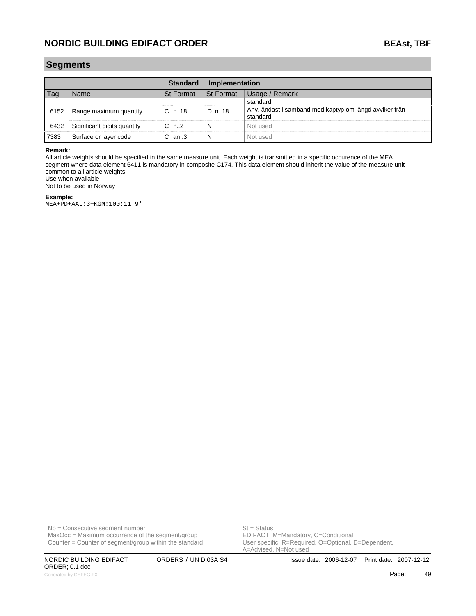### **Segments**

|      |                             | Standard         | Implementation                  |                                                                    |  |
|------|-----------------------------|------------------|---------------------------------|--------------------------------------------------------------------|--|
|      | lame                        | <b>St Format</b> | <b>St Format</b><br>ae / Remark |                                                                    |  |
|      |                             |                  |                                 |                                                                    |  |
| 6152 | Range maximum quantity      | $C_{n.18}$       | D n18                           | Anv. ändast i samband med kaptyp om längd avviker från<br>standard |  |
| 6432 | Significant digits quantity | C n2             |                                 | Not used                                                           |  |
| 7383 | Surface or layer code       | .an3             |                                 | Not usec                                                           |  |

#### **Remark:**

All article weights should be specified in the same measure unit. Each weight is transmitted in a specific occurence of the MEA segment where data element 6411 is mandatory in composite C174. This data element should inherit the value of the measure unit common to all article weights. Use when available

Not to be used in Norway

#### **Example:**

MEA+PD+AAL:3+KGM:100:11:9'

No = Consecutive segment number<br>
MaxOcc = Maximum occurrence of the segment/group<br>
EDIFACT: M=Mandatory, C=Conditional Counter = Counter of segment/group within the standard

ORDER; 0.1 doc Generated by GEFEG.FX **Age:** An according to the control of the control of the control of the control of the control of the control of the control of the control of the control of the control of the control of the control

MaxOcc = Maximum occurrence of the segment/group <br>
Counter = Counter of segment/group within the standard User specific: R=Required, O=Optional, D=Dependent, A=Advised, N=Not used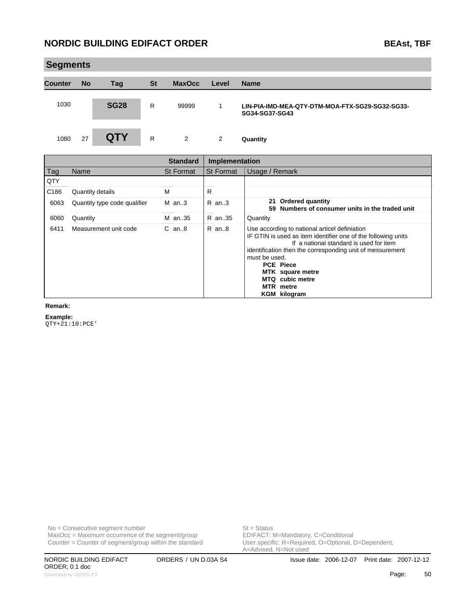| <b>BEAst, TBF</b> |  |
|-------------------|--|
|                   |  |

| <b>Segments</b>               |           |                              |              |                                                                                                                                                                                                                                                                                                                                        |                  |                                                                        |
|-------------------------------|-----------|------------------------------|--------------|----------------------------------------------------------------------------------------------------------------------------------------------------------------------------------------------------------------------------------------------------------------------------------------------------------------------------------------|------------------|------------------------------------------------------------------------|
| <b>Counter</b>                | <b>No</b> | Tag                          | <b>St</b>    | <b>MaxOcc</b>                                                                                                                                                                                                                                                                                                                          | Level            | <b>Name</b>                                                            |
| 1030                          |           | <b>SG28</b>                  | R            | 99999                                                                                                                                                                                                                                                                                                                                  | 1                | LIN-PIA-IMD-MEA-QTY-DTM-MOA-FTX-SG29-SG32-SG33-<br>SG34-SG37-SG43      |
| 1080                          | 27        | <b>QTY</b>                   | $\mathsf{R}$ | $\overline{2}$                                                                                                                                                                                                                                                                                                                         | 2                | Quantity                                                               |
|                               |           |                              |              | <b>Standard</b>                                                                                                                                                                                                                                                                                                                        | Implementation   |                                                                        |
| Tag                           | Name      |                              |              | <b>St Format</b>                                                                                                                                                                                                                                                                                                                       | <b>St Format</b> | Usage / Remark                                                         |
| QTY                           |           |                              |              |                                                                                                                                                                                                                                                                                                                                        |                  |                                                                        |
| C186                          |           | Quantity details             |              | M                                                                                                                                                                                                                                                                                                                                      | $\mathsf{R}$     |                                                                        |
| 6063                          |           | Quantity type code qualifier |              | $M$ an3                                                                                                                                                                                                                                                                                                                                | $R$ an3          | 21 Ordered quantity<br>59 Numbers of consumer units in the traded unit |
| 6060                          | Quantity  |                              |              | M an35                                                                                                                                                                                                                                                                                                                                 | R an35           | Quantity                                                               |
| Measurement unit code<br>6411 |           | $C$ an $8$                   | R an8        | Use according to national articel definiation<br>IF GTIN is used as item identifier one of the following units<br>If a national standard is used for item<br>identification then the corresponding unit of messurement<br>must be used.<br><b>PCE Piece</b><br>MTK square metre<br>MTQ cubic metre<br>MTR metre<br><b>KGM</b> kilogram |                  |                                                                        |

#### **Remark:**

m.

**Example:**

QTY+21:10:PCE'

No = Consecutive segment number<br>
MaxOcc = Maximum occurrence of the segment/group<br>
EDIFACT: M=Mandatory, C=Conditional  $MaxOcc = Maximum occurrence of the segment/group$ Counter = Counter of segment/group within the standard

User specific: R=Required, O=Optional, D=Dependent,<br>A=Advised, N=Not used

ORDER; 0.1 doc Generated by GEFEG.FX **Page:** 50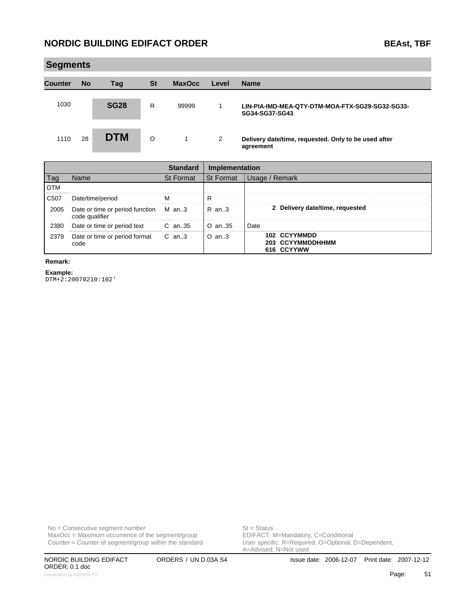| BEAst. | 1 D F |
|--------|-------|
|        |       |

|                | <b>Segments</b> |             |           |               |       |                                                                   |  |  |  |  |
|----------------|-----------------|-------------|-----------|---------------|-------|-------------------------------------------------------------------|--|--|--|--|
| <b>Counter</b> | <b>No</b>       | Tag         | <b>St</b> | <b>MaxOcc</b> | Level | <b>Name</b>                                                       |  |  |  |  |
| 1030           |                 | <b>SG28</b> | R         | 99999         | 1     | LIN-PIA-IMD-MEA-QTY-DTM-MOA-FTX-SG29-SG32-SG33-<br>SG34-SG37-SG43 |  |  |  |  |
| 1110           | 28              | <b>DTM</b>  | $\circ$   | 1             | 2     | Delivery date/time, requested. Only to be used after<br>agreement |  |  |  |  |

|                  |                                                         | <b>Standard</b> |                  | Implementation                                 |  |  |
|------------------|---------------------------------------------------------|-----------------|------------------|------------------------------------------------|--|--|
| Tag              | Name                                                    | St Format       | <b>St Format</b> | Usage / Remark                                 |  |  |
| <b>DTM</b>       |                                                         |                 |                  |                                                |  |  |
| C <sub>507</sub> | Date/time/period                                        |                 | R                |                                                |  |  |
| 2005             | Date or time or period function M an3<br>code qualifier |                 | R an3            | 2 Delivery date/time, requested                |  |  |
| 2380             | Date or time or period text                             | C an35          | $O$ an. 35       | Date                                           |  |  |
| 2379             | Date or time or period format C an3<br>code             |                 | $O$ an. $3$      | 102 CCYYMMDD<br>203 CCYYMMDDHHMM<br>616 CCYYWW |  |  |

### **Remark:**

**Example:** DTM+2:20070210:102'

No = Consecutive segment number<br>
MaxOcc = Maximum occurrence of the segment/group<br>
EDIFACT: M=Mandatory, C=Conditional  $MaxOcc = Maximum occurrence of the segment/group$ Counter = Counter of segment/group within the standard

User specific: R=Required, O=Optional, D=Dependent,<br>A=Advised, N=Not used

ORDER; 0.1 doc Generated by GEFEG.FX **Fage:** 51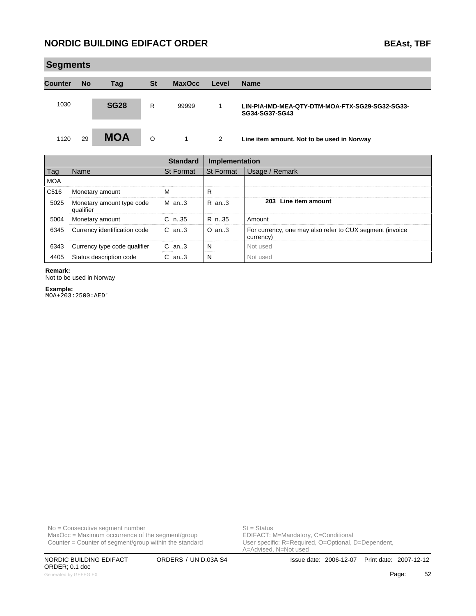6343 Currency type code qualifier C an..3 N Not used 4405 Status description code C an..3 N

| <b>Segments</b> |           |                              |           |                  |                |                                                                       |
|-----------------|-----------|------------------------------|-----------|------------------|----------------|-----------------------------------------------------------------------|
| <b>Counter</b>  | <b>No</b> | Taq                          | <b>St</b> | <b>MaxOcc</b>    | Level          | <b>Name</b>                                                           |
| 1030            |           | <b>SG28</b>                  | R.        | 99999            | 1              | LIN-PIA-IMD-MEA-QTY-DTM-MOA-FTX-SG29-SG32-SG33-<br>SG34-SG37-SG43     |
| 1120            | 29        | <b>MOA</b>                   | $\circ$   | 1                | 2              | Line item amount. Not to be used in Norway                            |
|                 |           |                              |           | <b>Standard</b>  | Implementation |                                                                       |
| Tag             | Name      |                              |           | <b>St Format</b> | St Format      | Usage / Remark                                                        |
| <b>MOA</b>      |           |                              |           |                  |                |                                                                       |
| C516            |           | Monetary amount              |           | м                | R              |                                                                       |
| 5025            | qualifier | Monetary amount type code    |           | $M$ an3          | $R$ an3        | 203 Line item amount                                                  |
| 5004            |           | Monetary amount              |           | $C$ n.35         | R n.35         | Amount                                                                |
| 6345            |           | Currency identification code |           | $C$ an3          | $O$ an3        | For currency, one may also refer to CUX segment (invoice<br>currency) |

#### **Remark:**

Not to be used in Norway

#### **Example:**

MOA+203:2500:AED'

No = Consecutive segment number<br>
MaxOcc = Maximum occurrence of the segment/group<br>
EDIFACT: M=Mandatory, C=Conditional  $MaxOcc = Maximum occurrence of the segment/group$ Counter = Counter of segment/group within the standard

NORDIC BUILDING EDIFACT ORDERS / UN D.03A S4 Issue date: 2006-12-07 Print date: 2007-12-12 ORDER; 0.1 doc Generated by GEFEG.FX **Fage:** 52

User specific: R=Required, O=Optional, D=Dependent,<br>A=Advised, N=Not used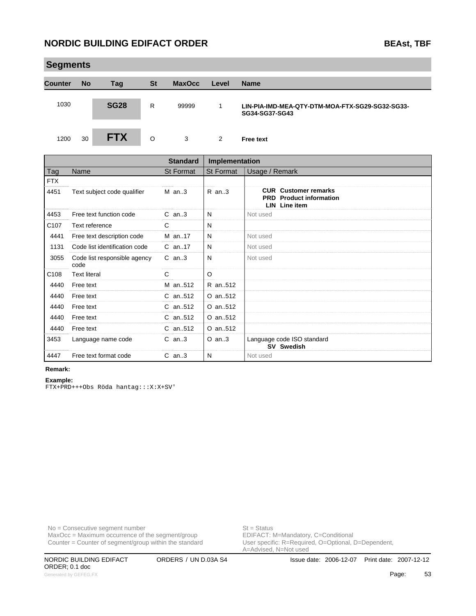|                | <b>Segments</b> |             |           |               |       |                                                                   |  |  |  |  |
|----------------|-----------------|-------------|-----------|---------------|-------|-------------------------------------------------------------------|--|--|--|--|
| <b>Counter</b> | <b>No</b>       | Tag         | <b>St</b> | <b>MaxOcc</b> | Level | <b>Name</b>                                                       |  |  |  |  |
| 1030           |                 | <b>SG28</b> | R         | 99999         | 1     | LIN-PIA-IMD-MEA-QTY-DTM-MOA-FTX-SG29-SG32-SG33-<br>SG34-SG37-SG43 |  |  |  |  |
| 1200           | 30              | <b>FTX</b>  | O         | 3             | 2     | <b>Free text</b>                                                  |  |  |  |  |

|                  |                                      | <b>Standard</b>  | Implementation |                                                                                       |
|------------------|--------------------------------------|------------------|----------------|---------------------------------------------------------------------------------------|
| Tag              | Name                                 | <b>St Format</b> | St Format      | Usage / Remark                                                                        |
| <b>FTX</b>       |                                      |                  |                |                                                                                       |
| 4451             | Text subject code qualifier          | $M$ an3          | $R$ an3        | <b>CUR</b> Customer remarks<br><b>PRD</b> Product information<br><b>LIN</b> Line item |
| 4453             | Free text function code              | $C$ an. $3$      | N              | Not used                                                                              |
| C <sub>107</sub> | Text reference                       | C                | N              |                                                                                       |
| 4441             | Free text description code           | M an17           | N              | Not used                                                                              |
| 1131             | Code list identification code        | C an17           | N              | Not used                                                                              |
| 3055             | Code list responsible agency<br>code | $C$ an3          | N              | Not used                                                                              |
| C108             | <b>Text literal</b>                  | C                | $\circ$        |                                                                                       |
| 4440             | Free text                            | M an512          | R an., 512     |                                                                                       |
| 4440             | Free text                            | C an512          | O an512        |                                                                                       |
| 4440             | Free text                            | C an., 512       | O an512        |                                                                                       |
| 4440             | Free text                            | C an., 512       | O an., 512     |                                                                                       |
| 4440             | Free text                            | C an512          | O an512        |                                                                                       |
| 3453             | Language name code                   | $C$ an3          | $O$ an3        | Language code ISO standard<br>SV Swedish                                              |
| 4447             | Free text format code                | $C$ an3          | N              | Not used                                                                              |

#### **Remark:**

#### **Example:**

FTX+PRD+++Obs Röda hantag:::X:X+SV'

No = Consecutive segment number<br>
MaxOcc = Maximum occurrence of the segment/group<br>
EDIFACT: M=Mandatory, C=Conditional  $MaxOcc = Maximum$  occurrence of the segment/group Counter = Counter of segment/group within the standard

User specific: R=Required, O=Optional, D=Dependent,<br>A=Advised, N=Not used

ORDER; 0.1 doc Generated by GEFEG.FX **Fage:** 53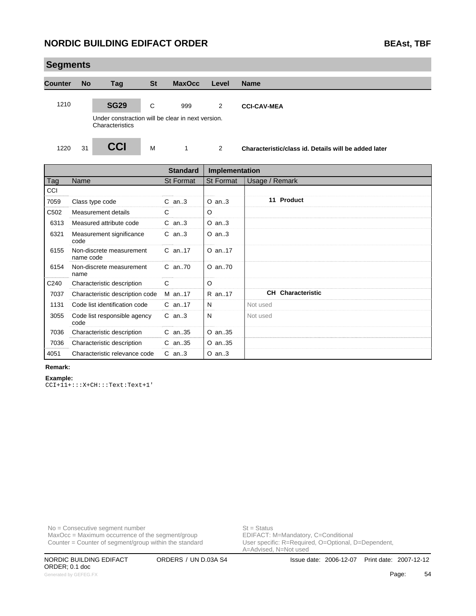| <b>Segments</b> |           |                                                                      |           |               |       |                                                      |
|-----------------|-----------|----------------------------------------------------------------------|-----------|---------------|-------|------------------------------------------------------|
| <b>Counter</b>  | <b>No</b> | Tag                                                                  | <b>St</b> | <b>MaxOcc</b> | Level | <b>Name</b>                                          |
| 1210            |           | <b>SG29</b>                                                          | C         | 999           | 2     | <b>CCI-CAV-MEA</b>                                   |
|                 |           | Under constraction will be clear in next version.<br>Characteristics |           |               |       |                                                      |
| 1220            | 31        | <b>CCI</b>                                                           | M         | 1             | 2     | Characteristic/class id. Details will be added later |

|                  |                                       | <b>Standard</b>  | Implementation   |                          |
|------------------|---------------------------------------|------------------|------------------|--------------------------|
| Tag              | Name                                  | <b>St Format</b> | <b>St Format</b> | Usage / Remark           |
| CCI              |                                       |                  |                  |                          |
| 7059             | Class type code                       | $C$ an3          | $O$ an3          | 11 Product               |
| C <sub>502</sub> | Measurement details                   | C                | $\circ$          |                          |
| 6313             | Measured attribute code               | $C$ an3          | $O$ an3          |                          |
| 6321             | Measurement significance<br>code      | $C$ an3          | $O$ an3          |                          |
| 6155             | Non-discrete measurement<br>name code | $C$ an. 17       | O an17           |                          |
| 6154             | Non-discrete measurement<br>name      | C an70           | O an70           |                          |
| C240             | Characteristic description            | C                | $\circ$          |                          |
| 7037             | Characteristic description code       | M an17           | R an17           | <b>CH</b> Characteristic |
| 1131             | Code list identification code         | $C$ an. 17       | N                | Not used                 |
| 3055             | Code list responsible agency<br>code  | $C$ an3          | N                | Not used                 |
| 7036             | Characteristic description            | $C$ an. 35       | O an35           |                          |
| 7036             | Characteristic description            | $C$ an. 35       | O an35           |                          |
| 4051             | Characteristic relevance code         | $C$ an3          | $O$ an3          |                          |

#### **Remark:**

**Example:**

CCI+11+:::X+CH:::Text:Text+1'

No = Consecutive segment number<br>
MaxOcc = Maximum occurrence of the segment/group<br>
EDIFACT: M=Mandatory, C=Conditional  $MaxOcc = Maximum occurrence of the segment/group$ Counter = Counter of segment/group within the standard

User specific: R=Required, O=Optional, D=Dependent,<br>A=Advised, N=Not used

ORDER; 0.1 doc Generated by GEFEG.FX **Fage:** 54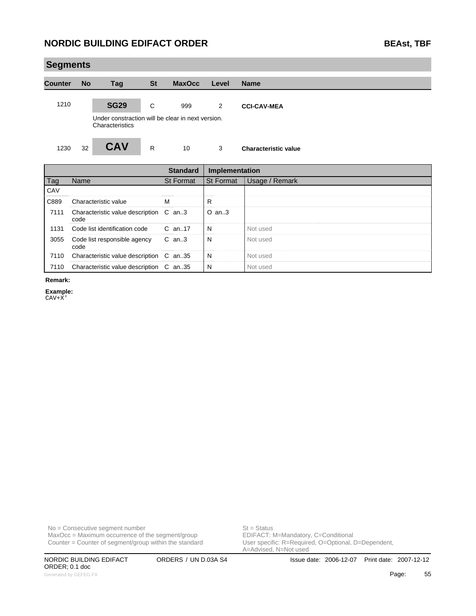| <b>Segments</b> |           |                                                                      |              |               |                |                             |  |
|-----------------|-----------|----------------------------------------------------------------------|--------------|---------------|----------------|-----------------------------|--|
| <b>Counter</b>  | <b>No</b> | <b>Tag</b>                                                           | <b>St</b>    | <b>MaxOcc</b> | Level          | <b>Name</b>                 |  |
| 1210            |           | <b>SG29</b>                                                          | C            | 999           | $\overline{2}$ | <b>CCI-CAV-MEA</b>          |  |
|                 |           | Under constraction will be clear in next version.<br>Characteristics |              |               |                |                             |  |
| 1230            | 32        | <b>CAV</b>                                                           | $\mathsf{R}$ | 10            | 3              | <b>Characteristic value</b> |  |

|      |                                                | <b>Standard</b> | Implementation |                |
|------|------------------------------------------------|-----------------|----------------|----------------|
| Tag  | Name                                           | St Format       | St Format      | Usage / Remark |
| CAV  |                                                |                 |                |                |
| C889 | Characteristic value                           | м               | R              |                |
| 7111 | Characteristic value description C an3<br>code |                 | O an3          |                |
| 1131 | Code list identification code C an17           |                 | N              | Not used       |
| 3055 | Code list responsible agency<br>code           | C an3           | N              | Not used       |
| 7110 | Characteristic value description C an35        |                 | N              | Not used       |
| 7110 | Characteristic value description C an35        |                 | N              | Not used       |

**Remark:**

m.

**Example:**

CAV+X'

 $MaxOcc = Maximum$  occurrence of the segment/group Counter = Counter of segment/group within the standard

No = Consecutive segment number<br>
MaxOcc = Maximum occurrence of the segment/group<br>
EDIFACT: M=Mandatory, C=Conditional

ORDER; 0.1 doc Generated by GEFEG.FX **Page:** 55

User specific: R=Required, O=Optional, D=Dependent,<br>A=Advised, N=Not used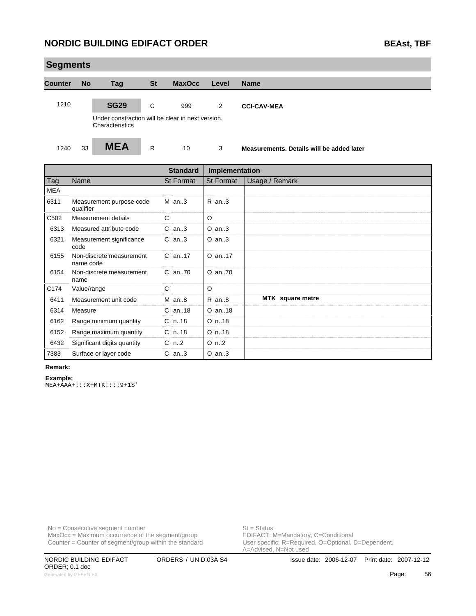| <b>Segments</b> |           |                                                                      |           |               |       |                                           |
|-----------------|-----------|----------------------------------------------------------------------|-----------|---------------|-------|-------------------------------------------|
| <b>Counter</b>  | <b>No</b> | <b>Tag</b>                                                           | <b>St</b> | <b>MaxOcc</b> | Level | <b>Name</b>                               |
| 1210            |           | <b>SG29</b>                                                          | C         | 999           | 2     | <b>CCI-CAV-MEA</b>                        |
|                 |           | Under constraction will be clear in next version.<br>Characteristics |           |               |       |                                           |
| 1240            | 33        | <b>MEA</b>                                                           | R         | 10            | 3     | Measurements. Details will be added later |

|                  |                                       | <b>Standard</b>  | Implementation          |                  |
|------------------|---------------------------------------|------------------|-------------------------|------------------|
| <b>Tag</b>       | Name                                  | <b>St Format</b> | <b>St Format</b>        | Usage / Remark   |
| <b>MEA</b>       |                                       |                  |                         |                  |
| 6311             | Measurement purpose code<br>qualifier | $M$ an3          | $R$ an3                 |                  |
| C <sub>502</sub> | Measurement details                   | C                | $\circ$                 |                  |
| 6313             | Measured attribute code               | $C$ an3          | $O$ an3                 |                  |
| 6321             | Measurement significance<br>code      | $C$ an3          | $O$ an3                 |                  |
| 6155             | Non-discrete measurement<br>name code | $C$ an. 17       | O an17                  |                  |
| 6154             | Non-discrete measurement<br>name      | $C$ an70         | O an70                  |                  |
| C174             | Value/range                           | C                | $\circ$                 |                  |
| 6411             | Measurement unit code                 | $M$ an8          | $R$ an $8$              | MTK square metre |
| 6314             | Measure                               | $C$ an. 18       | O an18                  |                  |
| 6162             | Range minimum quantity                | $C$ n. 18        | $O$ n. 18               |                  |
| 6152             | Range maximum quantity                | $C$ n18          | $O$ n. 18               |                  |
| 6432             | Significant digits quantity           | $C$ n2           | $O \nightharpoonup n.2$ |                  |
| 7383             | Surface or layer code                 | $C$ an3          | $O$ an3                 |                  |

#### **Remark:**

**Example:** MEA+AAA+:::X+MTK::::9+1S'

No = Consecutive segment number<br>
MaxOcc = Maximum occurrence of the segment/group<br>
EDIFACT: M=Mandatory, C=Conditional  $MaxOcc = Maximum$  occurrence of the segment/group Counter = Counter of segment/group within the standard

User specific: R=Required, O=Optional, D=Dependent,<br>A=Advised, N=Not used

ORDER; 0.1 doc Generated by GEFEG.FX **Frage:** 56 and the set of the set of the set of the set of the set of the set of the set of the set of the set of the set of the set of the set of the set of the set of the set of the set of the set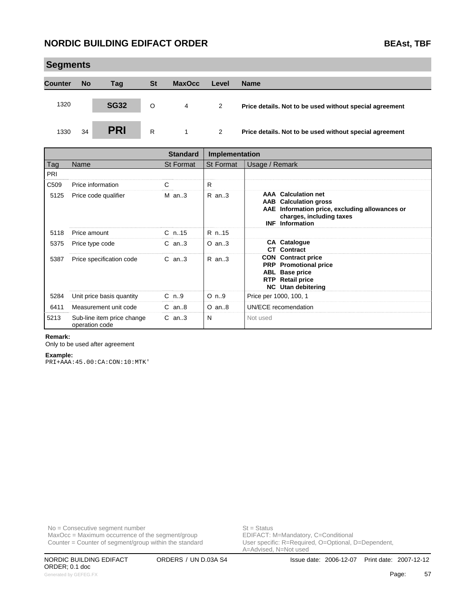|                | <b>Segments</b> |             |           |               |       |                                                         |  |  |  |  |  |  |
|----------------|-----------------|-------------|-----------|---------------|-------|---------------------------------------------------------|--|--|--|--|--|--|
| <b>Counter</b> | <b>No</b>       | Tag         | <b>St</b> | <b>MaxOcc</b> | Level | <b>Name</b>                                             |  |  |  |  |  |  |
| 1320           |                 | <b>SG32</b> | O         | 4             | 2     | Price details. Not to be used without special agreement |  |  |  |  |  |  |
| 1330           | 34              | <b>PRI</b>  | R         |               | 2     | Price details. Not to be used without special agreement |  |  |  |  |  |  |

|                  |                                              | <b>Standard</b> | <b>Implementation</b>   |                                                                                                                                                                    |
|------------------|----------------------------------------------|-----------------|-------------------------|--------------------------------------------------------------------------------------------------------------------------------------------------------------------|
| Tag              | Name                                         | St Format       | St Format               | Usage / Remark                                                                                                                                                     |
| PRI              |                                              |                 |                         |                                                                                                                                                                    |
| C <sub>509</sub> | Price information                            | С               | R                       |                                                                                                                                                                    |
| 5125             | Price code qualifier                         | $M$ an3         | $R$ an3                 | <b>AAA</b> Calculation net<br><b>AAB</b> Calculation gross<br>AAE Information price, excluding allowances or<br>charges, including taxes<br><b>INF</b> Information |
| 5118             | Price amount                                 | $C_n$ .15       | R n15                   |                                                                                                                                                                    |
| 5375             | Price type code                              | $C$ an3         | $O$ an3                 | <b>CA Catalogue</b><br><b>CT</b> Contract                                                                                                                          |
| 5387             | Price specification code                     | $C$ an. $3$     | $R$ an. $3$             | <b>CON</b> Contract price<br><b>PRP</b> Promotional price<br><b>ABL</b> Base price<br><b>Retail price</b><br><b>RTP</b><br><b>NC</b> Utan debitering               |
| 5284             | Unit price basis quantity                    | $C_{n.9}$       | $O \nightharpoonup n.9$ | Price per 1000, 100, 1                                                                                                                                             |
| 6411             | Measurement unit code                        | $C$ an. $8$     | $O$ an $8$              | UN/ECE recomendation                                                                                                                                               |
| 5213             | Sub-line item price change<br>operation code | $C$ an. $3$     | N                       | Not used                                                                                                                                                           |

#### **Remark:**

Only to be used after agreement

#### **Example:**

PRI+AAA:45.00:CA:CON:10:MTK'

No = Consecutive segment number<br>
MaxOcc = Maximum occurrence of the segment/group<br>
EDIFACT: M=Mandatory, C=Conditional  $MaxOcc = Maximum occurrence of the segment/group$ Counter = Counter of segment/group within the standard

User specific: R=Required, O=Optional, D=Dependent,<br>A=Advised, N=Not used

ORDER; 0.1 doc Generated by GEFEG.FX **Page:** 57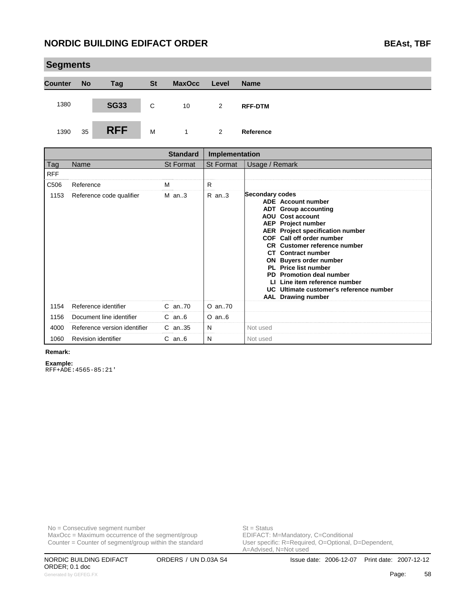|                | <b>Segments</b> |             |           |               |                |                |  |  |  |  |  |
|----------------|-----------------|-------------|-----------|---------------|----------------|----------------|--|--|--|--|--|
| <b>Counter</b> | <b>No</b>       | <b>Tag</b>  | <b>St</b> | <b>MaxOcc</b> | Level          | <b>Name</b>    |  |  |  |  |  |
| 1380           |                 | <b>SG33</b> | C         | 10            | 2              | <b>RFF-DTM</b> |  |  |  |  |  |
| 1390           | 35              | <b>RFF</b>  | M         |               | $\overline{2}$ | Reference      |  |  |  |  |  |

|            |                              | <b>Standard</b> | <b>Implementation</b> |                                                                                                                                                                                                                                                                                                                                                                                                                                                                               |
|------------|------------------------------|-----------------|-----------------------|-------------------------------------------------------------------------------------------------------------------------------------------------------------------------------------------------------------------------------------------------------------------------------------------------------------------------------------------------------------------------------------------------------------------------------------------------------------------------------|
| Tag        | Name                         | St Format       | <b>St Format</b>      | Usage / Remark                                                                                                                                                                                                                                                                                                                                                                                                                                                                |
| <b>RFF</b> |                              |                 |                       |                                                                                                                                                                                                                                                                                                                                                                                                                                                                               |
| C506       | Reference                    | м               | R                     |                                                                                                                                                                                                                                                                                                                                                                                                                                                                               |
| 1153       | Reference code qualifier     | $M$ an3         | $R$ an. $3$           | Secondary codes<br><b>ADE</b> Account number<br><b>ADT</b> Group accounting<br>AOU Cost account<br><b>AEP</b> Project number<br><b>AER</b> Project specification number<br>COF Call off order number<br><b>CR</b> Customer reference number<br><b>CT</b> Contract number<br><b>ON</b> Buyers order number<br>PL Price list number<br><b>PD</b> Promotion deal number<br>LI Line item reference number<br>UC Ultimate customer's reference number<br><b>AAL</b> Drawing number |
| 1154       | Reference identifier         | C an70          | O an70                |                                                                                                                                                                                                                                                                                                                                                                                                                                                                               |
| 1156       | Document line identifier     | $C$ an $6$      | $O$ an $6$            |                                                                                                                                                                                                                                                                                                                                                                                                                                                                               |
| 4000       | Reference version identifier | $C$ an35        | N                     | Not used                                                                                                                                                                                                                                                                                                                                                                                                                                                                      |
| 1060       | <b>Revision identifier</b>   | $C$ an $6$      | N                     | Not used                                                                                                                                                                                                                                                                                                                                                                                                                                                                      |

#### **Remark:**

m.

**Example:**

RFF+ADE:4565-85:21'

No = Consecutive segment number<br>
MaxOcc = Maximum occurrence of the segment/group<br>
EDIFACT: M=Mandatory, C=Conditional  $MaxOcc = Maximum$  occurrence of the segment/group Counter = Counter of segment/group within the standard

User specific: R=Required, O=Optional, D=Dependent,<br>A=Advised, N=Not used

ORDER; 0.1 doc Generated by GEFEG.FX **Fage:** 58 and the set of the set of the set of the set of the set of the set of the set of the set of the set of the set of the set of the set of the set of the set of the set of the set of the set o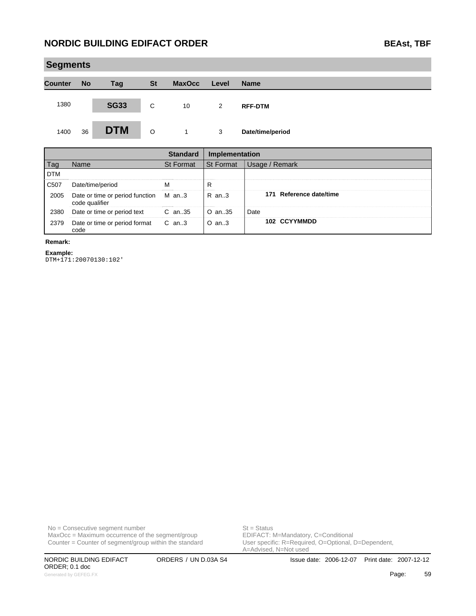|                | <b>Segments</b> |             |           |               |       |                  |  |  |  |  |
|----------------|-----------------|-------------|-----------|---------------|-------|------------------|--|--|--|--|
| <b>Counter</b> | <b>No</b>       | <b>Tag</b>  | <b>St</b> | <b>MaxOcc</b> | Level | <b>Name</b>      |  |  |  |  |
| 1380           |                 | <b>SG33</b> | C         | 10            | 2     | <b>RFF-DTM</b>   |  |  |  |  |
| 1400           | 36              | <b>DTM</b>  | O         | $\mathbf 1$   | 3     | Date/time/period |  |  |  |  |

|                   |                                                         | <b>Standard</b>  | Implementation   |                         |
|-------------------|---------------------------------------------------------|------------------|------------------|-------------------------|
|                   | Name                                                    | <b>St Format</b> | <b>St Format</b> | Usage / Remark          |
| <b>DTM</b>        |                                                         |                  |                  |                         |
| C <sub>50</sub> 7 | Date/time/period                                        |                  | R                |                         |
| 2005              | Date or time or period function M an3<br>code qualifier |                  | R an3            | 171 Reference date/time |
| 2380              | Date or time or period text                             | C an35           | O an35           | Date                    |
| 2379              | Date or time or period format C an3<br>code             |                  | $O$ an. $3$      | 102 CCYYMMDD            |

#### **Remark:**

i.

**Example:**

DTM+171:20070130:102'

 $MaxOcc = Maximum occurrence of the segment/group$ Counter = Counter of segment/group within the standard

No = Consecutive segment number<br>
MaxOcc = Maximum occurrence of the segment/group<br>
EDIFACT: M=Mandatory, C=Conditional User specific: R=Required, O=Optional, D=Dependent,<br>A=Advised, N=Not used

ORDER; 0.1 doc Generated by GEFEG.FX **Page:** 59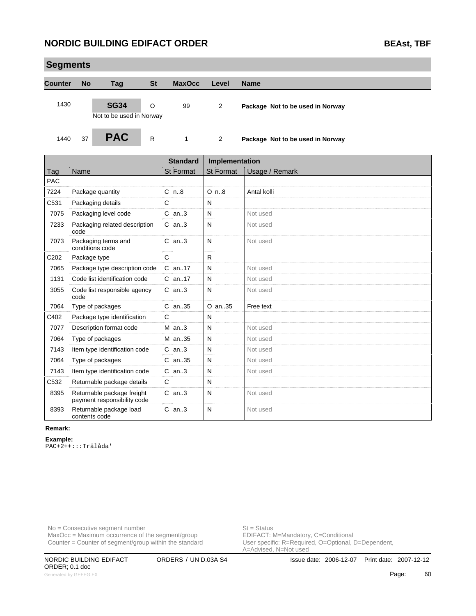| <b>Segments</b> |           |                                                           |              |                 |                  |                                  |
|-----------------|-----------|-----------------------------------------------------------|--------------|-----------------|------------------|----------------------------------|
| <b>Counter</b>  | <b>No</b> | Tag                                                       | <b>St</b>    | <b>MaxOcc</b>   | Level            | <b>Name</b>                      |
| 1430            |           | <b>SG34</b><br>Not to be used in Norway                   | O            | 99              | $\overline{2}$   | Package Not to be used in Norway |
| 1440            | 37        | <b>PAC</b>                                                | $\mathsf{R}$ | 1               | $\overline{2}$   | Package Not to be used in Norway |
|                 |           |                                                           |              | <b>Standard</b> | Implementation   |                                  |
| Tag             | Name      |                                                           |              | St Format       | <b>St Format</b> | Usage / Remark                   |
| <b>PAC</b>      |           |                                                           |              |                 |                  |                                  |
| 7224            |           | Package quantity                                          |              | $C_{n.8}$       | $O$ n. $8$       | Antal kolli                      |
| C531            |           | Packaging details                                         |              | $\mathsf{C}$    | N                |                                  |
| 7075            |           | Packaging level code                                      |              | $C$ an. $3$     | N                | Not used                         |
| 7233            | code      | Packaging related description                             |              | $C$ an3         | N                | Not used                         |
| 7073            |           | Packaging terms and<br>conditions code                    |              | $C$ an. $3$     | N                | Not used                         |
| C202            |           | Package type                                              |              | C               | R.               |                                  |
| 7065            |           | Package type description code                             |              | $C$ an. 17      | N                | Not used                         |
| 1131            |           | Code list identification code                             |              | C an17          | N                | Not used                         |
| 3055            | code      | Code list responsible agency                              |              | $C$ an3         | N                | Not used                         |
| 7064            |           | Type of packages                                          |              | C an35          | O an35           | Free text                        |
| C402            |           | Package type identification                               |              | C               | N                |                                  |
| 7077            |           | Description format code                                   |              | $M$ an3         | N                | Not used                         |
| 7064            |           | Type of packages                                          |              | M an35          | N                | Not used                         |
| 7143            |           | Item type identification code                             |              | $C$ an3         | N                | Not used                         |
| 7064            |           | Type of packages                                          |              | $C$ an. 35      | N                | Not used                         |
| 7143            |           | Item type identification code                             |              | $C$ an3         | N                | Not used                         |
| C532            |           | Returnable package details                                |              | C               | N                |                                  |
| 8395            |           | Returnable package freight<br>payment responsibility code |              | $C$ an3         | N                | Not used                         |
| 8393            |           | Returnable package load<br>contents code                  |              | $C$ an3         | N                | Not used                         |

#### **Remark:**

#### **Example:**

PAC+2++:::Trälåda'

No = Consecutive segment number<br>
MaxOcc = Maximum occurrence of the segment/group<br>
EDIFACT: M=Mandatory, C=Conditional  $MaxOcc = Maximum$  occurrence of the segment/group Counter = Counter of segment/group within the standard

User specific: R=Required, O=Optional, D=Dependent,<br>A=Advised, N=Not used

ORDER; 0.1 doc Generated by GEFEG.FX **Page:** 60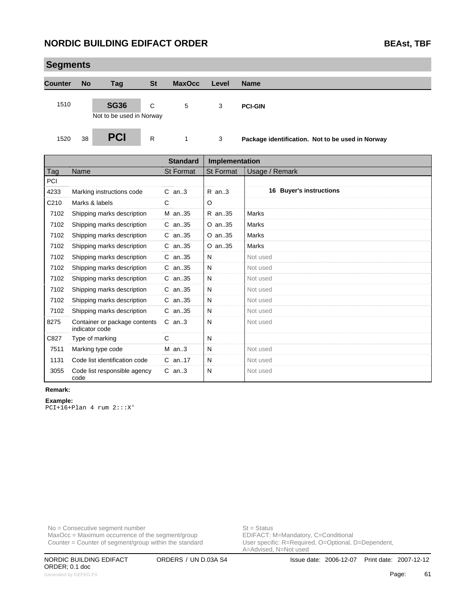|                | <b>Segments</b> |                                         |           |               |       |                                                  |  |  |  |  |
|----------------|-----------------|-----------------------------------------|-----------|---------------|-------|--------------------------------------------------|--|--|--|--|
| <b>Counter</b> | <b>No</b>       | Tag                                     | <b>St</b> | <b>MaxOcc</b> | Level | <b>Name</b>                                      |  |  |  |  |
| 1510           |                 | <b>SG36</b><br>Not to be used in Norway | C         | 5             | 3     | <b>PCI-GIN</b>                                   |  |  |  |  |
| 1520           | 38              | <b>PCI</b>                              | R         |               | 3     | Package identification. Not to be used in Norway |  |  |  |  |

|                  |                                                 | <b>Standard</b>  | Implementation   |                         |
|------------------|-------------------------------------------------|------------------|------------------|-------------------------|
| Tag              | Name                                            | <b>St Format</b> | <b>St Format</b> | Usage / Remark          |
| PCI              |                                                 |                  |                  |                         |
| 4233             | Marking instructions code                       | $C$ an. $3$      | $R$ an3          | 16 Buyer's instructions |
| C <sub>210</sub> | Marks & labels                                  | C                | O                |                         |
| 7102             | Shipping marks description                      | M an35           | R an35           | Marks                   |
| 7102             | Shipping marks description                      | $C$ an. 35       | $O$ an. 35       | Marks                   |
| 7102             | Shipping marks description                      | C an35           | $O$ an. 35       | Marks                   |
| 7102             | Shipping marks description                      | $C$ an. 35       | $O$ an. 35       | Marks                   |
| 7102             | Shipping marks description                      | C an35           | N                | Not used                |
| 7102             | Shipping marks description                      | $C$ an. 35       | N                | Not used                |
| 7102             | Shipping marks description                      | C an35           | N                | Not used                |
| 7102             | Shipping marks description                      | $C$ an. 35       | N                | Not used                |
| 7102             | Shipping marks description                      | C an35           | N                | Not used                |
| 7102             | Shipping marks description                      | $C$ an. 35       | N                | Not used                |
| 8275             | Container or package contents<br>indicator code | $C$ an3          | N                | Not used                |
| C827             | Type of marking                                 | C                | N                |                         |
| 7511             | Marking type code                               | $M$ an3          | N                | Not used                |
| 1131             | Code list identification code                   | $C$ an. 17       | N                | Not used                |
| 3055             | Code list responsible agency<br>code            | $C$ an3          | N                | Not used                |

#### **Remark:**

**Example:** PCI+16+Plan 4 rum 2:::X'

No = Consecutive segment number<br>
MaxOcc = Maximum occurrence of the segment/group<br>
EDIFACT: M=Mandatory, C=Conditional  $MaxOcc = Maximum$  occurrence of the segment/group Counter = Counter of segment/group within the standard

User specific: R=Required, O=Optional, D=Dependent,<br>A=Advised, N=Not used

ORDER; 0.1 doc Generated by GEFEG.FX **Cancel Contract Contract Contract Contract Contract Contract Contract Contract Contract Contract Contract Contract Contract Contract Contract Contract Contract Contract Contract Contract Contract Con**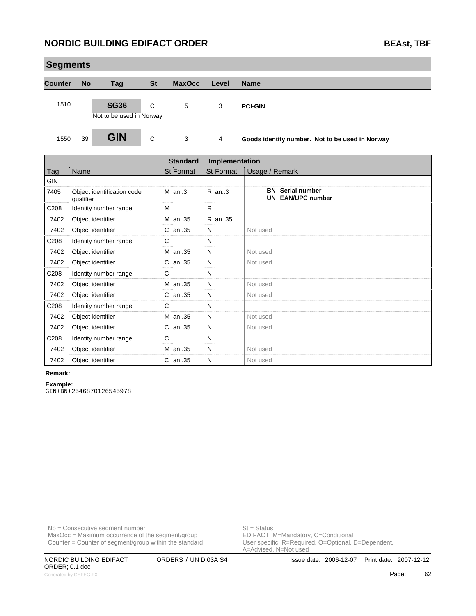| <b>Segments</b> |           |                                         |           |               |       |                                                 |  |  |  |  |
|-----------------|-----------|-----------------------------------------|-----------|---------------|-------|-------------------------------------------------|--|--|--|--|
| <b>Counter</b>  | <b>No</b> | <b>Tag</b>                              | <b>St</b> | <b>MaxOcc</b> | Level | <b>Name</b>                                     |  |  |  |  |
| 1510            |           | <b>SG36</b><br>Not to be used in Norway | C         | 5             | 3     | <b>PCI-GIN</b>                                  |  |  |  |  |
| 1550            | 39        | <b>GIN</b>                              | C         | 3             | 4     | Goods identity number. Not to be used in Norway |  |  |  |  |

|      |                                         | <b>Standard</b>  | <b>Implementation</b> |                                                     |
|------|-----------------------------------------|------------------|-----------------------|-----------------------------------------------------|
| Tag  | Name                                    | <b>St Format</b> | <b>St Format</b>      | Usage / Remark                                      |
| GIN  |                                         |                  |                       |                                                     |
| 7405 | Object identification code<br>qualifier | $M$ an3          | R an3                 | <b>BN</b> Serial number<br><b>UN EAN/UPC number</b> |
| C208 | Identity number range                   | M                | R.                    |                                                     |
| 7402 | Object identifier                       | M an35           | R an35                |                                                     |
| 7402 | Object identifier                       | $C$ an35         | N                     | Not used                                            |
| C208 | Identity number range                   | C                | N                     |                                                     |
| 7402 | Object identifier                       | M an35           | N                     | Not used                                            |
| 7402 | Object identifier                       | C an35           | N                     | Not used                                            |
| C208 | Identity number range                   | C                | N                     |                                                     |
| 7402 | Object identifier                       | M an35           | N                     | Not used                                            |
| 7402 | Object identifier                       | C an35           | N                     | Not used                                            |
| C208 | Identity number range                   | C                | N                     |                                                     |
| 7402 | Object identifier                       | M an35           | N                     | Not used                                            |
| 7402 | Object identifier                       | C an35           | N                     | Not used                                            |
| C208 | Identity number range                   | C                | N                     |                                                     |
| 7402 | Object identifier                       | M an35           | N                     | Not used                                            |
| 7402 | Object identifier                       | $C$ an35         | N                     | Not used                                            |

#### **Remark:**

#### **Example:**

GIN+BN+2546870126545978'

No = Consecutive segment number<br>
MaxOcc = Maximum occurrence of the segment/group<br>
EDIFACT: M=Mandatory, C=Conditional  $MaxOcc = Maximum$  occurrence of the segment/group Counter = Counter of segment/group within the standard

User specific: R=Required, O=Optional, D=Dependent,<br>A=Advised, N=Not used

ORDER; 0.1 doc Generated by GEFEG.FX **62**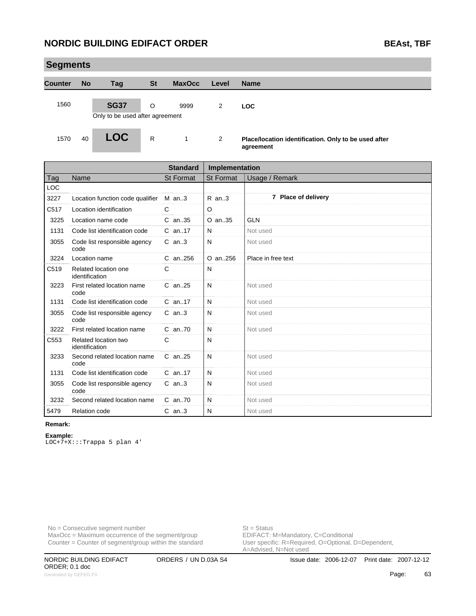| <b>Segments</b> |           |                                               |           |               |                |                                                      |  |  |  |
|-----------------|-----------|-----------------------------------------------|-----------|---------------|----------------|------------------------------------------------------|--|--|--|
| <b>Counter</b>  | <b>No</b> | Tag                                           | <b>St</b> | <b>MaxOcc</b> | Level          | <b>Name</b>                                          |  |  |  |
| 1560            |           | <b>SG37</b>                                   | $\circ$   | 9999          | $\overline{2}$ | <b>LOC</b>                                           |  |  |  |
| 1570            | 40        | Only to be used after agreement<br><b>LOC</b> | R         | 1             | 2              | Place/location identification. Only to be used after |  |  |  |
|                 |           |                                               |           |               |                | agreement                                            |  |  |  |

|            |                                        | <b>Standard</b>  | Implementation   |                     |
|------------|----------------------------------------|------------------|------------------|---------------------|
| Tag        | Name                                   | <b>St Format</b> | <b>St Format</b> | Usage / Remark      |
| <b>LOC</b> |                                        |                  |                  |                     |
| 3227       | Location function code qualifier       | $M$ an3          | $R$ an3          | 7 Place of delivery |
| C517       | Location identification                | C                | O                |                     |
| 3225       | Location name code                     | C an35           | O an35           | <b>GLN</b>          |
| 1131       | Code list identification code          | C an17           | N                | Not used            |
| 3055       | Code list responsible agency<br>code   | $C$ an3          | N                | Not used            |
| 3224       | Location name                          | C an.,256        | O an256          | Place in free text  |
| C519       | Related location one<br>identification | C                | N                |                     |
| 3223       | First related location name<br>code    | $C$ an. 25       | N                | Not used            |
| 1131       | Code list identification code          | C an17           | N                | Not used            |
| 3055       | Code list responsible agency<br>code   | $C$ an3          | N                | Not used            |
| 3222       | First related location name            | C an70           | N                | Not used            |
| C553       | Related location two<br>identification | C                | N                |                     |
| 3233       | Second related location name<br>code   | $C$ an25         | N                | Not used            |
| 1131       | Code list identification code          | C an17           | N                | Not used            |
| 3055       | Code list responsible agency<br>code   | $C$ an3          | N                | Not used            |
| 3232       | Second related location name           | C an70           | N                | Not used            |
| 5479       | <b>Relation code</b>                   | $C$ an3          | N                | Not used            |

#### **Remark:**

#### **Example:**

LOC+7+X:::Trappa 5 plan 4'

No = Consecutive segment number<br>
MaxOcc = Maximum occurrence of the segment/group<br>
EDIFACT: M=Mandatory, C=Conditional  $MaxOcc = Maximum$  occurrence of the segment/group Counter = Counter of segment/group within the standard

User specific: R=Required, O=Optional, D=Dependent,<br>A=Advised, N=Not used

ORDER; 0.1 doc Generated by GEFEG.FX **Cancel Contract Contract Contract Contract Contract Contract Contract Contract Contract Contract Contract Contract Contract Contract Contract Contract Contract Contract Contract Contract Contract Con**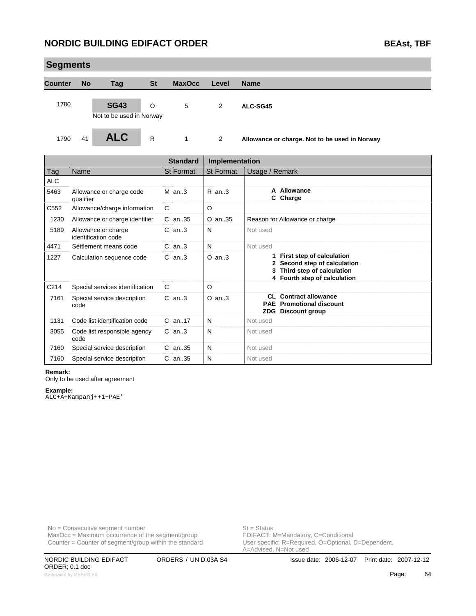| <b>Segments</b> |           |                                        |           |               |                |                                               |  |  |
|-----------------|-----------|----------------------------------------|-----------|---------------|----------------|-----------------------------------------------|--|--|
| <b>Counter</b>  | <b>No</b> | Tag                                    | <b>St</b> | <b>MaxOcc</b> | Level          | <b>Name</b>                                   |  |  |
| 1780            |           | <b>SG43</b>                            | $\circ$   | 5             | $\overline{2}$ | ALC-SG45                                      |  |  |
| 1790            | 41        | Not to be used in Norway<br><b>ALC</b> | R         | 1             | 2              | Allowance or charge. Not to be used in Norway |  |  |

|            |                                            | <b>Standard</b>  | Implementation   |                                                                                                                                 |
|------------|--------------------------------------------|------------------|------------------|---------------------------------------------------------------------------------------------------------------------------------|
| Tag        | Name                                       | <b>St Format</b> | <b>St Format</b> | Usage / Remark                                                                                                                  |
| <b>ALC</b> |                                            |                  |                  |                                                                                                                                 |
| 5463       | Allowance or charge code<br>qualifier      | $M$ an. 3        | $R$ an. 3        | A Allowance<br>C Charge                                                                                                         |
| C552       | Allowance/charge information               | C                | O                |                                                                                                                                 |
| 1230       | Allowance or charge identifier             | $C$ an. 35       | $O$ an. 35       | Reason for Allowance or charge                                                                                                  |
| 5189       | Allowance or charge<br>identification code | $C$ an. $3$      | N                | Not used                                                                                                                        |
| 4471       | Settlement means code                      | $C$ an. $3$      | N                | Not used                                                                                                                        |
| 1227       | Calculation sequence code                  | $C$ an3          | $O$ an3          | First step of calculation<br>1.<br>Second step of calculation<br>Third step of calculation<br>3<br>4 Fourth step of calculation |
| C214       | Special services identification            | C                | O                |                                                                                                                                 |
| 7161       | Special service description<br>code        | $C$ an. $3$      | $O$ an. $3$      | <b>CL</b> Contract allowance<br><b>PAE</b> Promotional discount<br>ZDG Discount group                                           |
| 1131       | Code list identification code              | $C$ an. 17       | N                | Not used                                                                                                                        |
| 3055       | Code list responsible agency<br>code       | $C$ an. $3$      | N                | Not used                                                                                                                        |
| 7160       | Special service description                | $C$ an. 35       | N                | Not used                                                                                                                        |
| 7160       | Special service description                | $C$ an. 35       | N                | Not used                                                                                                                        |

#### **Remark:**

Only to be used after agreement

#### **Example:**

ALC+A+Kampanj++1+PAE'

No = Consecutive segment number<br>
MaxOcc = Maximum occurrence of the segment/group<br>
EDIFACT: M=Mandatory, C=Conditional  $MaxOcc = Maximum$  occurrence of the segment/group Counter = Counter of segment/group within the standard

User specific: R=Required, O=Optional, D=Dependent,<br>A=Advised, N=Not used

ORDER; 0.1 doc Generated by GEFEG.FX **Cancel Contract Contract Contract Contract Contract Contract Contract Contract Contract Contract Contract Contract Contract Contract Contract Contract Contract Contract Contract Contract Contract Con**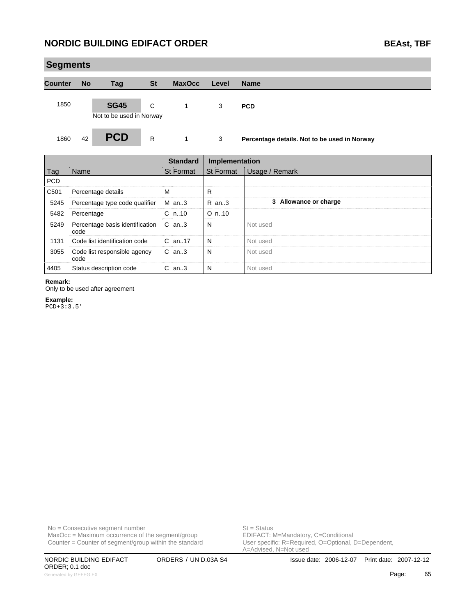### **Segments Counter No Tag St MaxOcc Level Name** 1850 **SG45** C 1 3 **PCD** Not to be used in Norway 1860 42 **PCD** R 1 3 **Percentage details. Not to be used in Norway** г **Standard Implementation**

|                  |                                               | Standard   | Implementation |                       |
|------------------|-----------------------------------------------|------------|----------------|-----------------------|
| Tag              | Name                                          | St Format  | l St Format    | Usage / Remark        |
| <b>PCD</b>       |                                               |            |                |                       |
| C <sub>501</sub> | Percentage details                            | м          | R              |                       |
| 5245             | Percentage type code qualifier                | M an3      | $R$ an. 3      | 3 Allowance or charge |
| 5482             | Percentage                                    | $C_{n.10}$ | $O_n$ .10      |                       |
| 5249             | Percentage basis identification C an3<br>code |            | N              | Not used              |
| 1131             | Code list identification code                 | $C$ an. 17 | N              | Not used              |
| 3055             | Code list responsible agency<br>code          | C an3      | N              | Not used              |
| 4405             | Status description code                       | $C$ an3    | N              | Not used              |

**Remark:**

Only to be used after agreement

**Example:**

PCD+3:3.5'

 $MaxOcc = Maximum occurrence of the segment/group$ Counter = Counter of segment/group within the standard

No = Consecutive segment number<br>
MaxOcc = Maximum occurrence of the segment/group<br>
EDIFACT: M=Mandatory, C=Conditional User specific: R=Required, O=Optional, D=Dependent,<br>A=Advised, N=Not used

ORDER; 0.1 doc Generated by GEFEG.FX **Contract Contract Contract Contract Contract Contract Contract Contract Contract Contract Contract Contract Contract Contract Contract Contract Contract Contract Contract Contract Contract Contract C**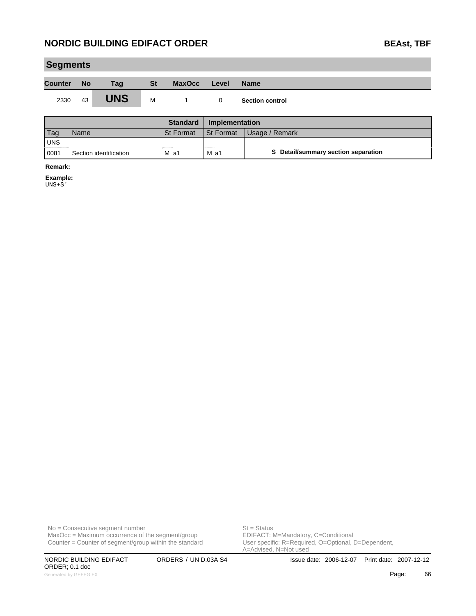| BEAst, TBF |  |
|------------|--|
|            |  |

| <b>Segments</b> |           |                        |           |                 |                |                                     |
|-----------------|-----------|------------------------|-----------|-----------------|----------------|-------------------------------------|
| <b>Counter</b>  | <b>No</b> | Tag                    | <b>St</b> | <b>MaxOcc</b>   | Level          | <b>Name</b>                         |
| 2330            | 43        | <b>UNS</b>             | M         | 1               | $\mathbf 0$    | <b>Section control</b>              |
|                 |           |                        |           | <b>Standard</b> | Implementation |                                     |
| Tag             | Name      |                        |           | St Format       | St Format      | Usage / Remark                      |
| <b>UNS</b>      |           |                        |           |                 |                |                                     |
| 0081            |           | Section identification |           | $M$ a1          | $M$ a1         | S Detail/summary section separation |
| Remark:         |           |                        |           |                 |                |                                     |

**Example:**

UNS+S'

No = Consecutive segment number<br>
MaxOcc = Maximum occurrence of the segment/group<br>
EDIFACT: M=Mandatory, C=Conditional  $MaxOcc = Maximum$  occurrence of the segment/group Counter = Counter of segment/group within the standard

ORDER; 0.1 doc Generated by GEFEG.FX **Contract Contract Contract Contract Contract Contract Contract Contract Contract Contract Contract Contract Contract Contract Contract Contract Contract Contract Contract Contract Contract Contract C** 

User specific: R=Required, O=Optional, D=Dependent,<br>A=Advised, N=Not used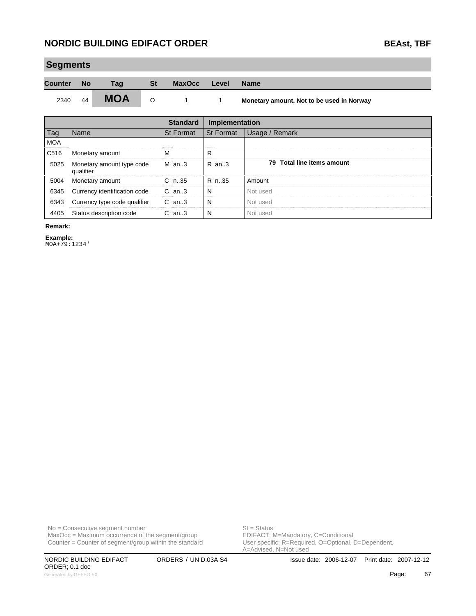### **NORDIC BUILDING EDIFACT ORDER BEAST ON BEAST ON BEAST BEAST ON BEAST OF BEAST OF BEAST OF BEAST OF BEAST OF BEAST OF BEAST OF BEAST OF BEAST OF BEAST OF BEAST OF BEAST OF BEAST OF BEAST OF BEAST OF BEAST OF BEAST OF BEA**

| <b>BEAst, TBF</b> |  |
|-------------------|--|
|                   |  |

| <b>Counter</b><br><b>St</b><br><b>No</b><br><b>MaxOcc</b><br>Tag<br>Level<br><b>Name</b><br><b>MOA</b><br>44<br>2340<br>$\circ$<br>Monetary amount. Not to be used in Norway<br>$\sim$ 1 | <b>Segments</b> |  |  |  |  |  |  |  |  |  |
|------------------------------------------------------------------------------------------------------------------------------------------------------------------------------------------|-----------------|--|--|--|--|--|--|--|--|--|
|                                                                                                                                                                                          |                 |  |  |  |  |  |  |  |  |  |
|                                                                                                                                                                                          |                 |  |  |  |  |  |  |  |  |  |

|            |                                        | <b>Standard</b> | <b>Implementation</b> |                            |
|------------|----------------------------------------|-----------------|-----------------------|----------------------------|
| Tag        | <b>Name</b>                            | St Format       | <b>St Format</b>      | Usage / Remark             |
| <b>MOA</b> |                                        |                 |                       |                            |
| C516       | Monetary amount                        | м               | R                     |                            |
| 5025       | Monetary amount type code<br>qualifier | M an3           | R an3                 | 79 Total line items amount |
| 5004       | Monetary amount                        | $C_{n.35}$      | R n. 35               | Amount                     |
| 6345       | Currency identification code           | $C$ an. $3$     | N                     | Not used                   |
| 6343       | Currency type code qualifier           | $C$ an3         | N                     | Not used                   |
| 4405       | Status description code                | $C$ an3         | N                     | Not used                   |

**Remark:**

i.

**Example:**

MOA+79:1234'

No = Consecutive segment number<br>
MaxOcc = Maximum occurrence of the segment/group<br>
EDIFACT: M=Mandatory, C=Conditional  $MaxOcc = Maximum occurrence of the segment/group$ Counter = Counter of segment/group within the standard

ORDER; 0.1 doc Generated by GEFEG.FX **Page:** 67

User specific: R=Required, O=Optional, D=Dependent,<br>A=Advised, N=Not used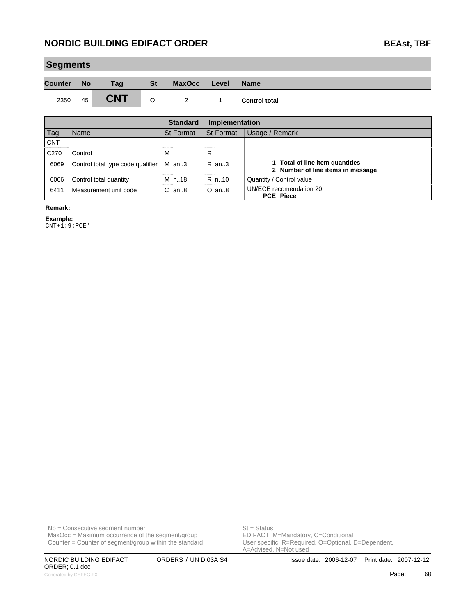| <b>Segments</b> |    |            |           |                |       |                      |  |  |  |
|-----------------|----|------------|-----------|----------------|-------|----------------------|--|--|--|
| Counter No      |    | Taq        | <b>St</b> | <b>MaxOcc</b>  | Level | <b>Name</b>          |  |  |  |
| 2350            | 45 | <b>CNT</b> | $\circ$   | $\overline{2}$ |       | <b>Control total</b> |  |  |  |

|                  |                                         | <b>Standard</b> | Implementation |                                                                      |
|------------------|-----------------------------------------|-----------------|----------------|----------------------------------------------------------------------|
| l aq             | Name                                    | St Format       | l St Format    | Usage / Remark                                                       |
| <b>CNT</b>       |                                         |                 |                |                                                                      |
| C <sub>270</sub> | Control                                 |                 | R              |                                                                      |
| 6069             | Control total type code qualifier M an3 |                 | $R$ an. $3$    | 1 Total of line item quantities<br>2 Number of line items in message |
| 6066             | Control total quantity                  | M n. 18         | R n. 10        | Quantity / Control value                                             |
| 6411             | Measurement unit code                   | $C$ an $8$      | $O$ an. $8$    | UN/ECE recomendation 20<br><b>PCE Piece</b>                          |

**Remark:**

**Example:** CNT+1:9:PCE'

 $MaxOcc = Maximum$  occurrence of the segment/group Counter = Counter of segment/group within the standard

No = Consecutive segment number<br>
MaxOcc = Maximum occurrence of the segment/group<br>
EDIFACT: M=Mandatory, C=Conditional User specific: R=Required, O=Optional, D=Dependent,<br>A=Advised, N=Not used

ORDER; 0.1 doc Generated by GEFEG.FX **Contract Contract Contract Contract Contract Contract Contract Contract Contract Contract Contract Contract Contract Contract Contract Contract Contract Contract Contract Contract Contract Contract C**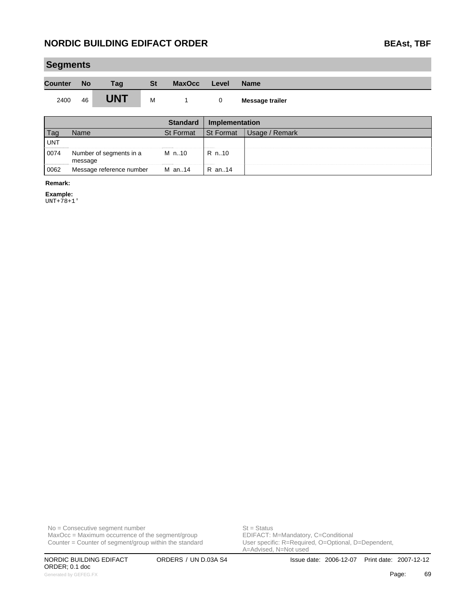| <b>Segments</b> |           |            |           |               |       |                 |  |  |  |
|-----------------|-----------|------------|-----------|---------------|-------|-----------------|--|--|--|
| <b>Counter</b>  | <b>No</b> | Tag        | <b>St</b> | <b>MaxOcc</b> | Level | <b>Name</b>     |  |  |  |
| 2400            | 46        | <b>UNT</b> | м         |               | 0     | Message trailer |  |  |  |

|            |                                    | Standard         | <b>Implementation</b> |                |
|------------|------------------------------------|------------------|-----------------------|----------------|
|            | vame                               | <b>St Format</b> | <b>St Format</b>      | Usage / Remark |
| <b>UNT</b> |                                    |                  |                       |                |
| 0074       | Number of segments in a<br>message | M n10            | R n10                 |                |
| 0062       | Message reference number           | M an14           | R an14                |                |

#### **Remark:**

**Example:**

UNT+78+1'

No = Consecutive segment number<br>
MaxOcc = Maximum occurrence of the segment/group<br>
EDIFACT: M=Mandatory, C=Conditional  $MaxOcc = Maximum$  occurrence of the segment/group Counter = Counter of segment/group within the standard

ORDER; 0.1 doc Generated by GEFEG.FX **Page:** 69

User specific: R=Required, O=Optional, D=Dependent,<br>A=Advised, N=Not used